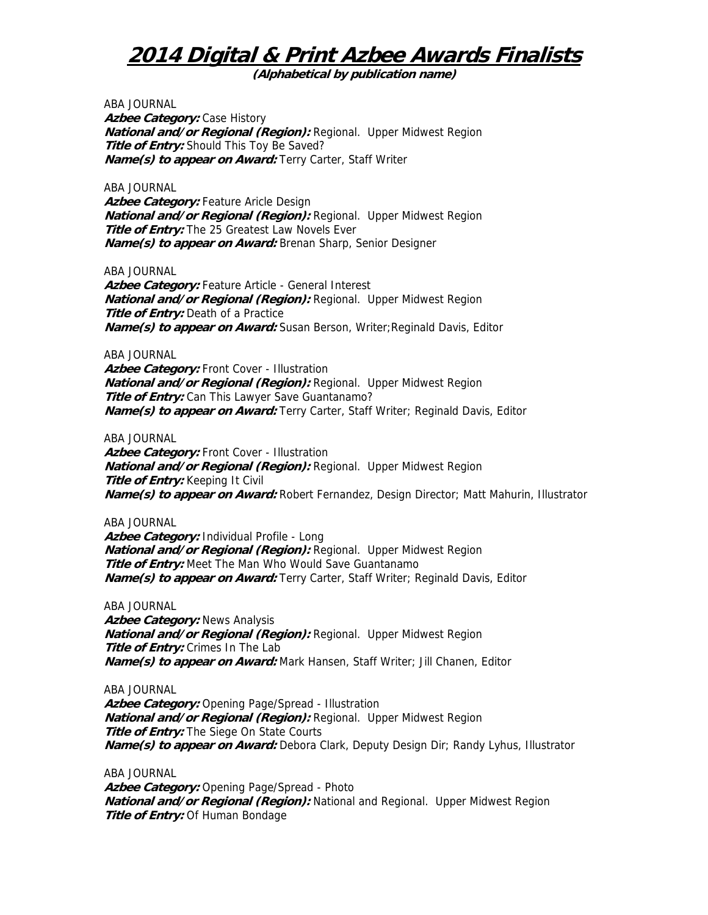**(Alphabetical by publication name)** 

ABA JOURNAL **Azbee Category: Case History National and/or Regional (Region):** Regional. Upper Midwest Region **Title of Entry:** Should This Toy Be Saved? **Name(s) to appear on Award:** Terry Carter, Staff Writer

ABA JOURNAL Azbee Category: Feature Aricle Design **National and/or Regional (Region):** Regional. Upper Midwest Region **Title of Entry:** The 25 Greatest Law Novels Ever **Name(s) to appear on Award:** Brenan Sharp, Senior Designer

ABA JOURNAL

Azbee Category: Feature Article - General Interest **National and/or Regional (Region):** Regional. Upper Midwest Region **Title of Entry:** Death of a Practice **Name(s) to appear on Award:** Susan Berson, Writer;Reginald Davis, Editor

ABA JOURNAL

Azbee Category: Front Cover - Illustration **National and/or Regional (Region):** Regional. Upper Midwest Region **Title of Entry:** Can This Lawyer Save Guantanamo? **Name(s) to appear on Award:** Terry Carter, Staff Writer; Reginald Davis, Editor

ABA JOURNAL

Azbee Category: Front Cover - Illustration **National and/or Regional (Region):** Regional. Upper Midwest Region **Title of Entry:** Keeping It Civil **Name(s) to appear on Award:** Robert Fernandez, Design Director; Matt Mahurin, Illustrator

ABA JOURNAL

**Azbee Category:** Individual Profile - Long **National and/or Regional (Region):** Regional. Upper Midwest Region **Title of Entry:** Meet The Man Who Would Save Guantanamo **Name(s) to appear on Award:** Terry Carter, Staff Writer; Reginald Davis, Editor

ABA JOURNAL

**Azbee Category:** News Analysis **National and/or Regional (Region):** Regional. Upper Midwest Region **Title of Entry:** Crimes In The Lab **Name(s) to appear on Award:** Mark Hansen, Staff Writer; Jill Chanen, Editor

ABA JOURNAL

**Azbee Category:** Opening Page/Spread - Illustration **National and/or Regional (Region):** Regional. Upper Midwest Region **Title of Entry:** The Siege On State Courts **Name(s) to appear on Award:** Debora Clark, Deputy Design Dir; Randy Lyhus, Illustrator

ABA JOURNAL

Azbee Category: Opening Page/Spread - Photo **National and/or Regional (Region):** National and Regional. Upper Midwest Region **Title of Entry:** Of Human Bondage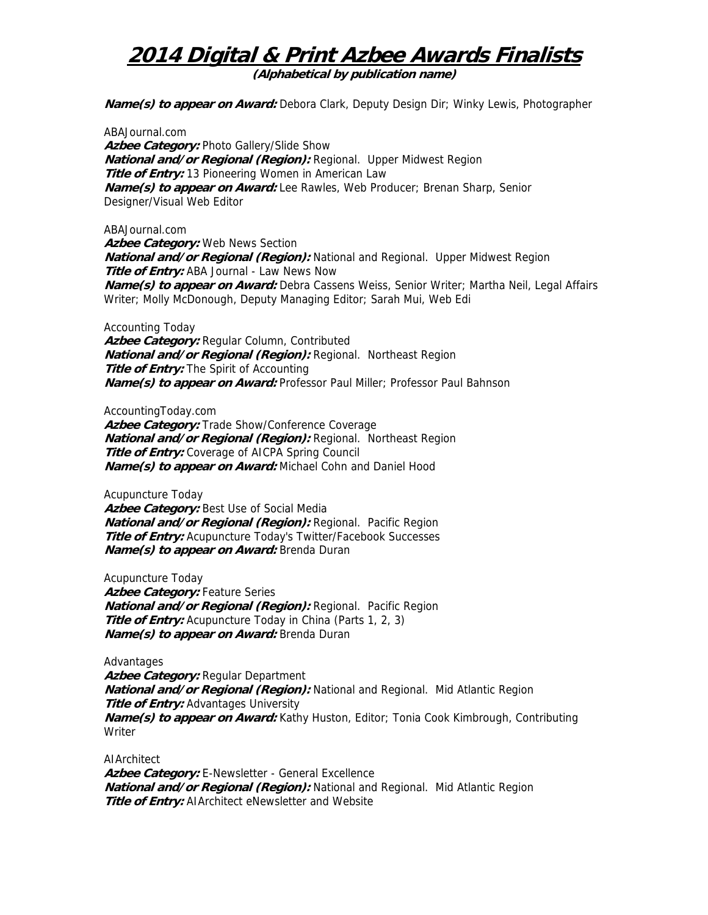**(Alphabetical by publication name)** 

**Name(s) to appear on Award:** Debora Clark, Deputy Design Dir; Winky Lewis, Photographer

ABAJournal.com **Azbee Category:** Photo Gallery/Slide Show **National and/or Regional (Region):** Regional. Upper Midwest Region **Title of Entry:** 13 Pioneering Women in American Law **Name(s) to appear on Award:** Lee Rawles, Web Producer; Brenan Sharp, Senior Designer/Visual Web Editor

ABAJournal.com

**Azbee Category:** Web News Section **National and/or Regional (Region):** National and Regional. Upper Midwest Region **Title of Entry:** ABA Journal - Law News Now **Name(s) to appear on Award:** Debra Cassens Weiss, Senior Writer; Martha Neil, Legal Affairs Writer; Molly McDonough, Deputy Managing Editor; Sarah Mui, Web Edi

Accounting Today

**Azbee Category:** Regular Column, Contributed **National and/or Regional (Region):** Regional. Northeast Region **Title of Entry:** The Spirit of Accounting **Name(s) to appear on Award:** Professor Paul Miller; Professor Paul Bahnson

AccountingToday.com

Azbee Category: Trade Show/Conference Coverage **National and/or Regional (Region):** Regional. Northeast Region **Title of Entry:** Coverage of AICPA Spring Council **Name(s) to appear on Award:** Michael Cohn and Daniel Hood

Acupuncture Today

Azbee Category: Best Use of Social Media **National and/or Regional (Region):** Regional. Pacific Region **Title of Entry:** Acupuncture Today's Twitter/Facebook Successes **Name(s) to appear on Award:** Brenda Duran

Acupuncture Today **Azbee Category:** Feature Series **National and/or Regional (Region):** Regional. Pacific Region **Title of Entry:** Acupuncture Today in China (Parts 1, 2, 3) **Name(s) to appear on Award:** Brenda Duran

Advantages **Azbee Category:** Regular Department **National and/or Regional (Region):** National and Regional. Mid Atlantic Region **Title of Entry:** Advantages University **Name(s) to appear on Award:** Kathy Huston, Editor; Tonia Cook Kimbrough, Contributing Writer

AIArchitect **Azbee Category:** E-Newsletter - General Excellence **National and/or Regional (Region):** National and Regional. Mid Atlantic Region **Title of Entry:** AIArchitect eNewsletter and Website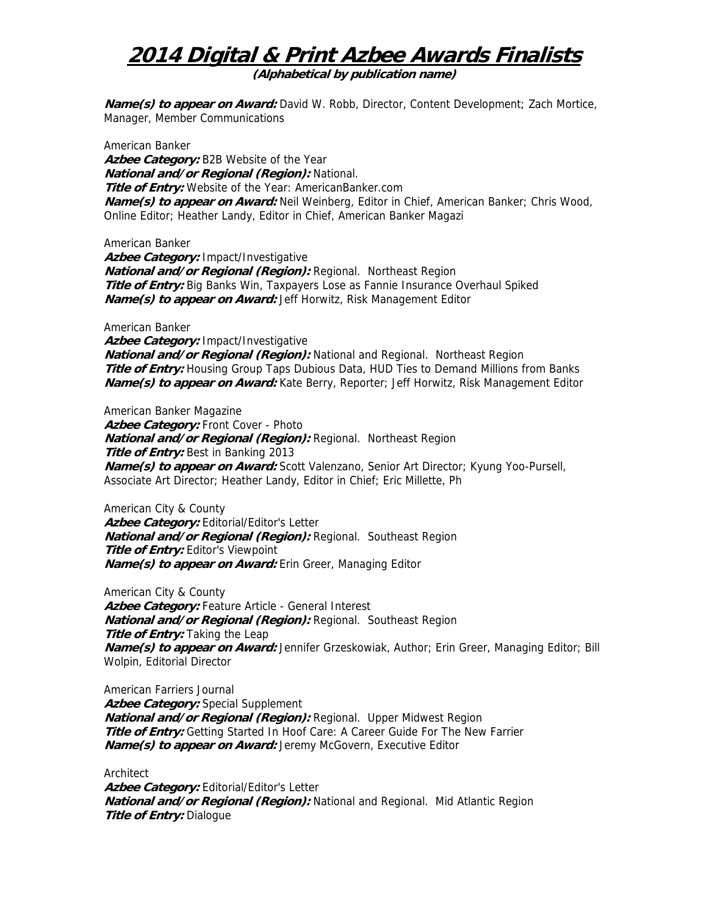**(Alphabetical by publication name)** 

**Name(s) to appear on Award:** David W. Robb, Director, Content Development; Zach Mortice, Manager, Member Communications

American Banker **Azbee Category:** B2B Website of the Year **National and/or Regional (Region):** National. **Title of Entry:** Website of the Year: AmericanBanker.com **Name(s) to appear on Award:** Neil Weinberg, Editor in Chief, American Banker; Chris Wood, Online Editor; Heather Landy, Editor in Chief, American Banker Magazi

American Banker **Azbee Category:** Impact/Investigative **National and/or Regional (Region):** Regional. Northeast Region **Title of Entry:** Big Banks Win, Taxpayers Lose as Fannie Insurance Overhaul Spiked **Name(s) to appear on Award:** Jeff Horwitz, Risk Management Editor

American Banker **Azbee Category:** Impact/Investigative **National and/or Regional (Region):** National and Regional. Northeast Region **Title of Entry:** Housing Group Taps Dubious Data, HUD Ties to Demand Millions from Banks **Name(s) to appear on Award:** Kate Berry, Reporter; Jeff Horwitz, Risk Management Editor

American Banker Magazine Azbee Category: Front Cover - Photo **National and/or Regional (Region):** Regional. Northeast Region **Title of Entry:** Best in Banking 2013 **Name(s) to appear on Award:** Scott Valenzano, Senior Art Director; Kyung Yoo-Pursell, Associate Art Director; Heather Landy, Editor in Chief; Eric Millette, Ph

American City & County Azbee Category: Editorial/Editor's Letter **National and/or Regional (Region):** Regional. Southeast Region **Title of Entry:** Editor's Viewpoint **Name(s) to appear on Award:** Erin Greer, Managing Editor

American City & County Azbee Category: Feature Article - General Interest **National and/or Regional (Region):** Regional. Southeast Region **Title of Entry:** Taking the Leap **Name(s) to appear on Award:** Jennifer Grzeskowiak, Author; Erin Greer, Managing Editor; Bill Wolpin, Editorial Director

American Farriers Journal **Azbee Category:** Special Supplement **National and/or Regional (Region):** Regional. Upper Midwest Region **Title of Entry:** Getting Started In Hoof Care: A Career Guide For The New Farrier **Name(s) to appear on Award:** Jeremy McGovern, Executive Editor

Architect Azbee Category: Editorial/Editor's Letter **National and/or Regional (Region):** National and Regional. Mid Atlantic Region **Title of Entry:** Dialogue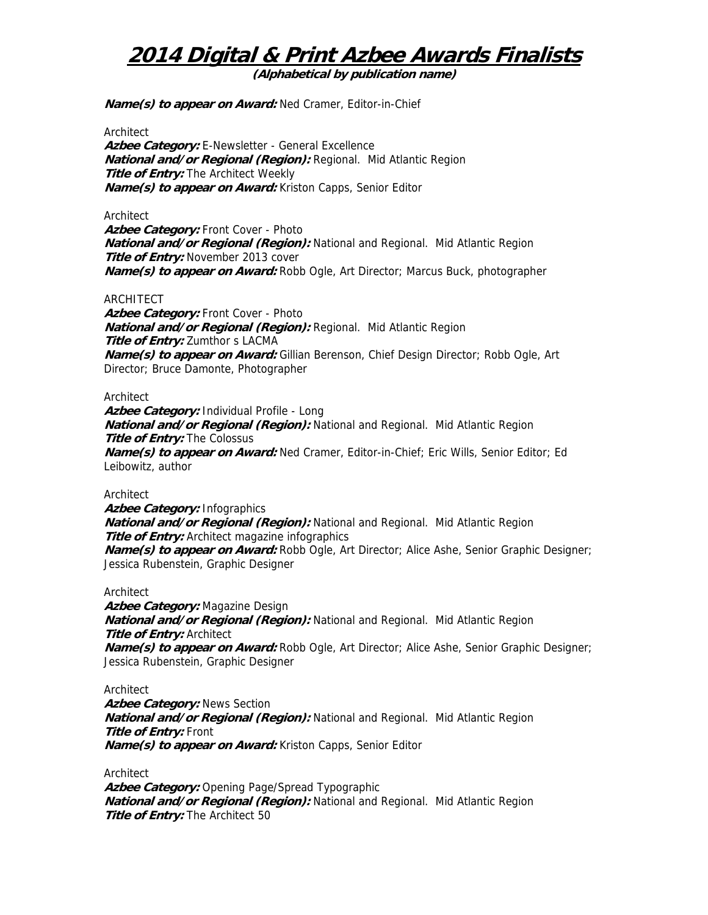**(Alphabetical by publication name)** 

**Name(s) to appear on Award:** Ned Cramer, Editor-in-Chief

**Architect** 

Azbee Category: E-Newsletter - General Excellence **National and/or Regional (Region):** Regional. Mid Atlantic Region **Title of Entry:** The Architect Weekly **Name(s) to appear on Award:** Kriston Capps, Senior Editor

Architect

Azbee Category: Front Cover - Photo **National and/or Regional (Region):** National and Regional. Mid Atlantic Region **Title of Entry:** November 2013 cover **Name(s) to appear on Award:** Robb Ogle, Art Director; Marcus Buck, photographer

#### ARCHITECT

Azbee Category: Front Cover - Photo **National and/or Regional (Region):** Regional. Mid Atlantic Region **Title of Entry:** Zumthor s LACMA **Name(s) to appear on Award:** Gillian Berenson, Chief Design Director; Robb Ogle, Art Director; Bruce Damonte, Photographer

#### **Architect**

**Azbee Category:** Individual Profile - Long **National and/or Regional (Region):** National and Regional. Mid Atlantic Region **Title of Entry:** The Colossus **Name(s) to appear on Award:** Ned Cramer, Editor-in-Chief; Eric Wills, Senior Editor; Ed Leibowitz, author

Architect

**Azbee Category:** Infographics **National and/or Regional (Region):** National and Regional. Mid Atlantic Region **Title of Entry:** Architect magazine infographics **Name(s) to appear on Award:** Robb Ogle, Art Director; Alice Ashe, Senior Graphic Designer; Jessica Rubenstein, Graphic Designer

#### **Architect**

**Azbee Category:** Magazine Design **National and/or Regional (Region):** National and Regional. Mid Atlantic Region **Title of Entry:** Architect **Name(s) to appear on Award:** Robb Ogle, Art Director; Alice Ashe, Senior Graphic Designer; Jessica Rubenstein, Graphic Designer

Architect

**Azbee Category:** News Section **National and/or Regional (Region):** National and Regional. Mid Atlantic Region **Title of Entry:** Front **Name(s) to appear on Award:** Kriston Capps, Senior Editor

Architect Azbee Category: Opening Page/Spread Typographic **National and/or Regional (Region):** National and Regional. Mid Atlantic Region **Title of Entry:** The Architect 50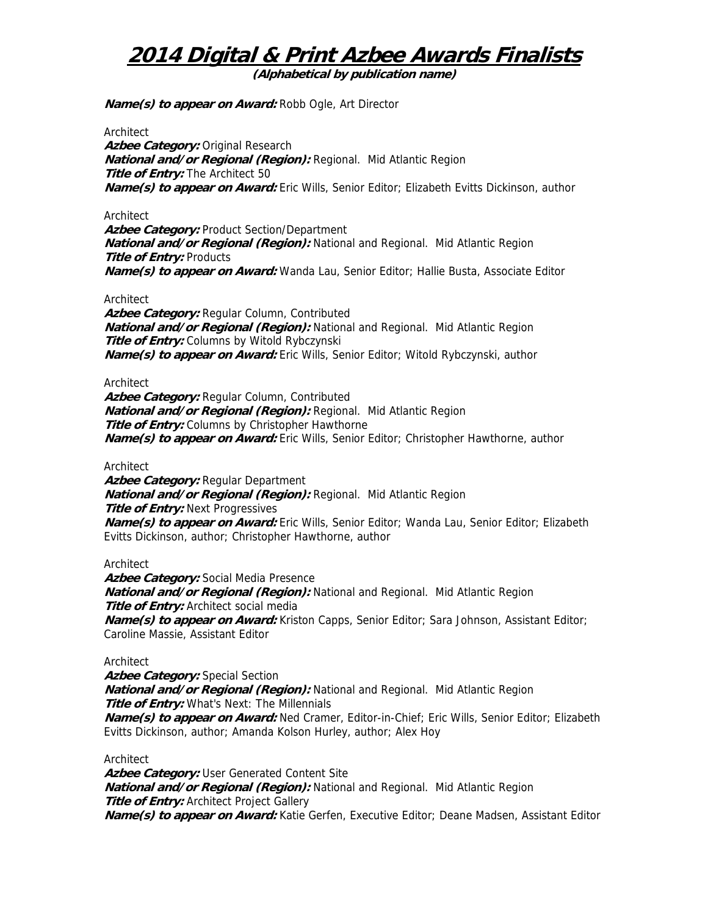**(Alphabetical by publication name)** 

**Name(s) to appear on Award:** Robb Ogle, Art Director

**Architect** 

**Azbee Category:** Original Research **National and/or Regional (Region):** Regional. Mid Atlantic Region **Title of Entry:** The Architect 50 **Name(s) to appear on Award:** Eric Wills, Senior Editor; Elizabeth Evitts Dickinson, author

Architect

Azbee Category: Product Section/Department **National and/or Regional (Region):** National and Regional. Mid Atlantic Region **Title of Entry: Products Name(s) to appear on Award:** Wanda Lau, Senior Editor; Hallie Busta, Associate Editor

#### Architect

**Azbee Category:** Regular Column, Contributed **National and/or Regional (Region):** National and Regional. Mid Atlantic Region **Title of Entry:** Columns by Witold Rybczynski **Name(s) to appear on Award:** Eric Wills, Senior Editor; Witold Rybczynski, author

Architect

**Azbee Category:** Regular Column, Contributed **National and/or Regional (Region):** Regional. Mid Atlantic Region **Title of Entry:** Columns by Christopher Hawthorne **Name(s) to appear on Award:** Eric Wills, Senior Editor; Christopher Hawthorne, author

**Architect** 

**Azbee Category:** Regular Department **National and/or Regional (Region):** Regional. Mid Atlantic Region **Title of Entry:** Next Progressives **Name(s) to appear on Award:** Eric Wills, Senior Editor; Wanda Lau, Senior Editor; Elizabeth Evitts Dickinson, author; Christopher Hawthorne, author

**Architect** 

**Azbee Category:** Social Media Presence **National and/or Regional (Region):** National and Regional. Mid Atlantic Region **Title of Entry:** Architect social media **Name(s) to appear on Award:** Kriston Capps, Senior Editor; Sara Johnson, Assistant Editor; Caroline Massie, Assistant Editor

### Architect

**Azbee Category:** Special Section **National and/or Regional (Region):** National and Regional. Mid Atlantic Region **Title of Entry:** What's Next: The Millennials **Name(s) to appear on Award:** Ned Cramer, Editor-in-Chief; Eric Wills, Senior Editor; Elizabeth Evitts Dickinson, author; Amanda Kolson Hurley, author; Alex Hoy

Architect

**Azbee Category:** User Generated Content Site **National and/or Regional (Region):** National and Regional. Mid Atlantic Region **Title of Entry:** Architect Project Gallery **Name(s) to appear on Award:** Katie Gerfen, Executive Editor; Deane Madsen, Assistant Editor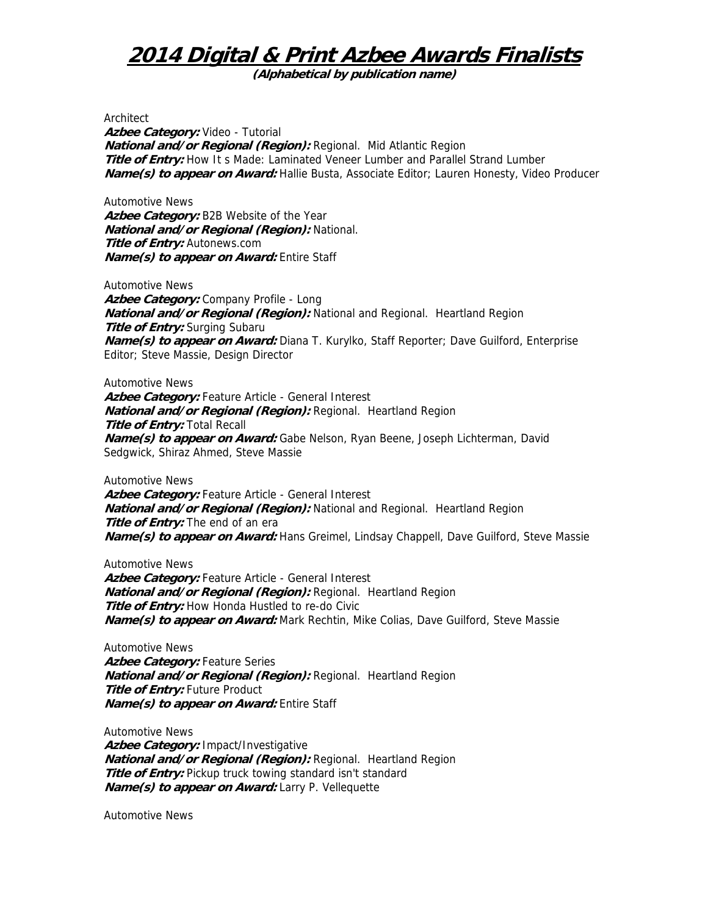**(Alphabetical by publication name)** 

Architect

**Azbee Category:** Video - Tutorial **National and/or Regional (Region):** Regional. Mid Atlantic Region **Title of Entry:** How It s Made: Laminated Veneer Lumber and Parallel Strand Lumber **Name(s) to appear on Award:** Hallie Busta, Associate Editor; Lauren Honesty, Video Producer

Automotive News **Azbee Category:** B2B Website of the Year **National and/or Regional (Region):** National. **Title of Entry:** Autonews.com **Name(s) to appear on Award:** Entire Staff

Automotive News **Azbee Category:** Company Profile - Long **National and/or Regional (Region):** National and Regional. Heartland Region **Title of Entry:** Surging Subaru **Name(s) to appear on Award:** Diana T. Kurylko, Staff Reporter; Dave Guilford, Enterprise Editor; Steve Massie, Design Director

Automotive News Azbee Category: Feature Article - General Interest **National and/or Regional (Region):** Regional. Heartland Region **Title of Entry:** Total Recall **Name(s) to appear on Award:** Gabe Nelson, Ryan Beene, Joseph Lichterman, David Sedgwick, Shiraz Ahmed, Steve Massie

Automotive News

Azbee Category: Feature Article - General Interest **National and/or Regional (Region):** National and Regional. Heartland Region **Title of Entry:** The end of an era **Name(s) to appear on Award:** Hans Greimel, Lindsay Chappell, Dave Guilford, Steve Massie

Automotive News Azbee Category: Feature Article - General Interest **National and/or Regional (Region):** Regional. Heartland Region **Title of Entry:** How Honda Hustled to re-do Civic **Name(s) to appear on Award:** Mark Rechtin, Mike Colias, Dave Guilford, Steve Massie

Automotive News Azbee Category: Feature Series **National and/or Regional (Region):** Regional. Heartland Region **Title of Entry: Future Product Name(s) to appear on Award:** Entire Staff

Automotive News **Azbee Category:** Impact/Investigative **National and/or Regional (Region):** Regional. Heartland Region **Title of Entry:** Pickup truck towing standard isn't standard **Name(s) to appear on Award:** Larry P. Vellequette

Automotive News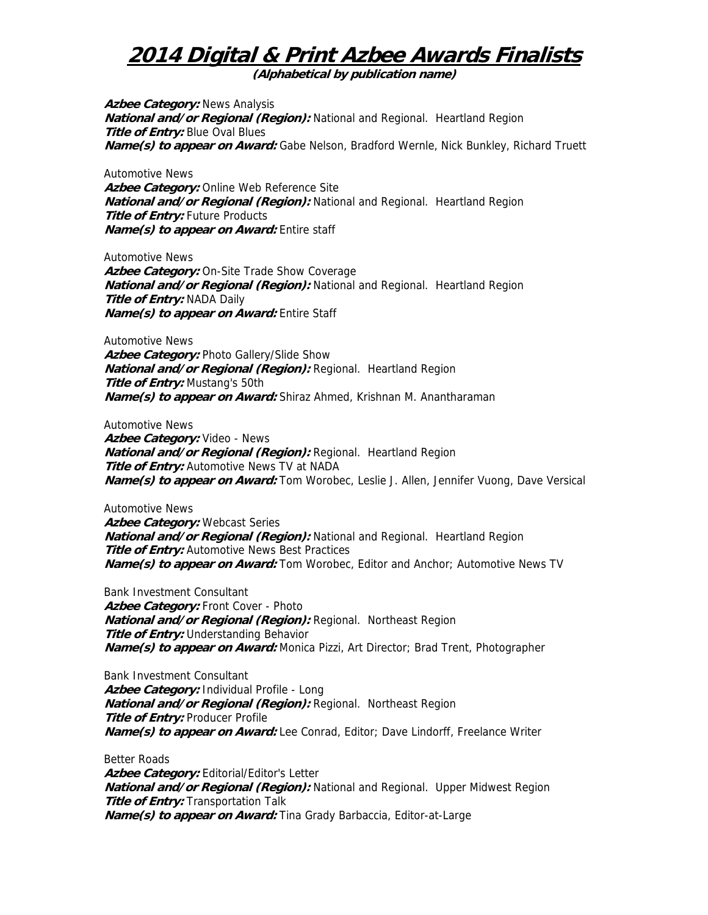**(Alphabetical by publication name)** 

**Azbee Category:** News Analysis **National and/or Regional (Region):** National and Regional. Heartland Region **Title of Entry:** Blue Oval Blues **Name(s) to appear on Award:** Gabe Nelson, Bradford Wernle, Nick Bunkley, Richard Truett

Automotive News **Azbee Category:** Online Web Reference Site **National and/or Regional (Region):** National and Regional. Heartland Region **Title of Entry:** Future Products **Name(s) to appear on Award:** Entire staff

Automotive News **Azbee Category:** On-Site Trade Show Coverage **National and/or Regional (Region):** National and Regional. Heartland Region **Title of Entry:** NADA Daily **Name(s) to appear on Award:** Entire Staff

Automotive News **Azbee Category:** Photo Gallery/Slide Show **National and/or Regional (Region):** Regional. Heartland Region **Title of Entry:** Mustang's 50th **Name(s) to appear on Award:** Shiraz Ahmed, Krishnan M. Anantharaman

Automotive News **Azbee Category:** Video - News **National and/or Regional (Region):** Regional. Heartland Region **Title of Entry:** Automotive News TV at NADA **Name(s) to appear on Award:** Tom Worobec, Leslie J. Allen, Jennifer Vuong, Dave Versical

Automotive News **Azbee Category:** Webcast Series **National and/or Regional (Region):** National and Regional. Heartland Region **Title of Entry:** Automotive News Best Practices **Name(s) to appear on Award:** Tom Worobec, Editor and Anchor; Automotive News TV

Bank Investment Consultant Azbee Category: Front Cover - Photo **National and/or Regional (Region):** Regional. Northeast Region **Title of Entry:** Understanding Behavior **Name(s) to appear on Award:** Monica Pizzi, Art Director; Brad Trent, Photographer

Bank Investment Consultant **Azbee Category:** Individual Profile - Long **National and/or Regional (Region):** Regional. Northeast Region **Title of Entry: Producer Profile Name(s) to appear on Award:** Lee Conrad, Editor; Dave Lindorff, Freelance Writer

Better Roads **Azbee Category:** Editorial/Editor's Letter **National and/or Regional (Region):** National and Regional. Upper Midwest Region **Title of Entry:** Transportation Talk **Name(s) to appear on Award:** Tina Grady Barbaccia, Editor-at-Large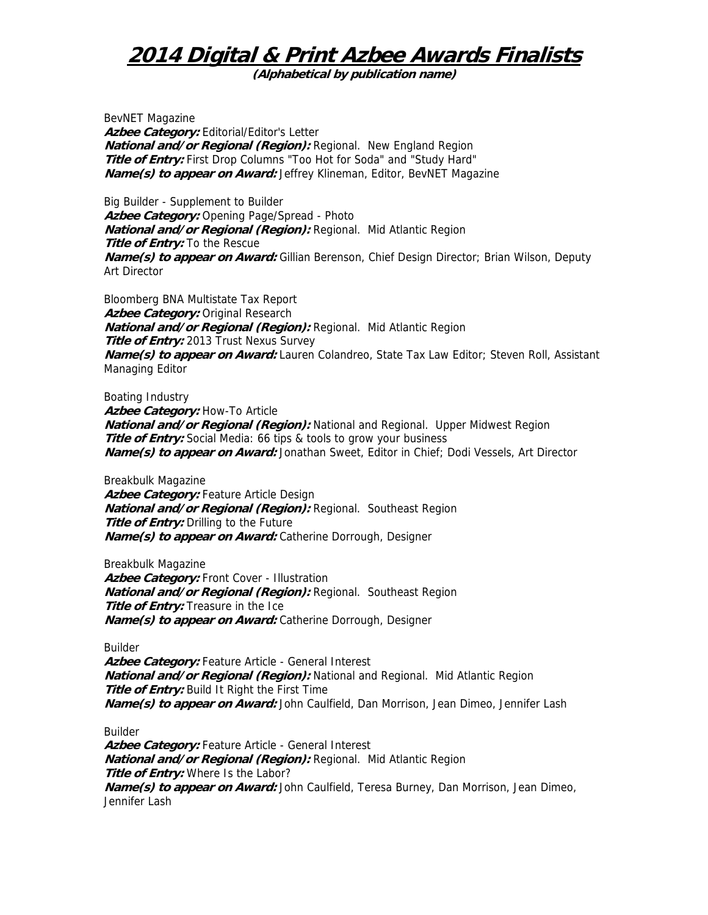**(Alphabetical by publication name)** 

BevNET Magazine Azbee Category: Editorial/Editor's Letter **National and/or Regional (Region):** Regional. New England Region **Title of Entry:** First Drop Columns "Too Hot for Soda" and "Study Hard" **Name(s) to appear on Award:** Jeffrey Klineman, Editor, BevNET Magazine

Big Builder - Supplement to Builder Azbee Category: Opening Page/Spread - Photo **National and/or Regional (Region):** Regional. Mid Atlantic Region **Title of Entry:** To the Rescue **Name(s) to appear on Award:** Gillian Berenson, Chief Design Director; Brian Wilson, Deputy Art Director

Bloomberg BNA Multistate Tax Report **Azbee Category:** Original Research **National and/or Regional (Region):** Regional. Mid Atlantic Region **Title of Entry:** 2013 Trust Nexus Survey **Name(s) to appear on Award:** Lauren Colandreo, State Tax Law Editor; Steven Roll, Assistant Managing Editor

Boating Industry Azbee Category: How-To Article **National and/or Regional (Region):** National and Regional. Upper Midwest Region **Title of Entry:** Social Media: 66 tips & tools to grow your business **Name(s) to appear on Award:** Jonathan Sweet, Editor in Chief; Dodi Vessels, Art Director

Breakbulk Magazine Azbee Category: Feature Article Design **National and/or Regional (Region):** Regional. Southeast Region **Title of Entry:** Drilling to the Future **Name(s) to appear on Award:** Catherine Dorrough, Designer

Breakbulk Magazine Azbee Category: Front Cover - Illustration **National and/or Regional (Region):** Regional. Southeast Region **Title of Entry:** Treasure in the Ice **Name(s) to appear on Award:** Catherine Dorrough, Designer

Builder

**Azbee Category:** Feature Article - General Interest **National and/or Regional (Region):** National and Regional. Mid Atlantic Region **Title of Entry:** Build It Right the First Time **Name(s) to appear on Award:** John Caulfield, Dan Morrison, Jean Dimeo, Jennifer Lash

Builder

**Azbee Category:** Feature Article - General Interest **National and/or Regional (Region):** Regional. Mid Atlantic Region **Title of Entry:** Where Is the Labor? **Name(s) to appear on Award:** John Caulfield, Teresa Burney, Dan Morrison, Jean Dimeo, Jennifer Lash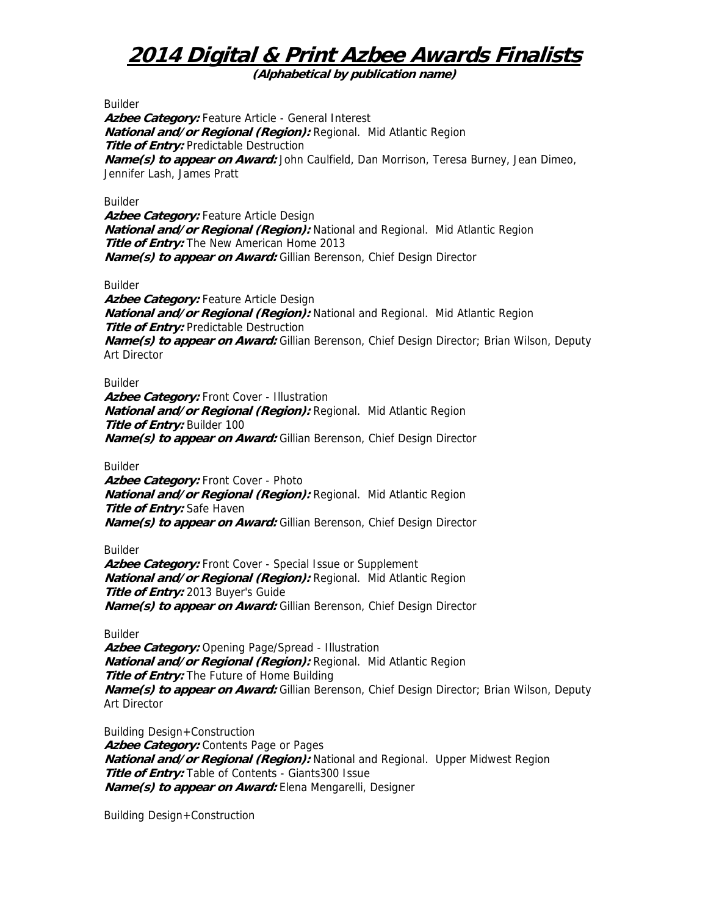**(Alphabetical by publication name)** 

Builder

Azbee Category: Feature Article - General Interest **National and/or Regional (Region):** Regional. Mid Atlantic Region **Title of Entry: Predictable Destruction Name(s) to appear on Award:** John Caulfield, Dan Morrison, Teresa Burney, Jean Dimeo, Jennifer Lash, James Pratt

Builder

Azbee Category: Feature Article Design **National and/or Regional (Region):** National and Regional. Mid Atlantic Region **Title of Entry:** The New American Home 2013 **Name(s) to appear on Award:** Gillian Berenson, Chief Design Director

Builder

Azbee Category: Feature Article Design **National and/or Regional (Region):** National and Regional. Mid Atlantic Region **Title of Entry:** Predictable Destruction **Name(s) to appear on Award:** Gillian Berenson, Chief Design Director; Brian Wilson, Deputy Art Director

Builder

**Azbee Category:** Front Cover - Illustration **National and/or Regional (Region):** Regional. Mid Atlantic Region **Title of Entry:** Builder 100 **Name(s) to appear on Award:** Gillian Berenson, Chief Design Director

Builder

**Azbee Category:** Front Cover - Photo **National and/or Regional (Region):** Regional. Mid Atlantic Region **Title of Entry:** Safe Haven **Name(s) to appear on Award:** Gillian Berenson, Chief Design Director

Builder

Azbee Category: Front Cover - Special Issue or Supplement **National and/or Regional (Region):** Regional. Mid Atlantic Region **Title of Entry:** 2013 Buyer's Guide **Name(s) to appear on Award:** Gillian Berenson, Chief Design Director

Builder

**Azbee Category:** Opening Page/Spread - Illustration **National and/or Regional (Region):** Regional. Mid Atlantic Region **Title of Entry:** The Future of Home Building **Name(s) to appear on Award:** Gillian Berenson, Chief Design Director; Brian Wilson, Deputy Art Director

Building Design+Construction Azbee Category: Contents Page or Pages **National and/or Regional (Region):** National and Regional. Upper Midwest Region **Title of Entry:** Table of Contents - Giants300 Issue **Name(s) to appear on Award:** Elena Mengarelli, Designer

Building Design+Construction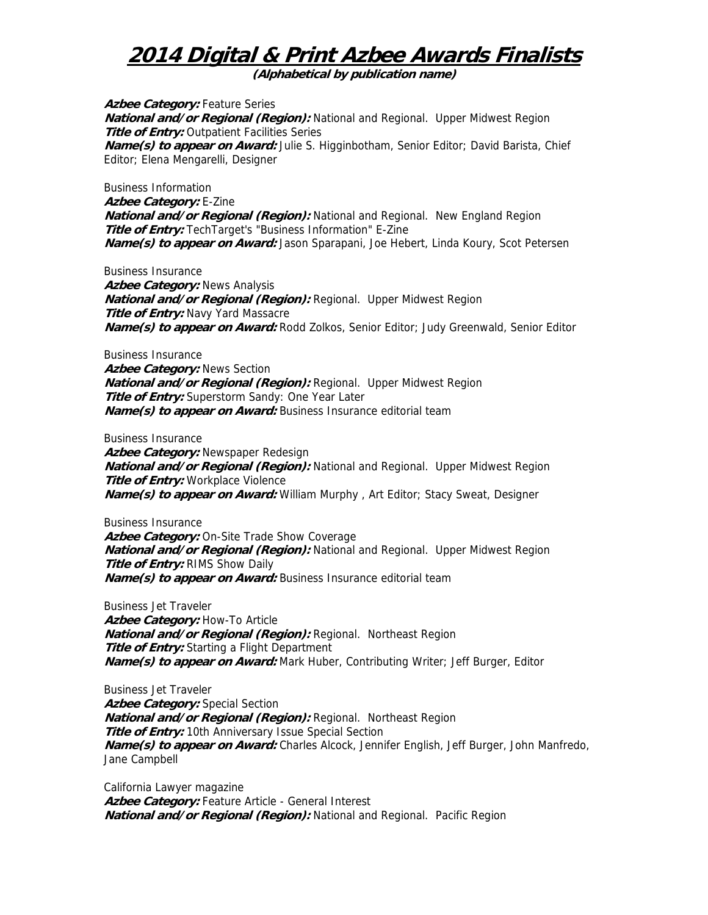**(Alphabetical by publication name)** 

**Azbee Category:** Feature Series **National and/or Regional (Region):** National and Regional. Upper Midwest Region **Title of Entry:** Outpatient Facilities Series **Name(s) to appear on Award:** Julie S. Higginbotham, Senior Editor; David Barista, Chief Editor; Elena Mengarelli, Designer

Business Information **Azbee Category:** E-Zine **National and/or Regional (Region):** National and Regional. New England Region **Title of Entry:** TechTarget's "Business Information" E-Zine **Name(s) to appear on Award:** Jason Sparapani, Joe Hebert, Linda Koury, Scot Petersen

Business Insurance **Azbee Category:** News Analysis **National and/or Regional (Region):** Regional. Upper Midwest Region **Title of Entry: Navy Yard Massacre Name(s) to appear on Award:** Rodd Zolkos, Senior Editor; Judy Greenwald, Senior Editor

Business Insurance Azbee Category: News Section **National and/or Regional (Region):** Regional. Upper Midwest Region **Title of Entry:** Superstorm Sandy: One Year Later **Name(s) to appear on Award:** Business Insurance editorial team

Business Insurance **Azbee Category:** Newspaper Redesign **National and/or Regional (Region):** National and Regional. Upper Midwest Region **Title of Entry:** Workplace Violence **Name(s) to appear on Award:** William Murphy , Art Editor; Stacy Sweat, Designer

Business Insurance Azbee Category: On-Site Trade Show Coverage **National and/or Regional (Region):** National and Regional. Upper Midwest Region **Title of Entry:** RIMS Show Daily **Name(s) to appear on Award:** Business Insurance editorial team

Business Jet Traveler **Azbee Category:** How-To Article **National and/or Regional (Region):** Regional. Northeast Region **Title of Entry:** Starting a Flight Department **Name(s) to appear on Award:** Mark Huber, Contributing Writer; Jeff Burger, Editor

Business Jet Traveler **Azbee Category:** Special Section **National and/or Regional (Region):** Regional. Northeast Region **Title of Entry:** 10th Anniversary Issue Special Section **Name(s) to appear on Award:** Charles Alcock, Jennifer English, Jeff Burger, John Manfredo, Jane Campbell

California Lawyer magazine Azbee Category: Feature Article - General Interest **National and/or Regional (Region):** National and Regional. Pacific Region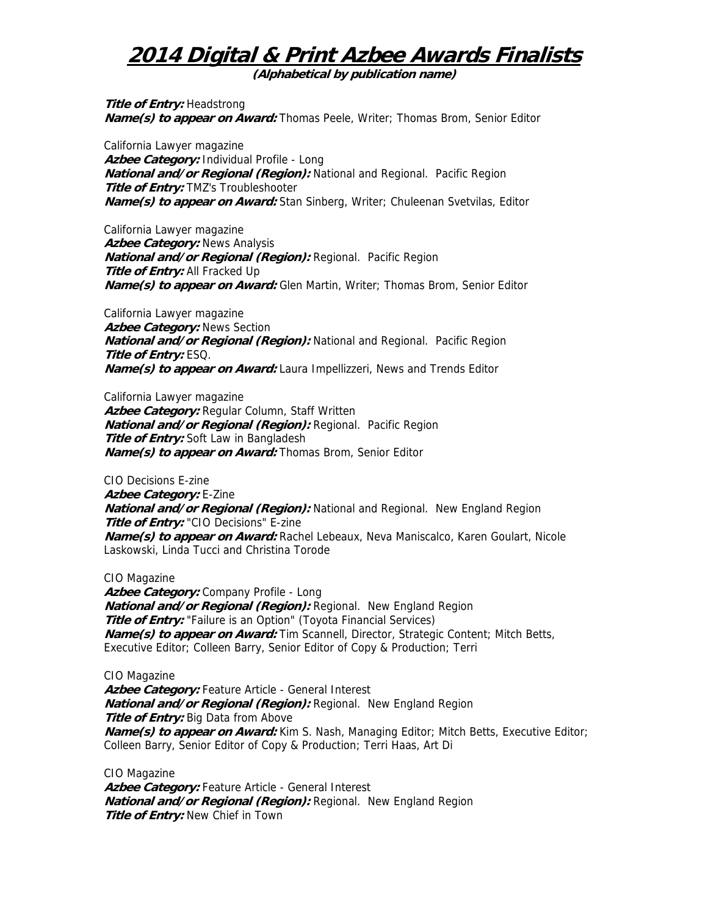**(Alphabetical by publication name)** 

**Title of Entry: Headstrong Name(s) to appear on Award:** Thomas Peele, Writer; Thomas Brom, Senior Editor

California Lawyer magazine **Azbee Category:** Individual Profile - Long **National and/or Regional (Region):** National and Regional. Pacific Region **Title of Entry:** TMZ's Troubleshooter **Name(s) to appear on Award:** Stan Sinberg, Writer; Chuleenan Svetvilas, Editor

California Lawyer magazine **Azbee Category:** News Analysis **National and/or Regional (Region):** Regional. Pacific Region **Title of Entry:** All Fracked Up **Name(s) to appear on Award:** Glen Martin, Writer; Thomas Brom, Senior Editor

California Lawyer magazine **Azbee Category:** News Section **National and/or Regional (Region):** National and Regional. Pacific Region **Title of Entry:** ESQ. **Name(s) to appear on Award:** Laura Impellizzeri, News and Trends Editor

California Lawyer magazine **Azbee Category:** Regular Column, Staff Written **National and/or Regional (Region):** Regional. Pacific Region **Title of Entry:** Soft Law in Bangladesh **Name(s) to appear on Award:** Thomas Brom, Senior Editor

CIO Decisions E-zine **Azbee Category:** E-Zine **National and/or Regional (Region):** National and Regional. New England Region **Title of Entry:** "CIO Decisions" E-zine **Name(s) to appear on Award:** Rachel Lebeaux, Neva Maniscalco, Karen Goulart, Nicole Laskowski, Linda Tucci and Christina Torode

CIO Magazine

**Azbee Category:** Company Profile - Long **National and/or Regional (Region):** Regional. New England Region **Title of Entry:** "Failure is an Option" (Toyota Financial Services) **Name(s) to appear on Award:** Tim Scannell, Director, Strategic Content; Mitch Betts, Executive Editor; Colleen Barry, Senior Editor of Copy & Production; Terri

CIO Magazine Azbee Category: Feature Article - General Interest **National and/or Regional (Region):** Regional. New England Region **Title of Entry:** Big Data from Above **Name(s) to appear on Award:** Kim S. Nash, Managing Editor; Mitch Betts, Executive Editor; Colleen Barry, Senior Editor of Copy & Production; Terri Haas, Art Di

CIO Magazine Azbee Category: Feature Article - General Interest **National and/or Regional (Region):** Regional. New England Region **Title of Entry:** New Chief in Town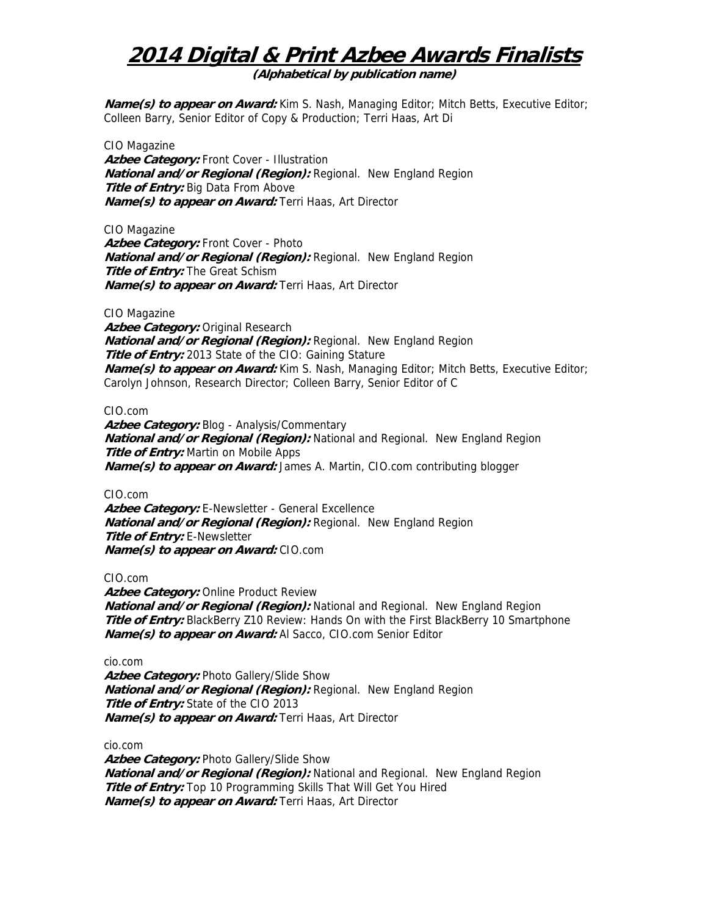**(Alphabetical by publication name)** 

**Name(s) to appear on Award:** Kim S. Nash, Managing Editor; Mitch Betts, Executive Editor; Colleen Barry, Senior Editor of Copy & Production; Terri Haas, Art Di

CIO Magazine Azbee Category: Front Cover - Illustration **National and/or Regional (Region):** Regional. New England Region **Title of Entry:** Big Data From Above **Name(s) to appear on Award:** Terri Haas, Art Director

CIO Magazine

**Azbee Category:** Front Cover - Photo **National and/or Regional (Region):** Regional. New England Region **Title of Entry:** The Great Schism **Name(s) to appear on Award:** Terri Haas, Art Director

CIO Magazine

**Azbee Category:** Original Research **National and/or Regional (Region):** Regional. New England Region **Title of Entry:** 2013 State of the CIO: Gaining Stature **Name(s) to appear on Award:** Kim S. Nash, Managing Editor; Mitch Betts, Executive Editor; Carolyn Johnson, Research Director; Colleen Barry, Senior Editor of C

#### CIO.com

Azbee Category: Blog - Analysis/Commentary **National and/or Regional (Region):** National and Regional. New England Region **Title of Entry:** Martin on Mobile Apps **Name(s) to appear on Award:** James A. Martin, CIO.com contributing blogger

CIO.com

Azbee Category: E-Newsletter - General Excellence **National and/or Regional (Region):** Regional. New England Region **Title of Entry:** E-Newsletter **Name(s) to appear on Award:** CIO.com

CIO.com

**Azbee Category: Online Product Review National and/or Regional (Region):** National and Regional. New England Region **Title of Entry:** BlackBerry Z10 Review: Hands On with the First BlackBerry 10 Smartphone **Name(s) to appear on Award:** Al Sacco, CIO.com Senior Editor

cio.com

Azbee Category: Photo Gallery/Slide Show **National and/or Regional (Region):** Regional. New England Region **Title of Entry:** State of the CIO 2013 **Name(s) to appear on Award:** Terri Haas, Art Director

cio.com

Azbee Category: Photo Gallery/Slide Show **National and/or Regional (Region):** National and Regional. New England Region **Title of Entry:** Top 10 Programming Skills That Will Get You Hired **Name(s) to appear on Award:** Terri Haas, Art Director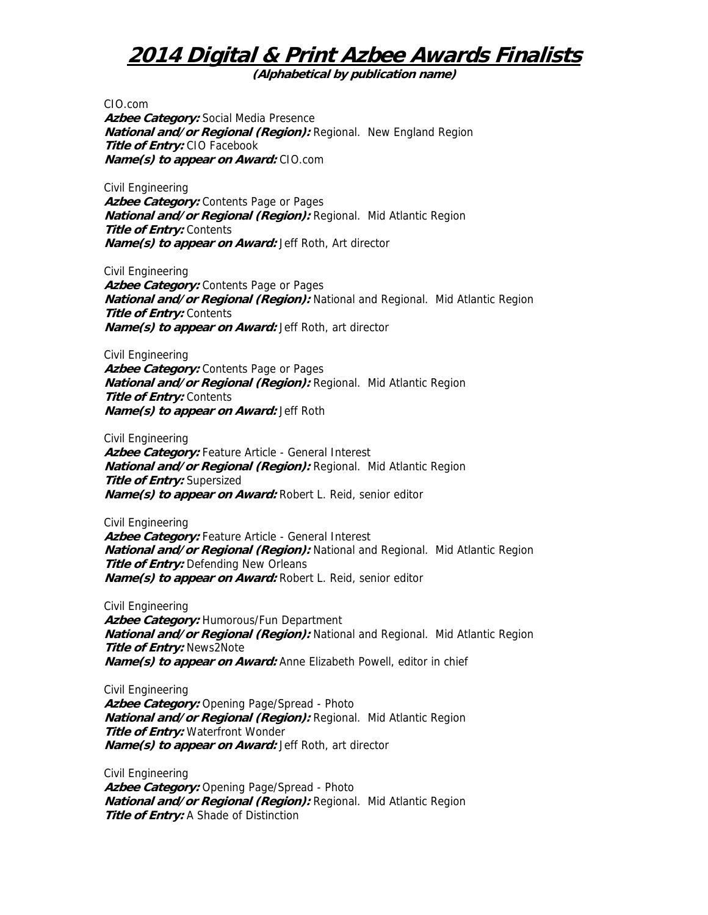**(Alphabetical by publication name)** 

CIO.com **Azbee Category:** Social Media Presence **National and/or Regional (Region):** Regional. New England Region **Title of Entry:** CIO Facebook **Name(s) to appear on Award:** CIO.com

Civil Engineering Azbee Category: Contents Page or Pages **National and/or Regional (Region):** Regional. Mid Atlantic Region **Title of Entry: Contents Name(s) to appear on Award:** Jeff Roth, Art director

Civil Engineering Azbee Category: Contents Page or Pages **National and/or Regional (Region):** National and Regional. Mid Atlantic Region **Title of Entry:** Contents **Name(s) to appear on Award:** Jeff Roth, art director

Civil Engineering Azbee Category: Contents Page or Pages **National and/or Regional (Region):** Regional. Mid Atlantic Region **Title of Entry: Contents Name(s) to appear on Award:** Jeff Roth

Civil Engineering **Azbee Category:** Feature Article - General Interest **National and/or Regional (Region):** Regional. Mid Atlantic Region **Title of Entry:** Supersized **Name(s) to appear on Award:** Robert L. Reid, senior editor

Civil Engineering Azbee Category: Feature Article - General Interest **National and/or Regional (Region):** National and Regional. Mid Atlantic Region **Title of Entry:** Defending New Orleans **Name(s) to appear on Award:** Robert L. Reid, senior editor

Civil Engineering **Azbee Category:** Humorous/Fun Department **National and/or Regional (Region):** National and Regional. Mid Atlantic Region **Title of Entry:** News2Note **Name(s) to appear on Award:** Anne Elizabeth Powell, editor in chief

Civil Engineering **Azbee Category:** Opening Page/Spread - Photo **National and/or Regional (Region):** Regional. Mid Atlantic Region **Title of Entry:** Waterfront Wonder **Name(s) to appear on Award:** Jeff Roth, art director

Civil Engineering Azbee Category: Opening Page/Spread - Photo **National and/or Regional (Region):** Regional. Mid Atlantic Region **Title of Entry:** A Shade of Distinction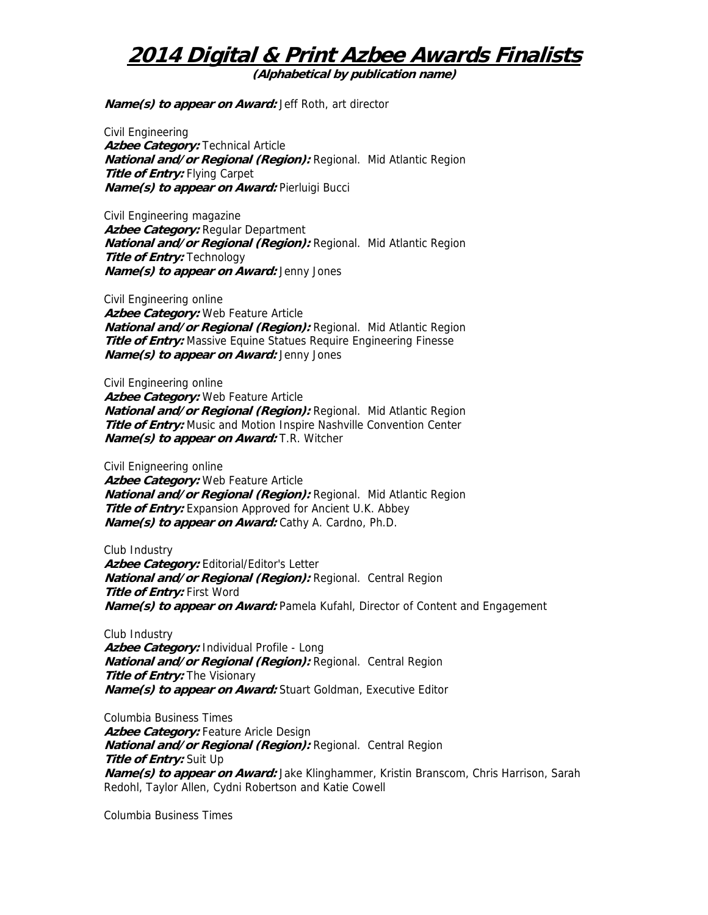**(Alphabetical by publication name)** 

**Name(s) to appear on Award:** Jeff Roth, art director

Civil Engineering **Azbee Category:** Technical Article **National and/or Regional (Region):** Regional. Mid Atlantic Region **Title of Entry:** Flying Carpet **Name(s) to appear on Award:** Pierluigi Bucci

Civil Engineering magazine **Azbee Category:** Regular Department **National and/or Regional (Region):** Regional. Mid Atlantic Region **Title of Entry:** Technology **Name(s) to appear on Award:** Jenny Jones

Civil Engineering online **Azbee Category:** Web Feature Article **National and/or Regional (Region):** Regional. Mid Atlantic Region **Title of Entry:** Massive Equine Statues Require Engineering Finesse **Name(s) to appear on Award:** Jenny Jones

Civil Engineering online **Azbee Category:** Web Feature Article **National and/or Regional (Region):** Regional. Mid Atlantic Region **Title of Entry:** Music and Motion Inspire Nashville Convention Center **Name(s) to appear on Award:** T.R. Witcher

Civil Enigneering online **Azbee Category:** Web Feature Article **National and/or Regional (Region):** Regional. Mid Atlantic Region **Title of Entry:** Expansion Approved for Ancient U.K. Abbey **Name(s) to appear on Award:** Cathy A. Cardno, Ph.D.

Club Industry Azbee Category: Editorial/Editor's Letter **National and/or Regional (Region):** Regional. Central Region **Title of Entry:** First Word **Name(s) to appear on Award:** Pamela Kufahl, Director of Content and Engagement

Club Industry **Azbee Category:** Individual Profile - Long **National and/or Regional (Region):** Regional. Central Region **Title of Entry:** The Visionary **Name(s) to appear on Award:** Stuart Goldman, Executive Editor

Columbia Business Times Azbee Category: Feature Aricle Design **National and/or Regional (Region):** Regional. Central Region **Title of Entry:** Suit Up **Name(s) to appear on Award:** Jake Klinghammer, Kristin Branscom, Chris Harrison, Sarah Redohl, Taylor Allen, Cydni Robertson and Katie Cowell

Columbia Business Times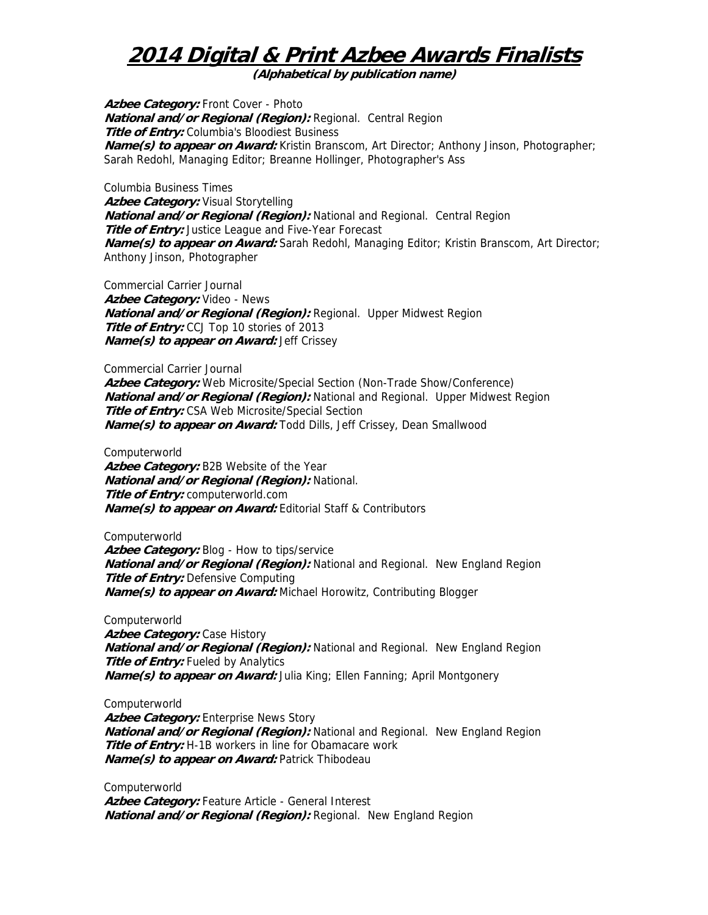**(Alphabetical by publication name)** 

Azbee Category: Front Cover - Photo **National and/or Regional (Region):** Regional. Central Region **Title of Entry:** Columbia's Bloodiest Business **Name(s) to appear on Award:** Kristin Branscom, Art Director; Anthony Jinson, Photographer; Sarah Redohl, Managing Editor; Breanne Hollinger, Photographer's Ass

Columbia Business Times Azbee Category: Visual Storytelling **National and/or Regional (Region):** National and Regional. Central Region **Title of Entry:** Justice League and Five-Year Forecast **Name(s) to appear on Award:** Sarah Redohl, Managing Editor; Kristin Branscom, Art Director; Anthony Jinson, Photographer

Commercial Carrier Journal **Azbee Category:** Video - News **National and/or Regional (Region):** Regional. Upper Midwest Region **Title of Entry:** CCJ Top 10 stories of 2013 **Name(s) to appear on Award:** Jeff Crissey

Commercial Carrier Journal **Azbee Category:** Web Microsite/Special Section (Non-Trade Show/Conference) **National and/or Regional (Region):** National and Regional. Upper Midwest Region **Title of Entry:** CSA Web Microsite/Special Section **Name(s) to appear on Award:** Todd Dills, Jeff Crissey, Dean Smallwood

Computerworld **Azbee Category:** B2B Website of the Year **National and/or Regional (Region):** National. **Title of Entry:** computerworld.com **Name(s) to appear on Award:** Editorial Staff & Contributors

Computerworld Azbee Category: Blog - How to tips/service **National and/or Regional (Region):** National and Regional. New England Region **Title of Entry:** Defensive Computing **Name(s) to appear on Award:** Michael Horowitz, Contributing Blogger

Computerworld **Azbee Category:** Case History **National and/or Regional (Region):** National and Regional. New England Region **Title of Entry:** Fueled by Analytics **Name(s) to appear on Award:** Julia King; Ellen Fanning; April Montgonery

Computerworld Azbee Category: Enterprise News Story **National and/or Regional (Region):** National and Regional. New England Region **Title of Entry:** H-1B workers in line for Obamacare work **Name(s) to appear on Award:** Patrick Thibodeau

Computerworld Azbee Category: Feature Article - General Interest **National and/or Regional (Region):** Regional. New England Region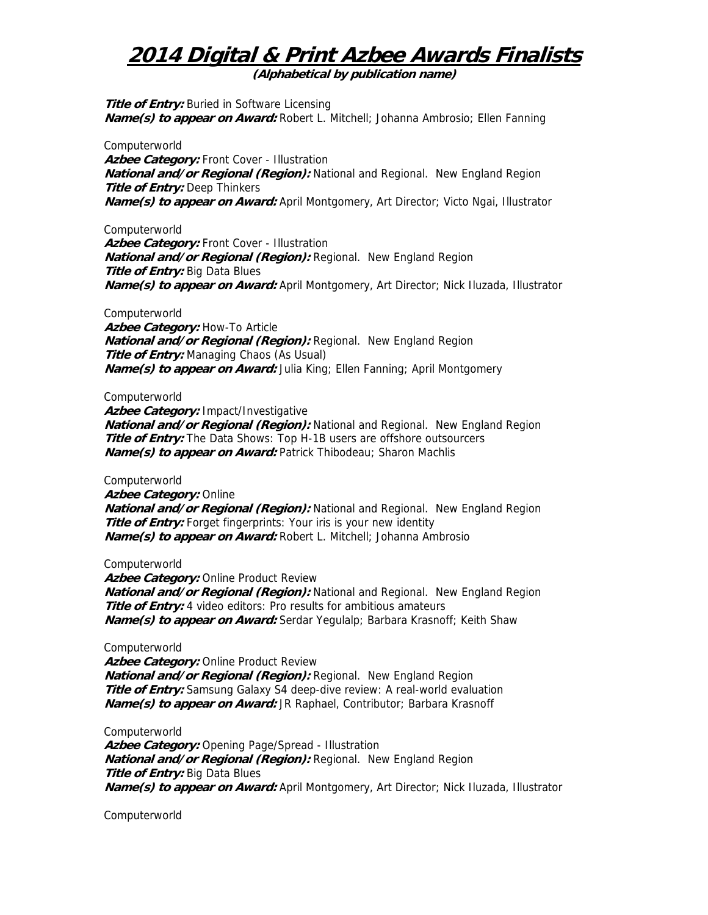**(Alphabetical by publication name)** 

**Title of Entry:** Buried in Software Licensing **Name(s) to appear on Award:** Robert L. Mitchell; Johanna Ambrosio; Ellen Fanning

Computerworld Azbee Category: Front Cover - Illustration **National and/or Regional (Region):** National and Regional. New England Region **Title of Entry: Deep Thinkers Name(s) to appear on Award:** April Montgomery, Art Director; Victo Ngai, Illustrator

Computerworld

Azbee Category: Front Cover - Illustration **National and/or Regional (Region):** Regional. New England Region **Title of Entry: Big Data Blues Name(s) to appear on Award:** April Montgomery, Art Director; Nick Iluzada, Illustrator

Computerworld

**Azbee Category:** How-To Article **National and/or Regional (Region):** Regional. New England Region **Title of Entry:** Managing Chaos (As Usual) **Name(s) to appear on Award:** Julia King; Ellen Fanning; April Montgomery

Computerworld

**Azbee Category:** Impact/Investigative **National and/or Regional (Region):** National and Regional. New England Region **Title of Entry:** The Data Shows: Top H-1B users are offshore outsourcers **Name(s) to appear on Award:** Patrick Thibodeau; Sharon Machlis

Computerworld **Azbee Category:** Online **National and/or Regional (Region):** National and Regional. New England Region **Title of Entry:** Forget fingerprints: Your iris is your new identity **Name(s) to appear on Award:** Robert L. Mitchell; Johanna Ambrosio

Computerworld

**Azbee Category:** Online Product Review **National and/or Regional (Region):** National and Regional. New England Region **Title of Entry:** 4 video editors: Pro results for ambitious amateurs **Name(s) to appear on Award:** Serdar Yegulalp; Barbara Krasnoff; Keith Shaw

Computerworld

Azbee Category: Online Product Review **National and/or Regional (Region):** Regional. New England Region **Title of Entry:** Samsung Galaxy S4 deep-dive review: A real-world evaluation **Name(s) to appear on Award:** JR Raphael, Contributor; Barbara Krasnoff

Computerworld **Azbee Category:** Opening Page/Spread - Illustration **National and/or Regional (Region):** Regional. New England Region **Title of Entry: Big Data Blues Name(s) to appear on Award:** April Montgomery, Art Director; Nick Iluzada, Illustrator

Computerworld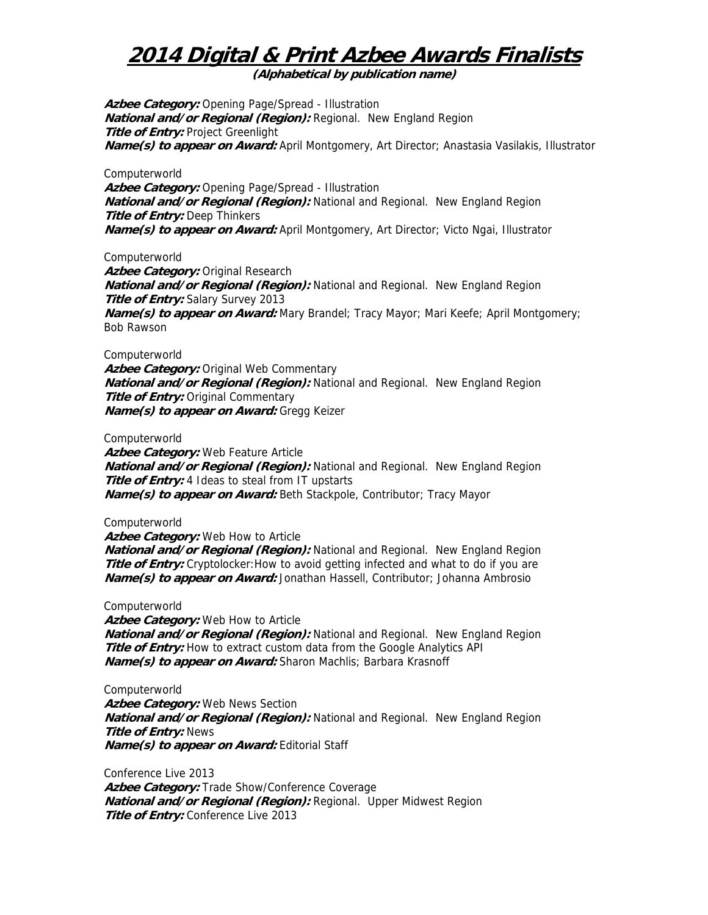**(Alphabetical by publication name)** 

**Azbee Category:** Opening Page/Spread - Illustration **National and/or Regional (Region):** Regional. New England Region **Title of Entry: Project Greenlight Name(s) to appear on Award:** April Montgomery, Art Director; Anastasia Vasilakis, Illustrator

Computerworld **Azbee Category:** Opening Page/Spread - Illustration **National and/or Regional (Region):** National and Regional. New England Region **Title of Entry:** Deep Thinkers **Name(s) to appear on Award:** April Montgomery, Art Director; Victo Ngai, Illustrator

Computerworld

**Azbee Category:** Original Research **National and/or Regional (Region):** National and Regional. New England Region **Title of Entry:** Salary Survey 2013 **Name(s) to appear on Award:** Mary Brandel; Tracy Mayor; Mari Keefe; April Montgomery; Bob Rawson

Computerworld

**Azbee Category:** Original Web Commentary **National and/or Regional (Region):** National and Regional. New England Region **Title of Entry:** Original Commentary **Name(s) to appear on Award:** Gregg Keizer

Computerworld

**Azbee Category:** Web Feature Article **National and/or Regional (Region):** National and Regional. New England Region **Title of Entry:** 4 Ideas to steal from IT upstarts **Name(s) to appear on Award:** Beth Stackpole, Contributor; Tracy Mayor

Computerworld

Azbee Category: Web How to Article

**National and/or Regional (Region):** National and Regional. New England Region **Title of Entry:** Cryptolocker: How to avoid getting infected and what to do if you are **Name(s) to appear on Award:** Jonathan Hassell, Contributor; Johanna Ambrosio

Computerworld

**Azbee Category:** Web How to Article **National and/or Regional (Region):** National and Regional. New England Region **Title of Entry:** How to extract custom data from the Google Analytics API **Name(s) to appear on Award:** Sharon Machlis; Barbara Krasnoff

Computerworld Azbee Category: Web News Section **National and/or Regional (Region):** National and Regional. New England Region **Title of Entry:** News **Name(s) to appear on Award:** Editorial Staff

Conference Live 2013 Azbee Category: Trade Show/Conference Coverage **National and/or Regional (Region):** Regional. Upper Midwest Region **Title of Entry:** Conference Live 2013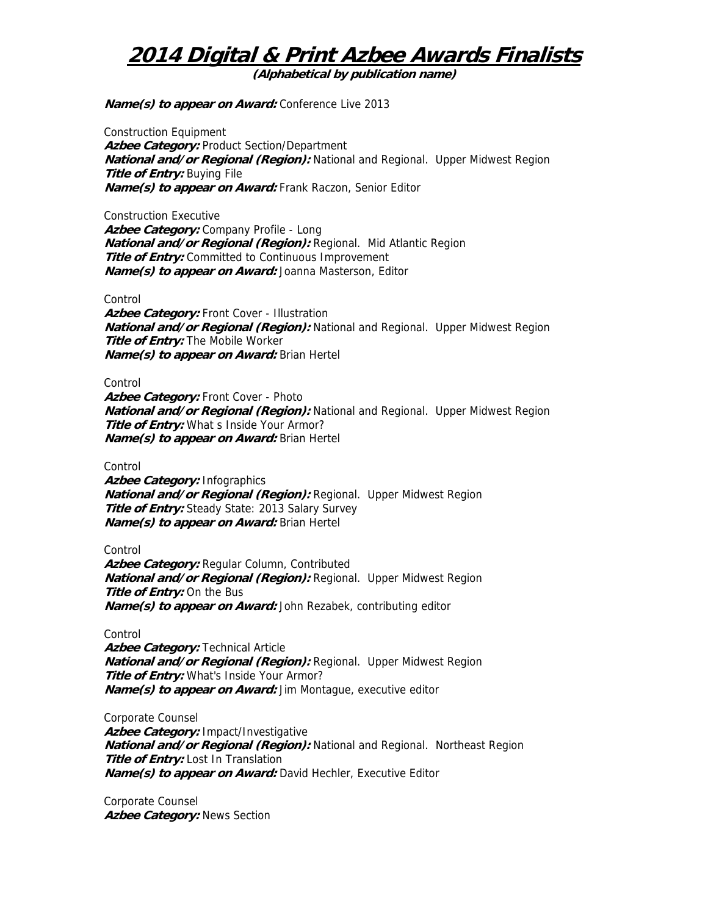**(Alphabetical by publication name)** 

**Name(s) to appear on Award:** Conference Live 2013

Construction Equipment Azbee Category: Product Section/Department **National and/or Regional (Region):** National and Regional. Upper Midwest Region **Title of Entry:** Buying File **Name(s) to appear on Award:** Frank Raczon, Senior Editor

Construction Executive Azbee Category: Company Profile - Long **National and/or Regional (Region):** Regional. Mid Atlantic Region **Title of Entry:** Committed to Continuous Improvement **Name(s) to appear on Award:** Joanna Masterson, Editor

Control

Azbee Category: Front Cover - Illustration **National and/or Regional (Region):** National and Regional. Upper Midwest Region **Title of Entry:** The Mobile Worker **Name(s) to appear on Award:** Brian Hertel

Control

Azbee Category: Front Cover - Photo **National and/or Regional (Region):** National and Regional. Upper Midwest Region **Title of Entry:** What s Inside Your Armor? **Name(s) to appear on Award:** Brian Hertel

Control

**Azbee Category:** Infographics **National and/or Regional (Region):** Regional. Upper Midwest Region **Title of Entry:** Steady State: 2013 Salary Survey **Name(s) to appear on Award:** Brian Hertel

**Control** 

**Azbee Category:** Regular Column, Contributed **National and/or Regional (Region):** Regional. Upper Midwest Region **Title of Entry:** On the Bus **Name(s) to appear on Award:** John Rezabek, contributing editor

Control

**Azbee Category:** Technical Article **National and/or Regional (Region):** Regional. Upper Midwest Region **Title of Entry:** What's Inside Your Armor? **Name(s) to appear on Award:** Jim Montague, executive editor

Corporate Counsel **Azbee Category:** Impact/Investigative **National and/or Regional (Region):** National and Regional. Northeast Region **Title of Entry:** Lost In Translation **Name(s) to appear on Award:** David Hechler, Executive Editor

Corporate Counsel **Azbee Category:** News Section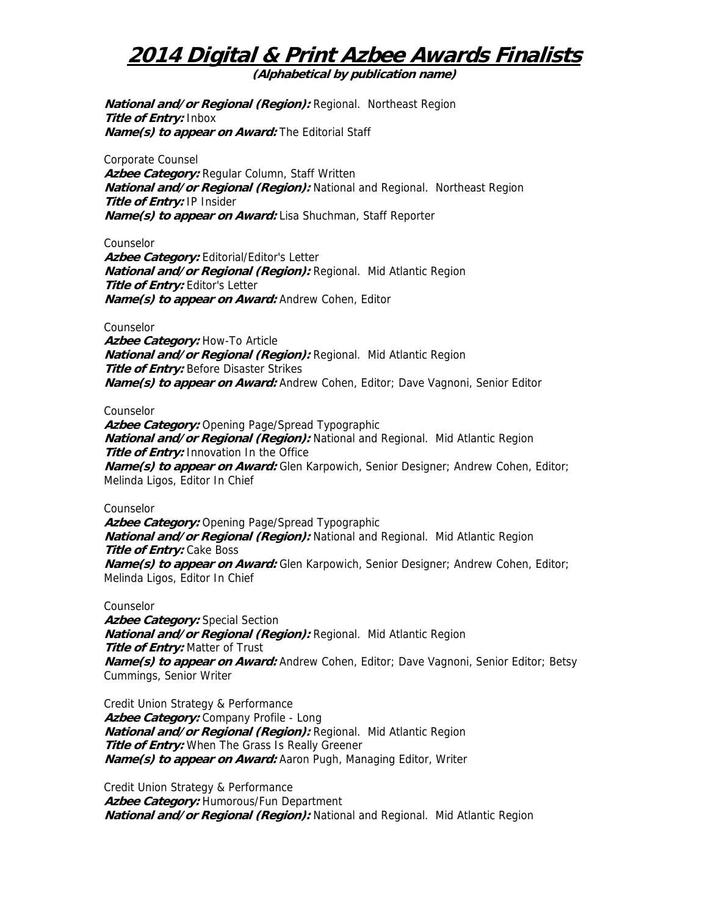**(Alphabetical by publication name)** 

**National and/or Regional (Region):** Regional. Northeast Region **Title of Entry:** Inbox **Name(s) to appear on Award:** The Editorial Staff

Corporate Counsel **Azbee Category:** Regular Column, Staff Written **National and/or Regional (Region):** National and Regional. Northeast Region **Title of Entry:** IP Insider **Name(s) to appear on Award:** Lisa Shuchman, Staff Reporter

Counselor

Azbee Category: Editorial/Editor's Letter **National and/or Regional (Region):** Regional. Mid Atlantic Region **Title of Entry:** Editor's Letter **Name(s) to appear on Award:** Andrew Cohen, Editor

#### Counselor

**Azbee Category:** How-To Article **National and/or Regional (Region):** Regional. Mid Atlantic Region **Title of Entry:** Before Disaster Strikes **Name(s) to appear on Award:** Andrew Cohen, Editor; Dave Vagnoni, Senior Editor

#### Counselor

**Azbee Category:** Opening Page/Spread Typographic **National and/or Regional (Region):** National and Regional. Mid Atlantic Region **Title of Entry:** Innovation In the Office **Name(s) to appear on Award:** Glen Karpowich, Senior Designer; Andrew Cohen, Editor; Melinda Ligos, Editor In Chief

#### Counselor

Azbee Category: Opening Page/Spread Typographic **National and/or Regional (Region):** National and Regional. Mid Atlantic Region **Title of Entry: Cake Boss Name(s) to appear on Award:** Glen Karpowich, Senior Designer; Andrew Cohen, Editor; Melinda Ligos, Editor In Chief

#### Counselor

**Azbee Category:** Special Section **National and/or Regional (Region):** Regional. Mid Atlantic Region **Title of Entry:** Matter of Trust **Name(s) to appear on Award:** Andrew Cohen, Editor; Dave Vagnoni, Senior Editor; Betsy Cummings, Senior Writer

Credit Union Strategy & Performance **Azbee Category:** Company Profile - Long **National and/or Regional (Region):** Regional. Mid Atlantic Region **Title of Entry:** When The Grass Is Really Greener **Name(s) to appear on Award:** Aaron Pugh, Managing Editor, Writer

Credit Union Strategy & Performance **Azbee Category:** Humorous/Fun Department **National and/or Regional (Region):** National and Regional. Mid Atlantic Region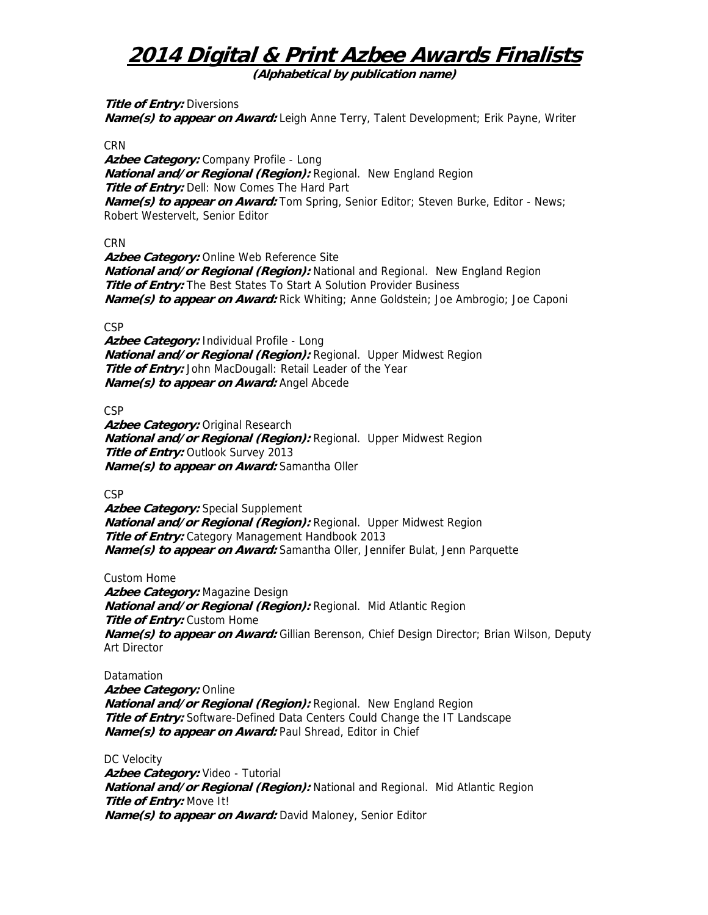**(Alphabetical by publication name)** 

**Title of Entry: Diversions** 

**Name(s) to appear on Award:** Leigh Anne Terry, Talent Development; Erik Payne, Writer

### **CRN**

Azbee Category: Company Profile - Long **National and/or Regional (Region):** Regional. New England Region **Title of Entry:** Dell: Now Comes The Hard Part **Name(s) to appear on Award:** Tom Spring, Senior Editor; Steven Burke, Editor - News; Robert Westervelt, Senior Editor

### **CRN**

**Azbee Category:** Online Web Reference Site **National and/or Regional (Region):** National and Regional. New England Region **Title of Entry:** The Best States To Start A Solution Provider Business **Name(s) to appear on Award:** Rick Whiting; Anne Goldstein; Joe Ambrogio; Joe Caponi

### CSP

**Azbee Category:** Individual Profile - Long **National and/or Regional (Region):** Regional. Upper Midwest Region **Title of Entry:** John MacDougall: Retail Leader of the Year **Name(s) to appear on Award:** Angel Abcede

**CSP** 

Azbee Category: Original Research **National and/or Regional (Region):** Regional. Upper Midwest Region **Title of Entry: Outlook Survey 2013 Name(s) to appear on Award:** Samantha Oller

**CSP** 

**Azbee Category:** Special Supplement **National and/or Regional (Region):** Regional. Upper Midwest Region **Title of Entry:** Category Management Handbook 2013 **Name(s) to appear on Award:** Samantha Oller, Jennifer Bulat, Jenn Parquette

Custom Home

**Azbee Category:** Magazine Design **National and/or Regional (Region):** Regional. Mid Atlantic Region **Title of Entry: Custom Home Name(s) to appear on Award:** Gillian Berenson, Chief Design Director; Brian Wilson, Deputy Art Director

Datamation **Azbee Category:** Online **National and/or Regional (Region):** Regional. New England Region **Title of Entry:** Software-Defined Data Centers Could Change the IT Landscape **Name(s) to appear on Award:** Paul Shread, Editor in Chief

DC Velocity **Azbee Category:** Video - Tutorial **National and/or Regional (Region):** National and Regional. Mid Atlantic Region **Title of Entry:** Move It! **Name(s) to appear on Award:** David Maloney, Senior Editor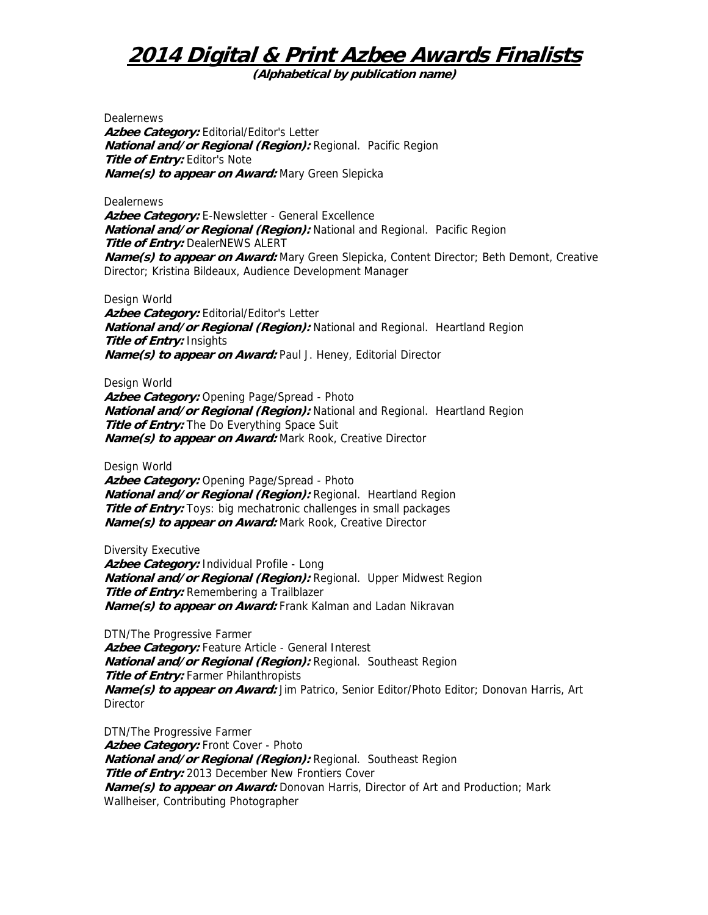**(Alphabetical by publication name)** 

**Dealernews** 

Azbee Category: Editorial/Editor's Letter **National and/or Regional (Region):** Regional. Pacific Region **Title of Entry: Editor's Note Name(s) to appear on Award:** Mary Green Slepicka

**Dealernews** Azbee Category: E-Newsletter - General Excellence **National and/or Regional (Region):** National and Regional. Pacific Region **Title of Entry:** DealerNEWS ALERT **Name(s) to appear on Award:** Mary Green Slepicka, Content Director; Beth Demont, Creative Director; Kristina Bildeaux, Audience Development Manager

Design World

Azbee Category: Editorial/Editor's Letter **National and/or Regional (Region):** National and Regional. Heartland Region **Title of Entry:** Insights **Name(s) to appear on Award:** Paul J. Heney, Editorial Director

Design World

**Azbee Category:** Opening Page/Spread - Photo **National and/or Regional (Region):** National and Regional. Heartland Region **Title of Entry:** The Do Everything Space Suit **Name(s) to appear on Award:** Mark Rook, Creative Director

Design World

**Azbee Category:** Opening Page/Spread - Photo **National and/or Regional (Region):** Regional. Heartland Region **Title of Entry:** Toys: big mechatronic challenges in small packages **Name(s) to appear on Award:** Mark Rook, Creative Director

Diversity Executive

**Azbee Category:** Individual Profile - Long **National and/or Regional (Region):** Regional. Upper Midwest Region **Title of Entry:** Remembering a Trailblazer **Name(s) to appear on Award:** Frank Kalman and Ladan Nikravan

DTN/The Progressive Farmer Azbee Category: Feature Article - General Interest **National and/or Regional (Region):** Regional. Southeast Region **Title of Entry:** Farmer Philanthropists **Name(s) to appear on Award:** Jim Patrico, Senior Editor/Photo Editor; Donovan Harris, Art **Director** 

DTN/The Progressive Farmer Azbee Category: Front Cover - Photo **National and/or Regional (Region):** Regional. Southeast Region **Title of Entry:** 2013 December New Frontiers Cover **Name(s) to appear on Award:** Donovan Harris, Director of Art and Production; Mark Wallheiser, Contributing Photographer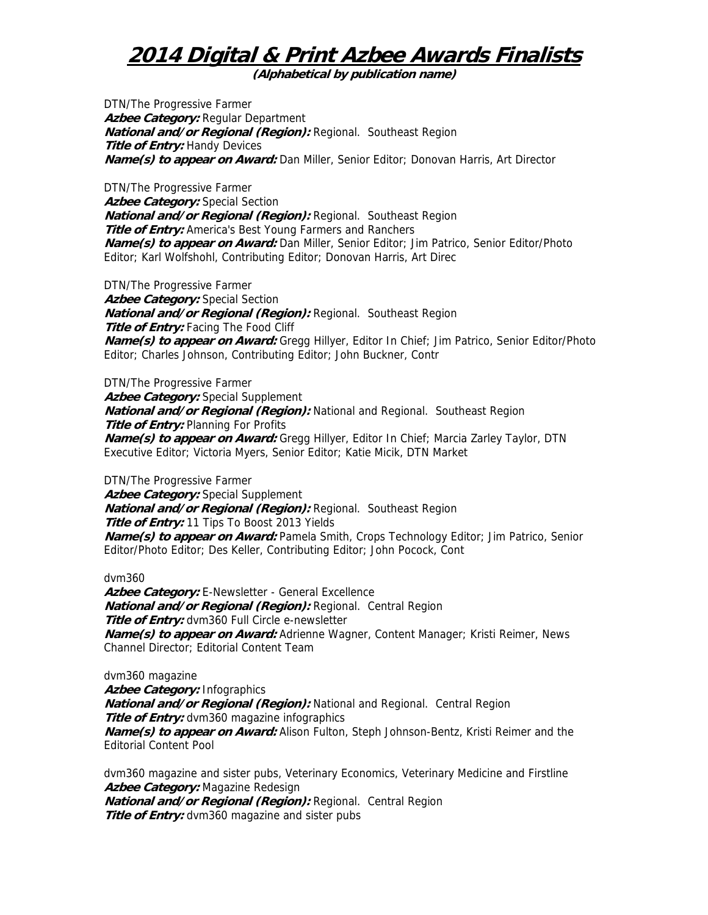**(Alphabetical by publication name)** 

DTN/The Progressive Farmer **Azbee Category:** Regular Department **National and/or Regional (Region):** Regional. Southeast Region **Title of Entry: Handy Devices Name(s) to appear on Award:** Dan Miller, Senior Editor; Donovan Harris, Art Director

DTN/The Progressive Farmer Azbee Category: Special Section **National and/or Regional (Region):** Regional. Southeast Region **Title of Entry:** America's Best Young Farmers and Ranchers **Name(s) to appear on Award:** Dan Miller, Senior Editor; Jim Patrico, Senior Editor/Photo Editor; Karl Wolfshohl, Contributing Editor; Donovan Harris, Art Direc

DTN/The Progressive Farmer Azbee Category: Special Section **National and/or Regional (Region):** Regional. Southeast Region **Title of Entry:** Facing The Food Cliff **Name(s) to appear on Award:** Gregg Hillyer, Editor In Chief; Jim Patrico, Senior Editor/Photo Editor; Charles Johnson, Contributing Editor; John Buckner, Contr

DTN/The Progressive Farmer **Azbee Category:** Special Supplement **National and/or Regional (Region):** National and Regional. Southeast Region **Title of Entry: Planning For Profits Name(s) to appear on Award:** Gregg Hillyer, Editor In Chief; Marcia Zarley Taylor, DTN Executive Editor; Victoria Myers, Senior Editor; Katie Micik, DTN Market

DTN/The Progressive Farmer

**Azbee Category:** Special Supplement **National and/or Regional (Region):** Regional. Southeast Region **Title of Entry:** 11 Tips To Boost 2013 Yields **Name(s) to appear on Award:** Pamela Smith, Crops Technology Editor; Jim Patrico, Senior Editor/Photo Editor; Des Keller, Contributing Editor; John Pocock, Cont

dvm360

Azbee Category: E-Newsletter - General Excellence **National and/or Regional (Region):** Regional. Central Region **Title of Entry:** dvm360 Full Circle e-newsletter **Name(s) to appear on Award:** Adrienne Wagner, Content Manager; Kristi Reimer, News Channel Director; Editorial Content Team

dvm360 magazine **Azbee Category:** Infographics **National and/or Regional (Region):** National and Regional. Central Region **Title of Entry:** dvm360 magazine infographics **Name(s) to appear on Award:** Alison Fulton, Steph Johnson-Bentz, Kristi Reimer and the Editorial Content Pool

dvm360 magazine and sister pubs, Veterinary Economics, Veterinary Medicine and Firstline **Azbee Category:** Magazine Redesign **National and/or Regional (Region):** Regional. Central Region **Title of Entry:** dvm360 magazine and sister pubs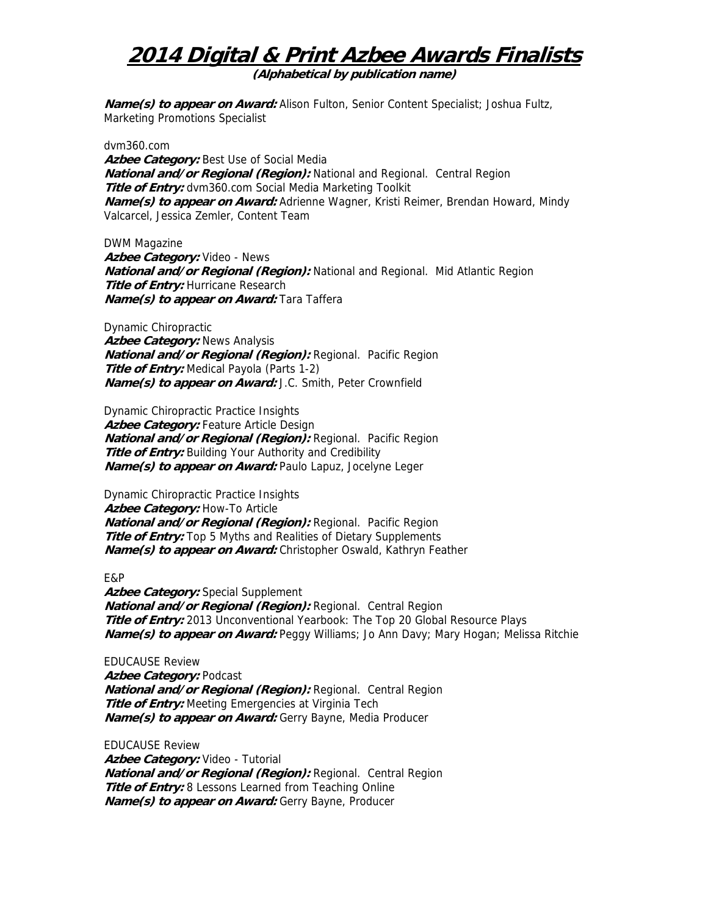**(Alphabetical by publication name)** 

**Name(s) to appear on Award:** Alison Fulton, Senior Content Specialist; Joshua Fultz, Marketing Promotions Specialist

dvm360.com Azbee Category: Best Use of Social Media **National and/or Regional (Region):** National and Regional. Central Region **Title of Entry:** dvm360.com Social Media Marketing Toolkit **Name(s) to appear on Award:** Adrienne Wagner, Kristi Reimer, Brendan Howard, Mindy Valcarcel, Jessica Zemler, Content Team

DWM Magazine **Azbee Category:** Video - News **National and/or Regional (Region):** National and Regional. Mid Atlantic Region **Title of Entry: Hurricane Research Name(s) to appear on Award:** Tara Taffera

Dynamic Chiropractic **Azbee Category:** News Analysis **National and/or Regional (Region):** Regional. Pacific Region **Title of Entry:** Medical Payola (Parts 1-2) **Name(s) to appear on Award:** J.C. Smith, Peter Crownfield

Dynamic Chiropractic Practice Insights Azbee Category: Feature Article Design **National and/or Regional (Region):** Regional. Pacific Region **Title of Entry:** Building Your Authority and Credibility **Name(s) to appear on Award:** Paulo Lapuz, Jocelyne Leger

Dynamic Chiropractic Practice Insights Azbee Category: How-To Article **National and/or Regional (Region):** Regional. Pacific Region **Title of Entry:** Top 5 Myths and Realities of Dietary Supplements **Name(s) to appear on Award:** Christopher Oswald, Kathryn Feather

### E&P

**Azbee Category:** Special Supplement **National and/or Regional (Region):** Regional. Central Region **Title of Entry:** 2013 Unconventional Yearbook: The Top 20 Global Resource Plays **Name(s) to appear on Award:** Peggy Williams; Jo Ann Davy; Mary Hogan; Melissa Ritchie

EDUCAUSE Review **Azbee Category:** Podcast **National and/or Regional (Region):** Regional. Central Region **Title of Entry:** Meeting Emergencies at Virginia Tech **Name(s) to appear on Award:** Gerry Bayne, Media Producer

EDUCAUSE Review **Azbee Category:** Video - Tutorial **National and/or Regional (Region):** Regional. Central Region **Title of Entry:** 8 Lessons Learned from Teaching Online **Name(s) to appear on Award:** Gerry Bayne, Producer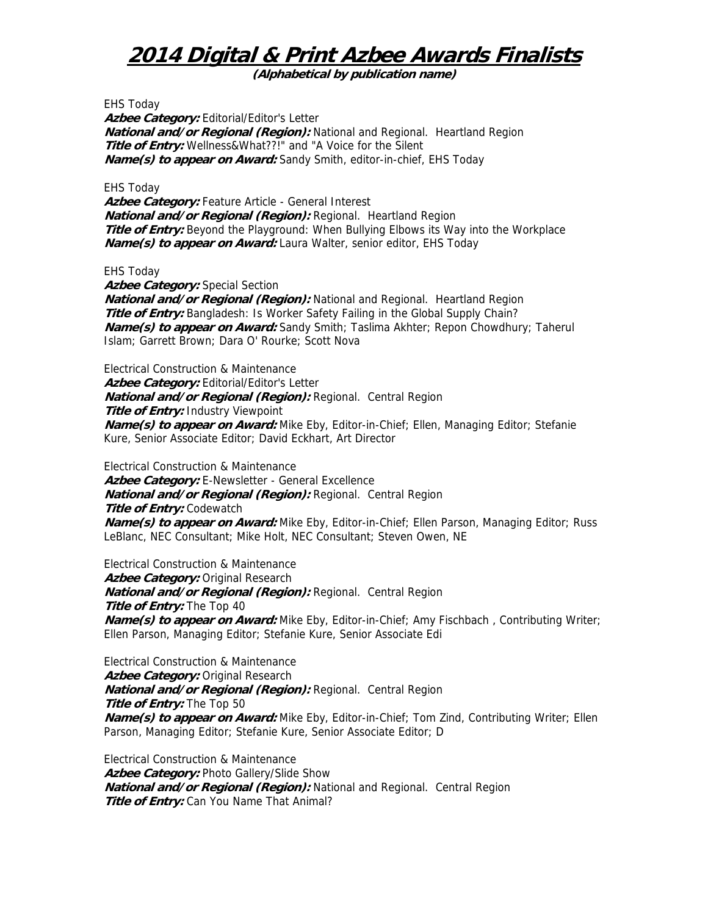**(Alphabetical by publication name)** 

EHS Today Azbee Category: Editorial/Editor's Letter **National and/or Regional (Region):** National and Regional. Heartland Region **Title of Entry:** Wellness&What??!" and "A Voice for the Silent **Name(s) to appear on Award:** Sandy Smith, editor-in-chief, EHS Today

EHS Today

**Azbee Category:** Feature Article - General Interest **National and/or Regional (Region):** Regional. Heartland Region **Title of Entry:** Beyond the Playground: When Bullying Elbows its Way into the Workplace **Name(s) to appear on Award:** Laura Walter, senior editor, EHS Today

EHS Today

Azbee Category: Special Section **National and/or Regional (Region):** National and Regional. Heartland Region **Title of Entry:** Bangladesh: Is Worker Safety Failing in the Global Supply Chain? **Name(s) to appear on Award:** Sandy Smith; Taslima Akhter; Repon Chowdhury; Taherul Islam; Garrett Brown; Dara O' Rourke; Scott Nova

Electrical Construction & Maintenance Azbee Category: Editorial/Editor's Letter **National and/or Regional (Region):** Regional. Central Region **Title of Entry:** Industry Viewpoint **Name(s) to appear on Award:** Mike Eby, Editor-in-Chief; Ellen, Managing Editor; Stefanie Kure, Senior Associate Editor; David Eckhart, Art Director

Electrical Construction & Maintenance **Azbee Category:** E-Newsletter - General Excellence **National and/or Regional (Region):** Regional. Central Region **Title of Entry:** Codewatch **Name(s) to appear on Award:** Mike Eby, Editor-in-Chief; Ellen Parson, Managing Editor; Russ LeBlanc, NEC Consultant; Mike Holt, NEC Consultant; Steven Owen, NE

Electrical Construction & Maintenance Azbee Category: Original Research **National and/or Regional (Region):** Regional. Central Region **Title of Entry:** The Top 40 **Name(s) to appear on Award:** Mike Eby, Editor-in-Chief; Amy Fischbach , Contributing Writer; Ellen Parson, Managing Editor; Stefanie Kure, Senior Associate Edi

Electrical Construction & Maintenance Azbee Category: Original Research **National and/or Regional (Region):** Regional. Central Region **Title of Entry:** The Top 50 **Name(s) to appear on Award:** Mike Eby, Editor-in-Chief; Tom Zind, Contributing Writer; Ellen Parson, Managing Editor; Stefanie Kure, Senior Associate Editor; D

Electrical Construction & Maintenance **Azbee Category:** Photo Gallery/Slide Show **National and/or Regional (Region):** National and Regional. Central Region **Title of Entry:** Can You Name That Animal?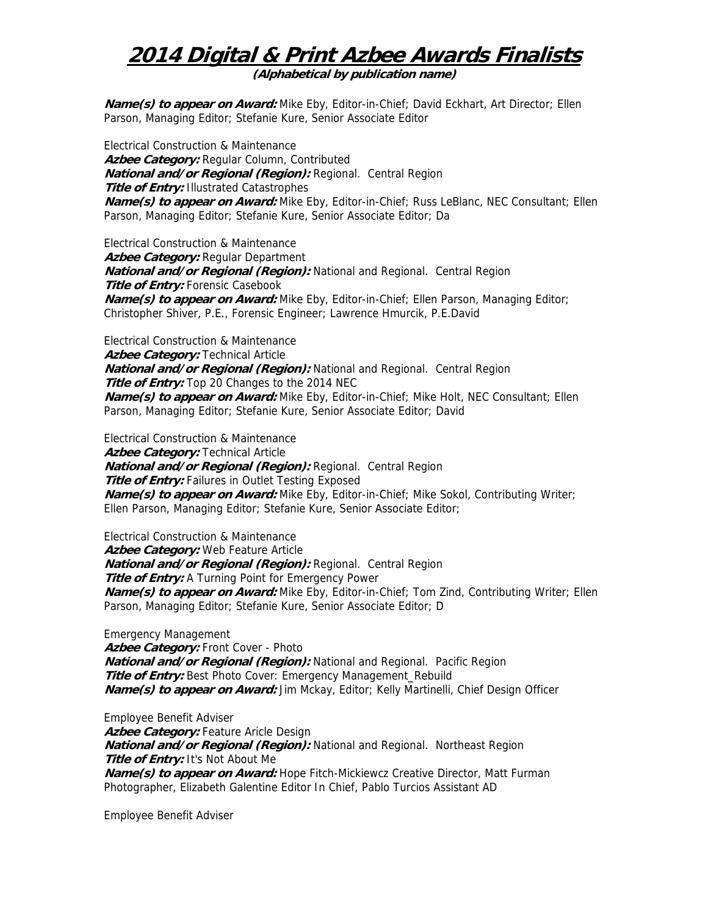**(Alphabetical by publication name)** 

**Name(s) to appear on Award:** Mike Eby, Editor-in-Chief; David Eckhart, Art Director; Ellen Parson, Managing Editor; Stefanie Kure, Senior Associate Editor

Electrical Construction & Maintenance Azbee Category: Regular Column, Contributed **National and/or Regional (Region):** Regional. Central Region **Title of Entry:** Illustrated Catastrophes **Name(s) to appear on Award:** Mike Eby, Editor-in-Chief; Russ LeBlanc, NEC Consultant; Ellen Parson, Managing Editor; Stefanie Kure, Senior Associate Editor; Da

Electrical Construction & Maintenance **Azbee Category:** Regular Department **National and/or Regional (Region):** National and Regional. Central Region **Title of Entry: Forensic Casebook Name(s) to appear on Award:** Mike Eby, Editor-in-Chief; Ellen Parson, Managing Editor; Christopher Shiver, P.E., Forensic Engineer; Lawrence Hmurcik, P.E.David

Electrical Construction & Maintenance Azbee Category: Technical Article **National and/or Regional (Region):** National and Regional. Central Region **Title of Entry:** Top 20 Changes to the 2014 NEC **Name(s) to appear on Award:** Mike Eby, Editor-in-Chief; Mike Holt, NEC Consultant; Ellen Parson, Managing Editor; Stefanie Kure, Senior Associate Editor; David

Electrical Construction & Maintenance **Azbee Category:** Technical Article **National and/or Regional (Region):** Regional. Central Region **Title of Entry:** Failures in Outlet Testing Exposed **Name(s) to appear on Award:** Mike Eby, Editor-in-Chief; Mike Sokol, Contributing Writer; Ellen Parson, Managing Editor; Stefanie Kure, Senior Associate Editor;

Electrical Construction & Maintenance

**Azbee Category:** Web Feature Article

**National and/or Regional (Region):** Regional. Central Region

**Title of Entry:** A Turning Point for Emergency Power

**Name(s) to appear on Award:** Mike Eby, Editor-in-Chief; Tom Zind, Contributing Writer; Ellen Parson, Managing Editor; Stefanie Kure, Senior Associate Editor; D

Emergency Management Azbee Category: Front Cover - Photo **National and/or Regional (Region):** National and Regional. Pacific Region **Title of Entry:** Best Photo Cover: Emergency Management\_Rebuild **Name(s) to appear on Award:** Jim Mckay, Editor; Kelly Martinelli, Chief Design Officer

Employee Benefit Adviser Azbee Category: Feature Aricle Design **National and/or Regional (Region):** National and Regional. Northeast Region **Title of Entry:** It's Not About Me **Name(s) to appear on Award:** Hope Fitch-Mickiewcz Creative Director, Matt Furman Photographer, Elizabeth Galentine Editor In Chief, Pablo Turcios Assistant AD

Employee Benefit Adviser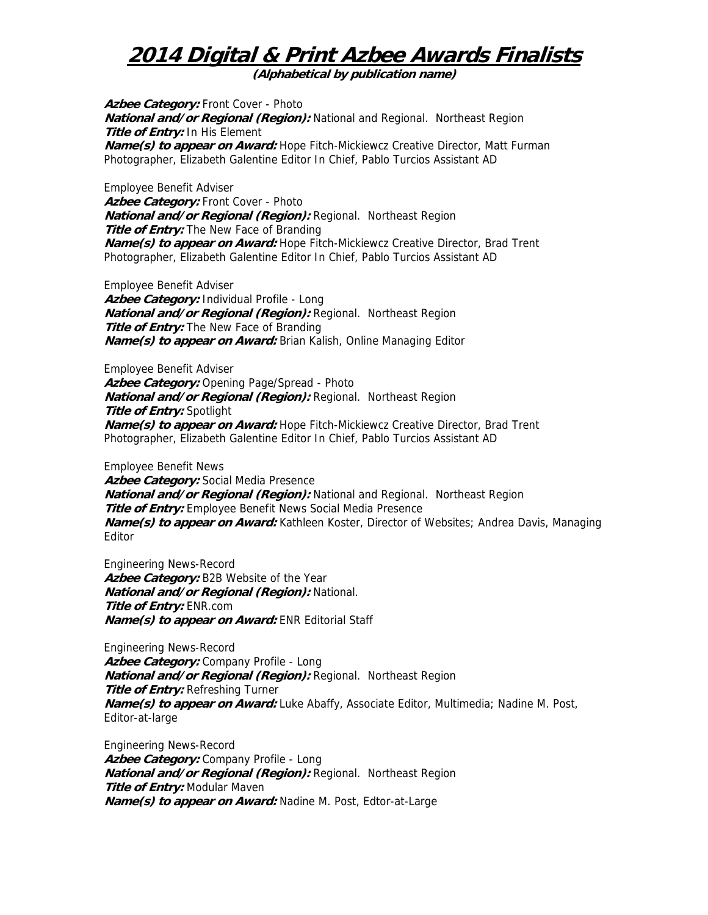**(Alphabetical by publication name)** 

Azbee Category: Front Cover - Photo **National and/or Regional (Region):** National and Regional. Northeast Region **Title of Entry:** In His Element **Name(s) to appear on Award:** Hope Fitch-Mickiewcz Creative Director, Matt Furman Photographer, Elizabeth Galentine Editor In Chief, Pablo Turcios Assistant AD

Employee Benefit Adviser **Azbee Category:** Front Cover - Photo **National and/or Regional (Region):** Regional. Northeast Region **Title of Entry:** The New Face of Branding **Name(s) to appear on Award:** Hope Fitch-Mickiewcz Creative Director, Brad Trent Photographer, Elizabeth Galentine Editor In Chief, Pablo Turcios Assistant AD

Employee Benefit Adviser **Azbee Category:** Individual Profile - Long **National and/or Regional (Region):** Regional. Northeast Region **Title of Entry:** The New Face of Branding **Name(s) to appear on Award:** Brian Kalish, Online Managing Editor

Employee Benefit Adviser Azbee Category: Opening Page/Spread - Photo **National and/or Regional (Region):** Regional. Northeast Region **Title of Entry:** Spotlight **Name(s) to appear on Award:** Hope Fitch-Mickiewcz Creative Director, Brad Trent Photographer, Elizabeth Galentine Editor In Chief, Pablo Turcios Assistant AD

Employee Benefit News **Azbee Category:** Social Media Presence **National and/or Regional (Region):** National and Regional. Northeast Region **Title of Entry:** Employee Benefit News Social Media Presence **Name(s) to appear on Award:** Kathleen Koster, Director of Websites; Andrea Davis, Managing Editor

Engineering News-Record **Azbee Category:** B2B Website of the Year **National and/or Regional (Region):** National. **Title of Entry:** ENR.com **Name(s) to appear on Award:** ENR Editorial Staff

Engineering News-Record Azbee Category: Company Profile - Long **National and/or Regional (Region):** Regional. Northeast Region **Title of Entry: Refreshing Turner Name(s) to appear on Award:** Luke Abaffy, Associate Editor, Multimedia; Nadine M. Post, Editor-at-large

Engineering News-Record Azbee Category: Company Profile - Long **National and/or Regional (Region):** Regional. Northeast Region **Title of Entry:** Modular Maven **Name(s) to appear on Award:** Nadine M. Post, Edtor-at-Large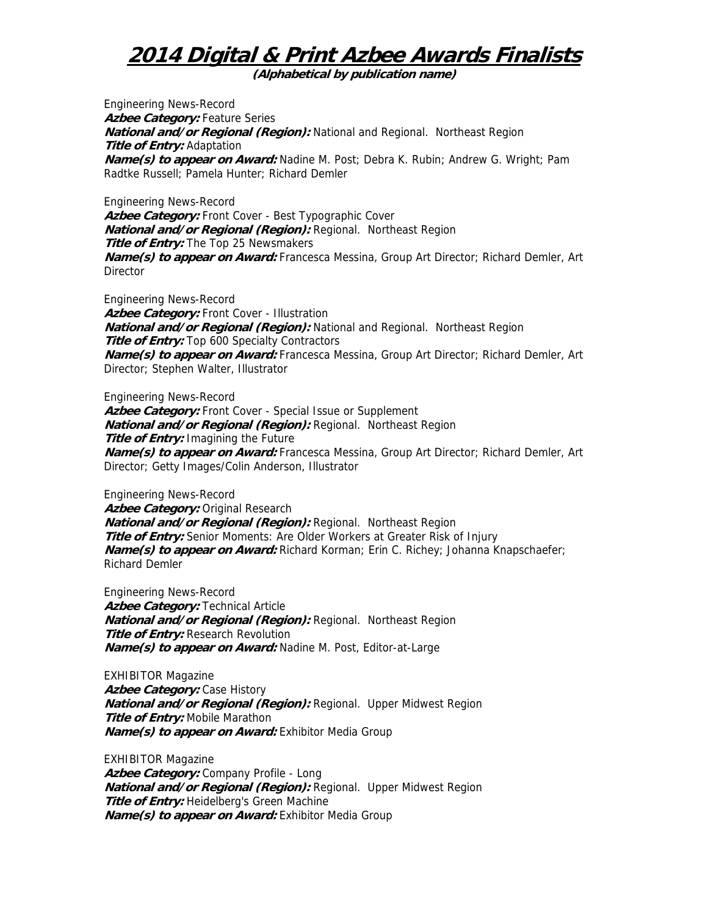**(Alphabetical by publication name)** 

Engineering News-Record Azbee Category: Feature Series **National and/or Regional (Region):** National and Regional. Northeast Region **Title of Entry:** Adaptation **Name(s) to appear on Award:** Nadine M. Post; Debra K. Rubin; Andrew G. Wright; Pam Radtke Russell; Pamela Hunter; Richard Demler

Engineering News-Record Azbee Category: Front Cover - Best Typographic Cover **National and/or Regional (Region):** Regional. Northeast Region **Title of Entry:** The Top 25 Newsmakers **Name(s) to appear on Award:** Francesca Messina, Group Art Director; Richard Demler, Art **Director** 

Engineering News-Record Azbee Category: Front Cover - Illustration **National and/or Regional (Region):** National and Regional. Northeast Region **Title of Entry:** Top 600 Specialty Contractors **Name(s) to appear on Award:** Francesca Messina, Group Art Director; Richard Demler, Art Director; Stephen Walter, Illustrator

Engineering News-Record **Azbee Category:** Front Cover - Special Issue or Supplement **National and/or Regional (Region):** Regional. Northeast Region **Title of Entry:** Imagining the Future **Name(s) to appear on Award:** Francesca Messina, Group Art Director; Richard Demler, Art Director; Getty Images/Colin Anderson, Illustrator

Engineering News-Record Azbee Category: Original Research **National and/or Regional (Region):** Regional. Northeast Region **Title of Entry:** Senior Moments: Are Older Workers at Greater Risk of Injury **Name(s) to appear on Award:** Richard Korman; Erin C. Richey; Johanna Knapschaefer; Richard Demler

Engineering News-Record **Azbee Category:** Technical Article **National and/or Regional (Region):** Regional. Northeast Region **Title of Entry: Research Revolution Name(s) to appear on Award:** Nadine M. Post, Editor-at-Large

EXHIBITOR Magazine **Azbee Category:** Case History **National and/or Regional (Region):** Regional. Upper Midwest Region **Title of Entry:** Mobile Marathon **Name(s) to appear on Award:** Exhibitor Media Group

EXHIBITOR Magazine Azbee Category: Company Profile - Long **National and/or Regional (Region):** Regional. Upper Midwest Region **Title of Entry:** Heidelberg's Green Machine **Name(s) to appear on Award:** Exhibitor Media Group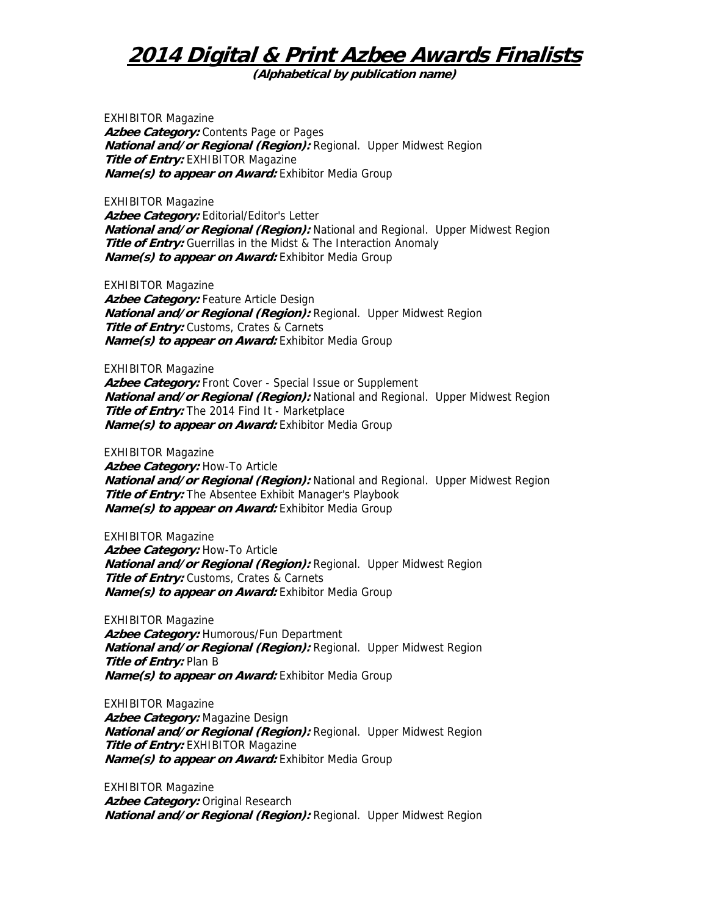**(Alphabetical by publication name)** 

EXHIBITOR Magazine Azbee Category: Contents Page or Pages **National and/or Regional (Region):** Regional. Upper Midwest Region **Title of Entry:** EXHIBITOR Magazine **Name(s) to appear on Award:** Exhibitor Media Group

EXHIBITOR Magazine Azbee Category: Editorial/Editor's Letter **National and/or Regional (Region):** National and Regional. Upper Midwest Region **Title of Entry:** Guerrillas in the Midst & The Interaction Anomaly **Name(s) to appear on Award:** Exhibitor Media Group

EXHIBITOR Magazine Azbee Category: Feature Article Design **National and/or Regional (Region):** Regional. Upper Midwest Region **Title of Entry:** Customs, Crates & Carnets **Name(s) to appear on Award:** Exhibitor Media Group

EXHIBITOR Magazine Azbee Category: Front Cover - Special Issue or Supplement **National and/or Regional (Region):** National and Regional. Upper Midwest Region **Title of Entry:** The 2014 Find It - Marketplace **Name(s) to appear on Award:** Exhibitor Media Group

EXHIBITOR Magazine

**Azbee Category:** How-To Article **National and/or Regional (Region):** National and Regional. Upper Midwest Region **Title of Entry:** The Absentee Exhibit Manager's Playbook **Name(s) to appear on Award:** Exhibitor Media Group

EXHIBITOR Magazine Azbee Category: How-To Article **National and/or Regional (Region):** Regional. Upper Midwest Region **Title of Entry:** Customs, Crates & Carnets **Name(s) to appear on Award:** Exhibitor Media Group

EXHIBITOR Magazine **Azbee Category:** Humorous/Fun Department **National and/or Regional (Region):** Regional. Upper Midwest Region **Title of Entry:** Plan B **Name(s) to appear on Award:** Exhibitor Media Group

EXHIBITOR Magazine **Azbee Category:** Magazine Design **National and/or Regional (Region):** Regional. Upper Midwest Region **Title of Entry:** EXHIBITOR Magazine **Name(s) to appear on Award:** Exhibitor Media Group

EXHIBITOR Magazine Azbee Category: Original Research **National and/or Regional (Region):** Regional. Upper Midwest Region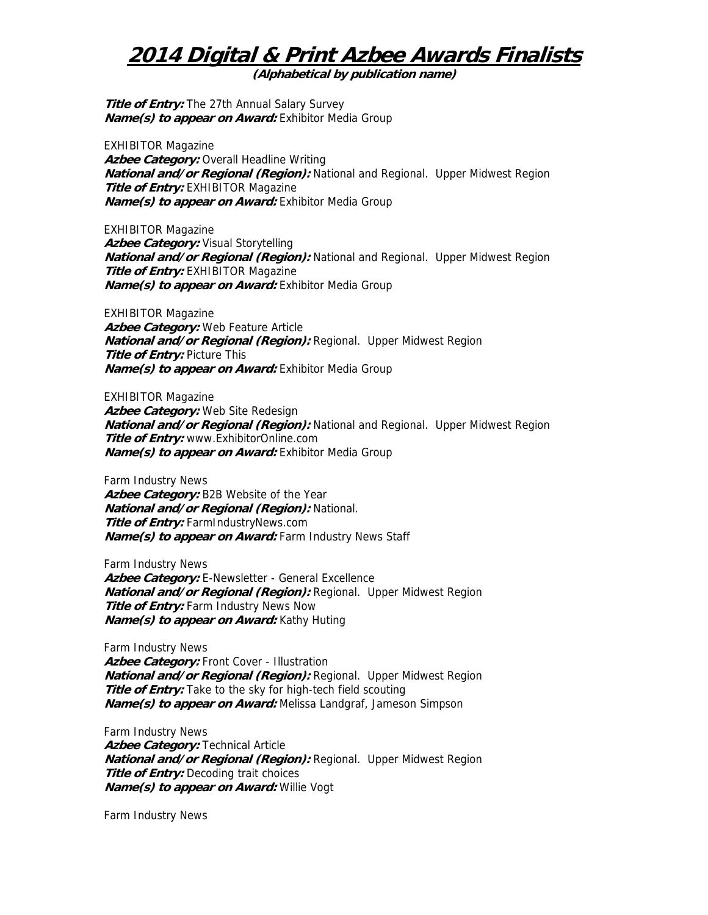**(Alphabetical by publication name)** 

**Title of Entry:** The 27th Annual Salary Survey **Name(s) to appear on Award:** Exhibitor Media Group

EXHIBITOR Magazine **Azbee Category:** Overall Headline Writing **National and/or Regional (Region):** National and Regional. Upper Midwest Region **Title of Entry:** EXHIBITOR Magazine **Name(s) to appear on Award:** Exhibitor Media Group

EXHIBITOR Magazine Azbee Category: Visual Storytelling **National and/or Regional (Region):** National and Regional. Upper Midwest Region **Title of Entry:** EXHIBITOR Magazine **Name(s) to appear on Award:** Exhibitor Media Group

EXHIBITOR Magazine **Azbee Category:** Web Feature Article **National and/or Regional (Region):** Regional. Upper Midwest Region **Title of Entry: Picture This Name(s) to appear on Award:** Exhibitor Media Group

EXHIBITOR Magazine **Azbee Category:** Web Site Redesign **National and/or Regional (Region):** National and Regional. Upper Midwest Region **Title of Entry:** www.ExhibitorOnline.com **Name(s) to appear on Award:** Exhibitor Media Group

Farm Industry News **Azbee Category:** B2B Website of the Year **National and/or Regional (Region):** National. **Title of Entry:** FarmIndustryNews.com **Name(s) to appear on Award:** Farm Industry News Staff

Farm Industry News Azbee Category: E-Newsletter - General Excellence **National and/or Regional (Region):** Regional. Upper Midwest Region **Title of Entry:** Farm Industry News Now **Name(s) to appear on Award:** Kathy Huting

Farm Industry News Azbee Category: Front Cover - Illustration **National and/or Regional (Region):** Regional. Upper Midwest Region **Title of Entry:** Take to the sky for high-tech field scouting **Name(s) to appear on Award:** Melissa Landgraf, Jameson Simpson

Farm Industry News **Azbee Category:** Technical Article **National and/or Regional (Region):** Regional. Upper Midwest Region **Title of Entry:** Decoding trait choices **Name(s) to appear on Award:** Willie Vogt

Farm Industry News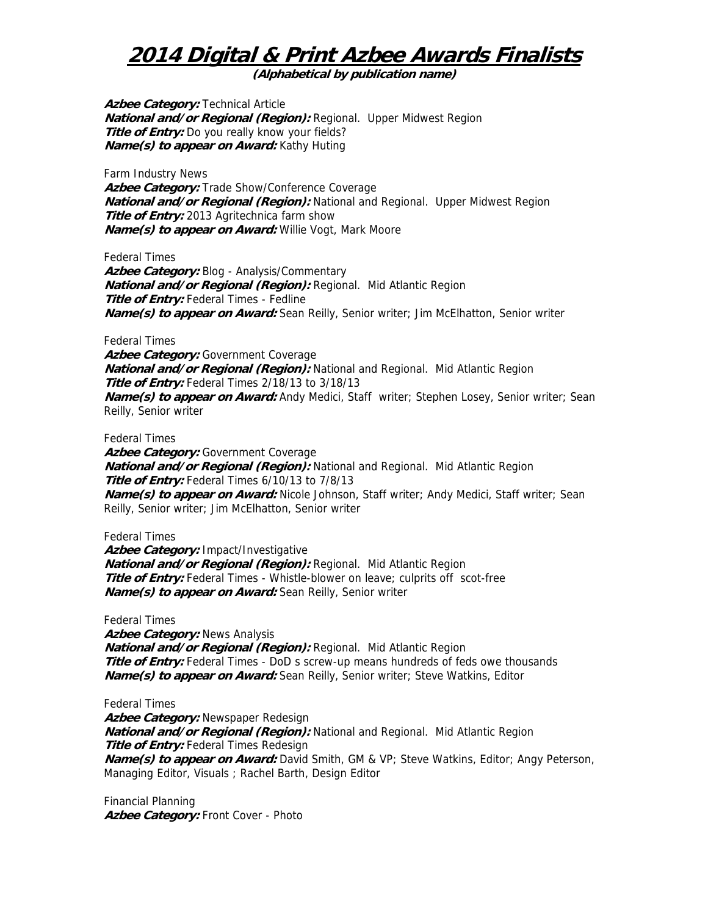**(Alphabetical by publication name)** 

**Azbee Category:** Technical Article **National and/or Regional (Region):** Regional. Upper Midwest Region **Title of Entry:** Do you really know your fields? **Name(s) to appear on Award:** Kathy Huting

Farm Industry News

**Azbee Category:** Trade Show/Conference Coverage **National and/or Regional (Region):** National and Regional. Upper Midwest Region **Title of Entry:** 2013 Agritechnica farm show **Name(s) to appear on Award:** Willie Vogt, Mark Moore

Federal Times

Azbee Category: Blog - Analysis/Commentary **National and/or Regional (Region):** Regional. Mid Atlantic Region **Title of Entry:** Federal Times - Fedline **Name(s) to appear on Award:** Sean Reilly, Senior writer; Jim McElhatton, Senior writer

Federal Times

Azbee Category: Government Coverage **National and/or Regional (Region):** National and Regional. Mid Atlantic Region **Title of Entry:** Federal Times 2/18/13 to 3/18/13 **Name(s) to appear on Award:** Andy Medici, Staff writer; Stephen Losey, Senior writer; Sean Reilly, Senior writer

Federal Times

Azbee Category: Government Coverage **National and/or Regional (Region):** National and Regional. Mid Atlantic Region **Title of Entry:** Federal Times 6/10/13 to 7/8/13 **Name(s) to appear on Award:** Nicole Johnson, Staff writer; Andy Medici, Staff writer; Sean Reilly, Senior writer; Jim McElhatton, Senior writer

Federal Times

**Azbee Category:** Impact/Investigative **National and/or Regional (Region):** Regional. Mid Atlantic Region **Title of Entry:** Federal Times - Whistle-blower on leave; culprits off scot-free **Name(s) to appear on Award:** Sean Reilly, Senior writer

Federal Times **Azbee Category:** News Analysis **National and/or Regional (Region):** Regional. Mid Atlantic Region **Title of Entry:** Federal Times - DoD s screw-up means hundreds of feds owe thousands **Name(s) to appear on Award:** Sean Reilly, Senior writer; Steve Watkins, Editor

Federal Times **Azbee Category:** Newspaper Redesign **National and/or Regional (Region):** National and Regional. Mid Atlantic Region **Title of Entry:** Federal Times Redesign **Name(s) to appear on Award:** David Smith, GM & VP; Steve Watkins, Editor; Angy Peterson, Managing Editor, Visuals ; Rachel Barth, Design Editor

Financial Planning Azbee Category: Front Cover - Photo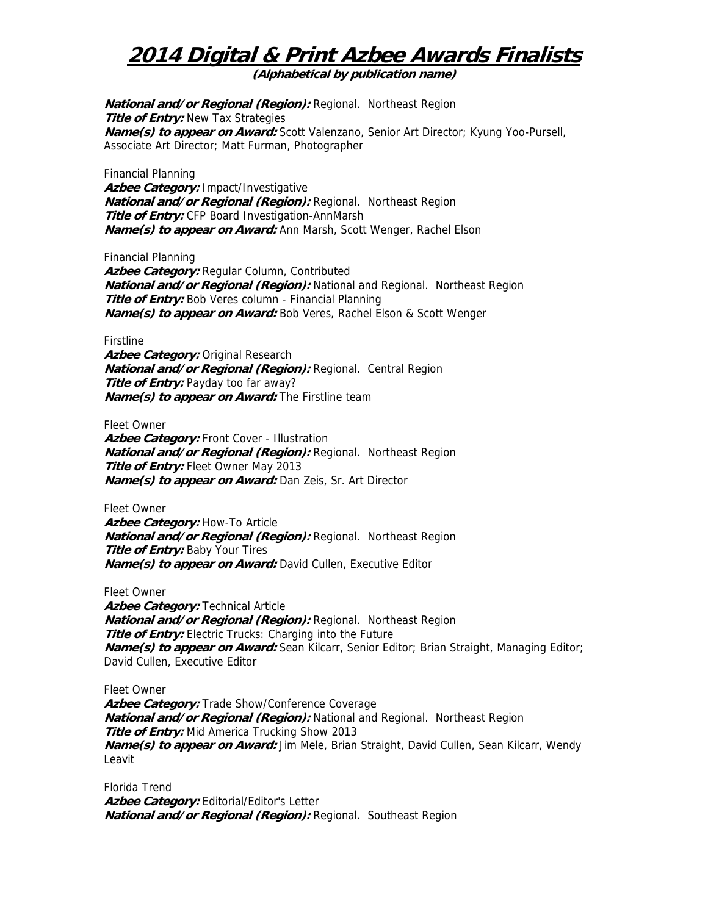**(Alphabetical by publication name)** 

**National and/or Regional (Region):** Regional. Northeast Region **Title of Entry:** New Tax Strategies **Name(s) to appear on Award:** Scott Valenzano, Senior Art Director; Kyung Yoo-Pursell, Associate Art Director; Matt Furman, Photographer

Financial Planning **Azbee Category:** Impact/Investigative **National and/or Regional (Region):** Regional. Northeast Region **Title of Entry:** CFP Board Investigation-AnnMarsh **Name(s) to appear on Award:** Ann Marsh, Scott Wenger, Rachel Elson

Financial Planning

**Azbee Category:** Regular Column, Contributed **National and/or Regional (Region):** National and Regional. Northeast Region **Title of Entry:** Bob Veres column - Financial Planning **Name(s) to appear on Award:** Bob Veres, Rachel Elson & Scott Wenger

Firstline

Azbee Category: Original Research **National and/or Regional (Region):** Regional. Central Region **Title of Entry:** Payday too far away? **Name(s) to appear on Award:** The Firstline team

Fleet Owner

Azbee Category: Front Cover - Illustration **National and/or Regional (Region):** Regional. Northeast Region **Title of Entry:** Fleet Owner May 2013 **Name(s) to appear on Award:** Dan Zeis, Sr. Art Director

Fleet Owner Azbee Category: How-To Article **National and/or Regional (Region):** Regional. Northeast Region **Title of Entry: Baby Your Tires Name(s) to appear on Award:** David Cullen, Executive Editor

Fleet Owner

**Azbee Category:** Technical Article **National and/or Regional (Region):** Regional. Northeast Region **Title of Entry:** Electric Trucks: Charging into the Future **Name(s) to appear on Award:** Sean Kilcarr, Senior Editor; Brian Straight, Managing Editor; David Cullen, Executive Editor

Fleet Owner

**Azbee Category:** Trade Show/Conference Coverage **National and/or Regional (Region):** National and Regional. Northeast Region **Title of Entry:** Mid America Trucking Show 2013 **Name(s) to appear on Award:** Jim Mele, Brian Straight, David Cullen, Sean Kilcarr, Wendy Leavit

Florida Trend Azbee Category: Editorial/Editor's Letter **National and/or Regional (Region):** Regional. Southeast Region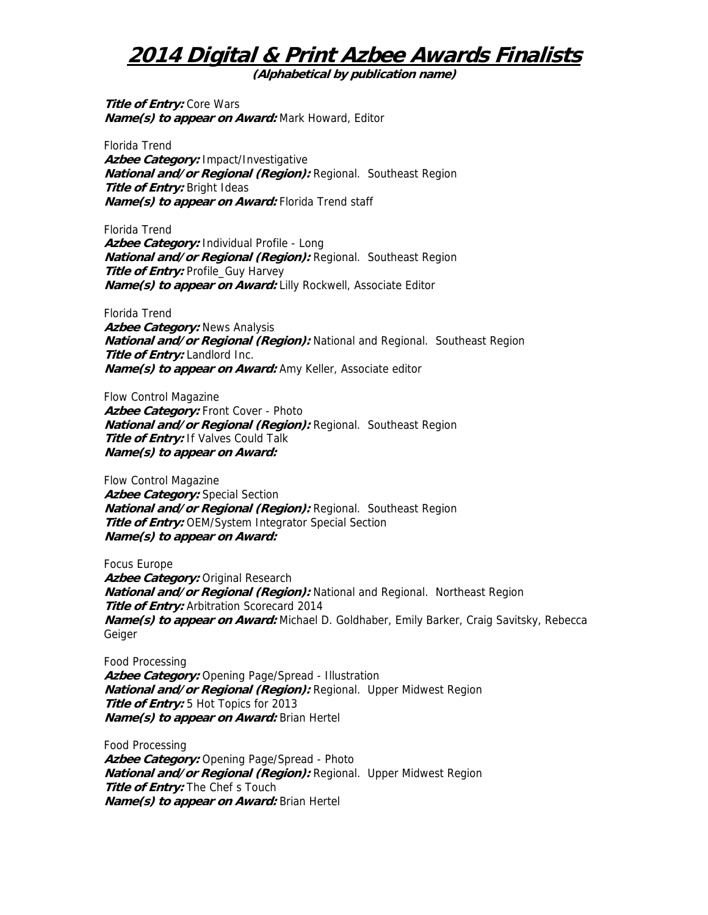**(Alphabetical by publication name)** 

**Title of Entry: Core Wars Name(s) to appear on Award:** Mark Howard, Editor

Florida Trend **Azbee Category:** Impact/Investigative **National and/or Regional (Region):** Regional. Southeast Region **Title of Entry:** Bright Ideas **Name(s) to appear on Award:** Florida Trend staff

Florida Trend **Azbee Category:** Individual Profile - Long **National and/or Regional (Region):** Regional. Southeast Region **Title of Entry:** Profile\_Guy Harvey **Name(s) to appear on Award:** Lilly Rockwell, Associate Editor

Florida Trend **Azbee Category:** News Analysis **National and/or Regional (Region):** National and Regional. Southeast Region **Title of Entry:** Landlord Inc. **Name(s) to appear on Award:** Amy Keller, Associate editor

Flow Control Magazine **Azbee Category:** Front Cover - Photo **National and/or Regional (Region):** Regional. Southeast Region **Title of Entry:** If Valves Could Talk **Name(s) to appear on Award:** 

Flow Control Magazine Azbee Category: Special Section **National and/or Regional (Region):** Regional. Southeast Region **Title of Entry:** OEM/System Integrator Special Section **Name(s) to appear on Award:** 

Focus Europe Azbee Category: Original Research **National and/or Regional (Region):** National and Regional. Northeast Region **Title of Entry:** Arbitration Scorecard 2014 **Name(s) to appear on Award:** Michael D. Goldhaber, Emily Barker, Craig Savitsky, Rebecca Geiger

Food Processing **Azbee Category:** Opening Page/Spread - Illustration **National and/or Regional (Region):** Regional. Upper Midwest Region **Title of Entry:** 5 Hot Topics for 2013 **Name(s) to appear on Award:** Brian Hertel

Food Processing **Azbee Category:** Opening Page/Spread - Photo **National and/or Regional (Region):** Regional. Upper Midwest Region **Title of Entry:** The Chef s Touch **Name(s) to appear on Award:** Brian Hertel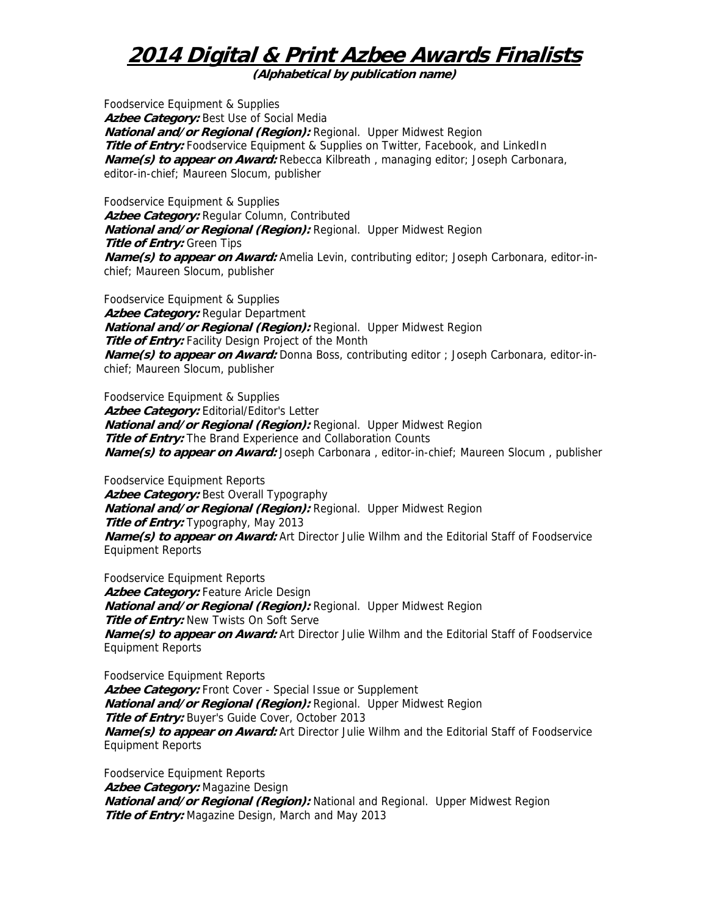**(Alphabetical by publication name)** 

Foodservice Equipment & Supplies Azbee Category: Best Use of Social Media **National and/or Regional (Region):** Regional. Upper Midwest Region **Title of Entry:** Foodservice Equipment & Supplies on Twitter, Facebook, and LinkedIn **Name(s) to appear on Award:** Rebecca Kilbreath , managing editor; Joseph Carbonara, editor-in-chief; Maureen Slocum, publisher

Foodservice Equipment & Supplies Azbee Category: Regular Column, Contributed **National and/or Regional (Region):** Regional. Upper Midwest Region **Title of Entry:** Green Tips **Name(s) to appear on Award:** Amelia Levin, contributing editor; Joseph Carbonara, editor-inchief; Maureen Slocum, publisher

Foodservice Equipment & Supplies **Azbee Category:** Regular Department **National and/or Regional (Region):** Regional. Upper Midwest Region **Title of Entry:** Facility Design Project of the Month **Name(s) to appear on Award:** Donna Boss, contributing editor ; Joseph Carbonara, editor-inchief; Maureen Slocum, publisher

Foodservice Equipment & Supplies Azbee Category: Editorial/Editor's Letter **National and/or Regional (Region):** Regional. Upper Midwest Region **Title of Entry:** The Brand Experience and Collaboration Counts **Name(s) to appear on Award:** Joseph Carbonara , editor-in-chief; Maureen Slocum , publisher

Foodservice Equipment Reports **Azbee Category:** Best Overall Typography **National and/or Regional (Region):** Regional. Upper Midwest Region **Title of Entry:** Typography, May 2013 **Name(s) to appear on Award:** Art Director Julie Wilhm and the Editorial Staff of Foodservice Equipment Reports

Foodservice Equipment Reports Azbee Category: Feature Aricle Design **National and/or Regional (Region):** Regional. Upper Midwest Region **Title of Entry:** New Twists On Soft Serve **Name(s) to appear on Award:** Art Director Julie Wilhm and the Editorial Staff of Foodservice Equipment Reports

Foodservice Equipment Reports Azbee Category: Front Cover - Special Issue or Supplement **National and/or Regional (Region):** Regional. Upper Midwest Region **Title of Entry:** Buyer's Guide Cover, October 2013 **Name(s) to appear on Award:** Art Director Julie Wilhm and the Editorial Staff of Foodservice Equipment Reports

Foodservice Equipment Reports **Azbee Category:** Magazine Design **National and/or Regional (Region):** National and Regional. Upper Midwest Region **Title of Entry:** Magazine Design, March and May 2013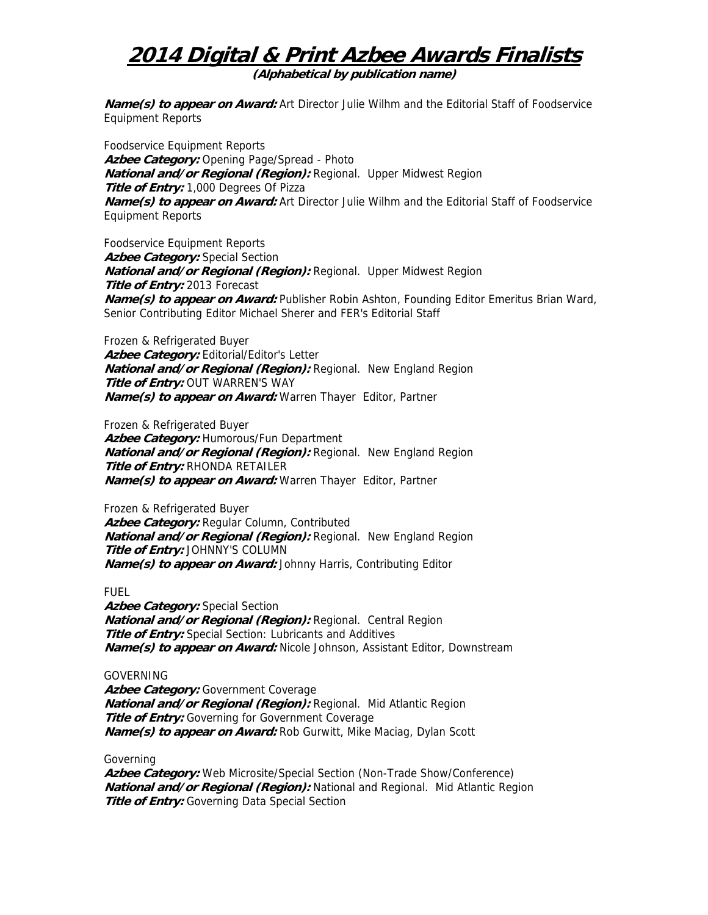**(Alphabetical by publication name)** 

**Name(s) to appear on Award:** Art Director Julie Wilhm and the Editorial Staff of Foodservice Equipment Reports

Foodservice Equipment Reports **Azbee Category:** Opening Page/Spread - Photo **National and/or Regional (Region):** Regional. Upper Midwest Region **Title of Entry:** 1,000 Degrees Of Pizza **Name(s) to appear on Award:** Art Director Julie Wilhm and the Editorial Staff of Foodservice Equipment Reports

Foodservice Equipment Reports **Azbee Category:** Special Section **National and/or Regional (Region):** Regional. Upper Midwest Region **Title of Entry:** 2013 Forecast **Name(s) to appear on Award:** Publisher Robin Ashton, Founding Editor Emeritus Brian Ward, Senior Contributing Editor Michael Sherer and FER's Editorial Staff

Frozen & Refrigerated Buyer Azbee Category: Editorial/Editor's Letter **National and/or Regional (Region):** Regional. New England Region **Title of Entry:** OUT WARREN'S WAY **Name(s) to appear on Award:** Warren Thayer Editor, Partner

Frozen & Refrigerated Buyer **Azbee Category:** Humorous/Fun Department **National and/or Regional (Region):** Regional. New England Region **Title of Entry:** RHONDA RETAILER **Name(s) to appear on Award:** Warren Thayer Editor, Partner

Frozen & Refrigerated Buyer Azbee Category: Regular Column, Contributed **National and/or Regional (Region):** Regional. New England Region **Title of Entry:** JOHNNY'S COLUMN **Name(s) to appear on Award:** Johnny Harris, Contributing Editor

FUEL

**Azbee Category:** Special Section **National and/or Regional (Region):** Regional. Central Region **Title of Entry:** Special Section: Lubricants and Additives **Name(s) to appear on Award:** Nicole Johnson, Assistant Editor, Downstream

### GOVERNING

Azbee Category: Government Coverage **National and/or Regional (Region):** Regional. Mid Atlantic Region **Title of Entry:** Governing for Government Coverage **Name(s) to appear on Award:** Rob Gurwitt, Mike Maciag, Dylan Scott

Governing

**Azbee Category:** Web Microsite/Special Section (Non-Trade Show/Conference) **National and/or Regional (Region):** National and Regional. Mid Atlantic Region **Title of Entry:** Governing Data Special Section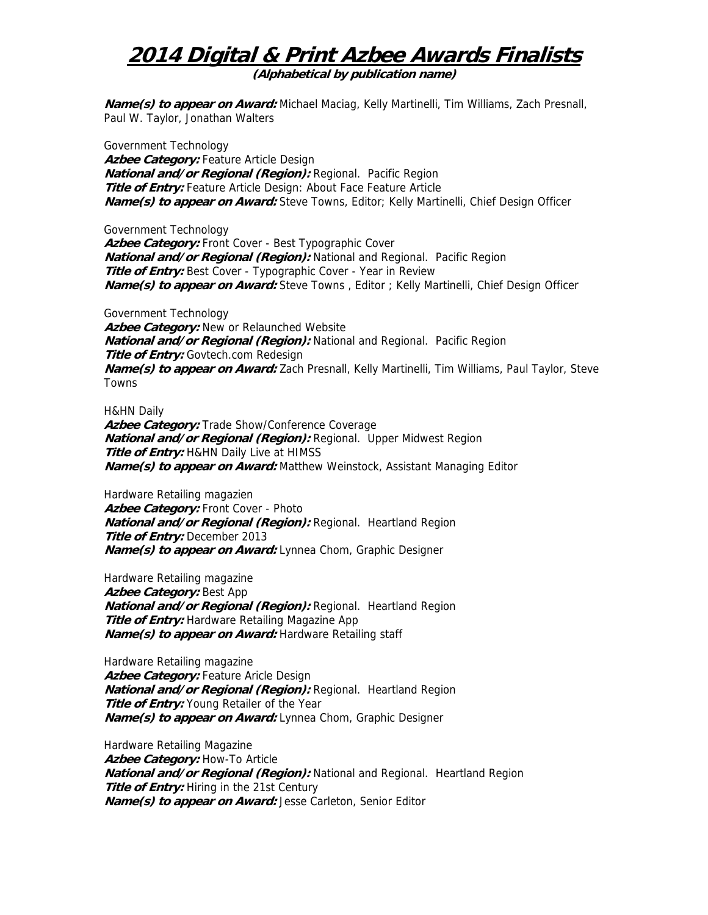**(Alphabetical by publication name)** 

**Name(s) to appear on Award:** Michael Maciag, Kelly Martinelli, Tim Williams, Zach Presnall, Paul W. Taylor, Jonathan Walters

Government Technology Azbee Category: Feature Article Design **National and/or Regional (Region):** Regional. Pacific Region **Title of Entry:** Feature Article Design: About Face Feature Article **Name(s) to appear on Award:** Steve Towns, Editor; Kelly Martinelli, Chief Design Officer

Government Technology **Azbee Category:** Front Cover - Best Typographic Cover **National and/or Regional (Region):** National and Regional. Pacific Region **Title of Entry:** Best Cover - Typographic Cover - Year in Review **Name(s) to appear on Award:** Steve Towns , Editor ; Kelly Martinelli, Chief Design Officer

Government Technology Azbee Category: New or Relaunched Website **National and/or Regional (Region):** National and Regional. Pacific Region **Title of Entry:** Govtech.com Redesign **Name(s) to appear on Award:** Zach Presnall, Kelly Martinelli, Tim Williams, Paul Taylor, Steve Towns

H&HN Daily

Azbee Category: Trade Show/Conference Coverage **National and/or Regional (Region):** Regional. Upper Midwest Region **Title of Entry: H&HN Daily Live at HIMSS Name(s) to appear on Award:** Matthew Weinstock, Assistant Managing Editor

Hardware Retailing magazien Azbee Category: Front Cover - Photo **National and/or Regional (Region):** Regional. Heartland Region **Title of Entry:** December 2013 **Name(s) to appear on Award:** Lynnea Chom, Graphic Designer

Hardware Retailing magazine **Azbee Category:** Best App **National and/or Regional (Region):** Regional. Heartland Region **Title of Entry:** Hardware Retailing Magazine App **Name(s) to appear on Award:** Hardware Retailing staff

Hardware Retailing magazine Azbee Category: Feature Aricle Design **National and/or Regional (Region):** Regional. Heartland Region **Title of Entry:** Young Retailer of the Year **Name(s) to appear on Award:** Lynnea Chom, Graphic Designer

Hardware Retailing Magazine **Azbee Category:** How-To Article **National and/or Regional (Region):** National and Regional. Heartland Region **Title of Entry:** Hiring in the 21st Century **Name(s) to appear on Award:** Jesse Carleton, Senior Editor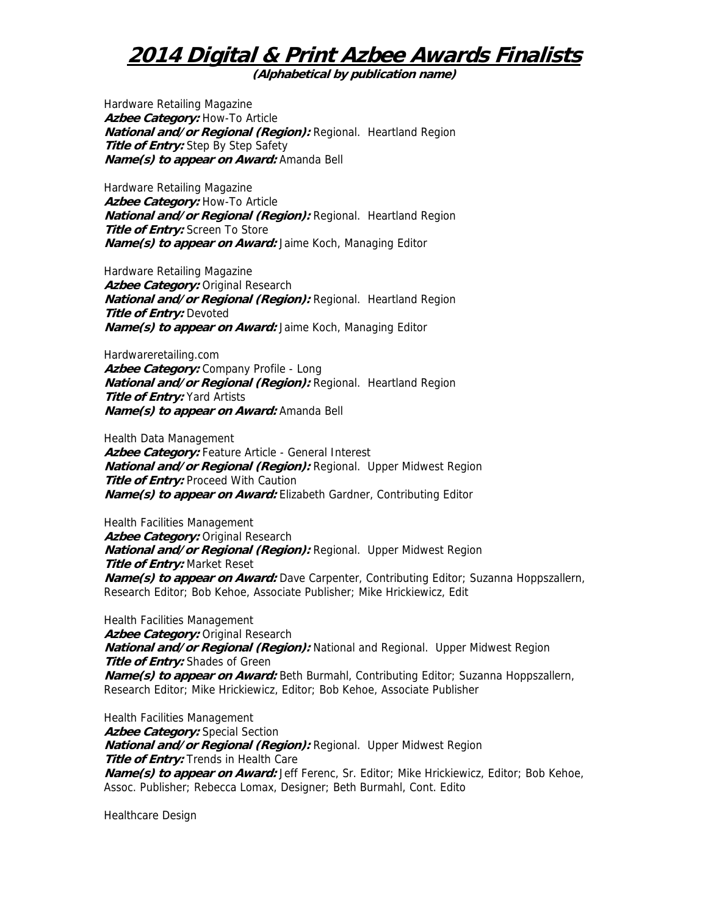**(Alphabetical by publication name)** 

Hardware Retailing Magazine Azbee Category: How-To Article **National and/or Regional (Region):** Regional. Heartland Region **Title of Entry:** Step By Step Safety **Name(s) to appear on Award:** Amanda Bell

Hardware Retailing Magazine **Azbee Category:** How-To Article **National and/or Regional (Region):** Regional. Heartland Region **Title of Entry:** Screen To Store **Name(s) to appear on Award:** Jaime Koch, Managing Editor

Hardware Retailing Magazine Azbee Category: Original Research **National and/or Regional (Region):** Regional. Heartland Region **Title of Entry:** Devoted **Name(s) to appear on Award:** Jaime Koch, Managing Editor

Hardwareretailing.com Azbee Category: Company Profile - Long **National and/or Regional (Region):** Regional. Heartland Region **Title of Entry:** Yard Artists **Name(s) to appear on Award:** Amanda Bell

Health Data Management

**Azbee Category:** Feature Article - General Interest **National and/or Regional (Region):** Regional. Upper Midwest Region **Title of Entry: Proceed With Caution Name(s) to appear on Award:** Elizabeth Gardner, Contributing Editor

Health Facilities Management Azbee Category: Original Research **National and/or Regional (Region):** Regional. Upper Midwest Region **Title of Entry:** Market Reset **Name(s) to appear on Award:** Dave Carpenter, Contributing Editor; Suzanna Hoppszallern, Research Editor; Bob Kehoe, Associate Publisher; Mike Hrickiewicz, Edit

Health Facilities Management **Azbee Category:** Original Research **National and/or Regional (Region):** National and Regional. Upper Midwest Region **Title of Entry:** Shades of Green **Name(s) to appear on Award:** Beth Burmahl, Contributing Editor; Suzanna Hoppszallern, Research Editor; Mike Hrickiewicz, Editor; Bob Kehoe, Associate Publisher

Health Facilities Management **Azbee Category:** Special Section **National and/or Regional (Region):** Regional. Upper Midwest Region **Title of Entry:** Trends in Health Care **Name(s) to appear on Award:** Jeff Ferenc, Sr. Editor; Mike Hrickiewicz, Editor; Bob Kehoe, Assoc. Publisher; Rebecca Lomax, Designer; Beth Burmahl, Cont. Edito

Healthcare Design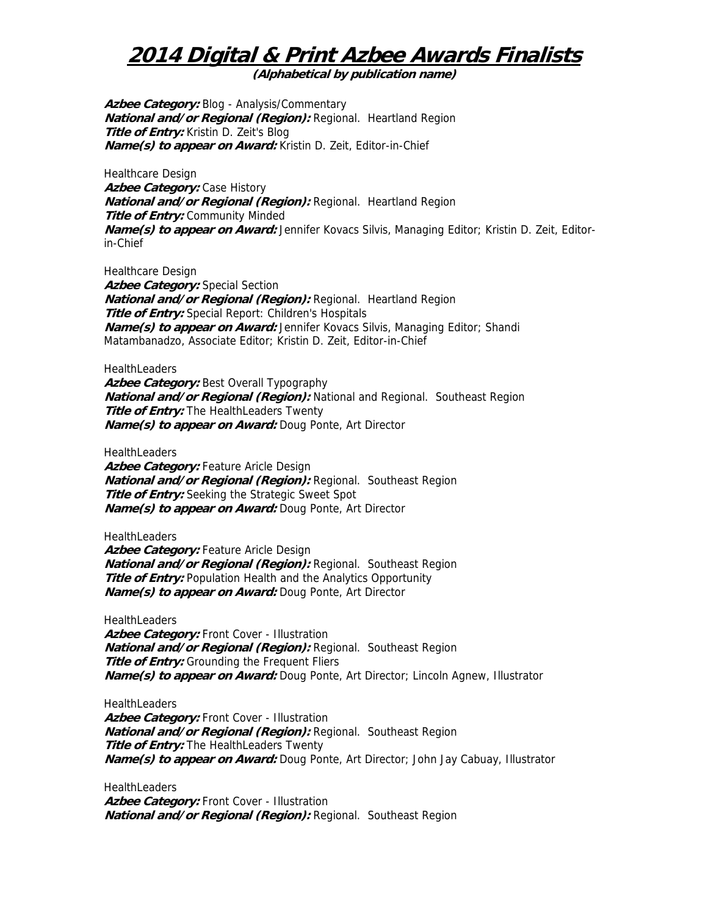**(Alphabetical by publication name)** 

**Azbee Category:** Blog - Analysis/Commentary **National and/or Regional (Region):** Regional. Heartland Region **Title of Entry:** Kristin D. Zeit's Blog **Name(s) to appear on Award:** Kristin D. Zeit, Editor-in-Chief

Healthcare Design **Azbee Category:** Case History **National and/or Regional (Region):** Regional. Heartland Region **Title of Entry:** Community Minded **Name(s) to appear on Award:** Jennifer Kovacs Silvis, Managing Editor; Kristin D. Zeit, Editorin-Chief

Healthcare Design

Azbee Category: Special Section **National and/or Regional (Region):** Regional. Heartland Region **Title of Entry:** Special Report: Children's Hospitals **Name(s) to appear on Award:** Jennifer Kovacs Silvis, Managing Editor; Shandi Matambanadzo, Associate Editor; Kristin D. Zeit, Editor-in-Chief

**HealthLeaders** 

Azbee Category: Best Overall Typography **National and/or Regional (Region):** National and Regional. Southeast Region **Title of Entry:** The HealthLeaders Twenty **Name(s) to appear on Award:** Doug Ponte, Art Director

**HealthLeaders** 

**Azbee Category:** Feature Aricle Design **National and/or Regional (Region):** Regional. Southeast Region **Title of Entry:** Seeking the Strategic Sweet Spot **Name(s) to appear on Award:** Doug Ponte, Art Director

**HealthLeaders** 

Azbee Category: Feature Aricle Design **National and/or Regional (Region):** Regional. Southeast Region **Title of Entry:** Population Health and the Analytics Opportunity **Name(s) to appear on Award:** Doug Ponte, Art Director

**HealthLeaders** 

**Azbee Category:** Front Cover - Illustration **National and/or Regional (Region):** Regional. Southeast Region **Title of Entry:** Grounding the Frequent Fliers **Name(s) to appear on Award:** Doug Ponte, Art Director; Lincoln Agnew, Illustrator

**HealthLeaders** Azbee Category: Front Cover - Illustration **National and/or Regional (Region):** Regional. Southeast Region **Title of Entry:** The HealthLeaders Twenty **Name(s) to appear on Award:** Doug Ponte, Art Director; John Jay Cabuay, Illustrator

**HealthLeaders** Azbee Category: Front Cover - Illustration **National and/or Regional (Region):** Regional. Southeast Region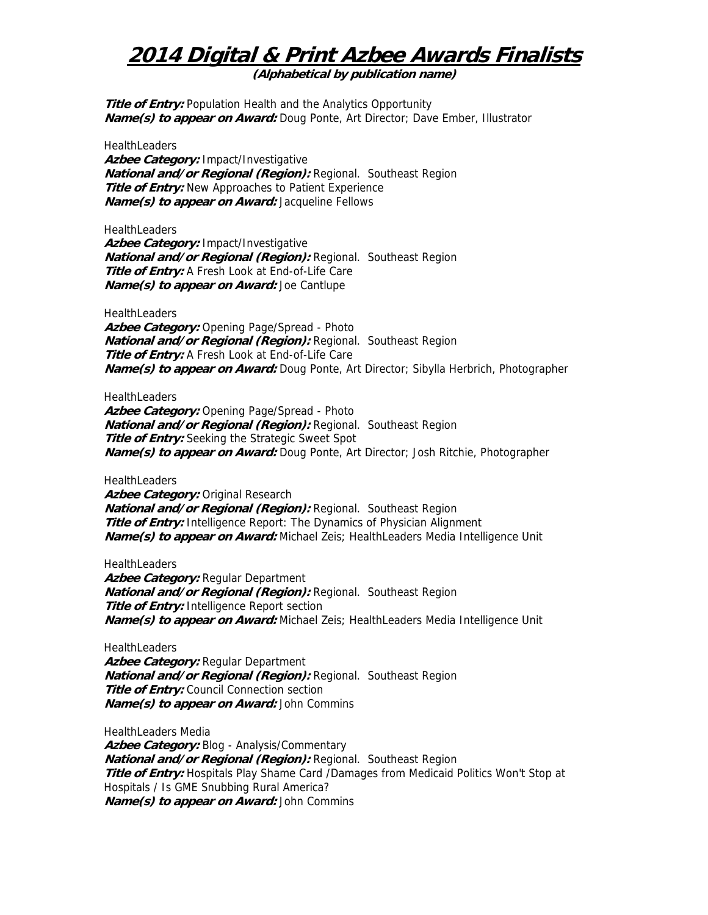**(Alphabetical by publication name)** 

**Title of Entry:** Population Health and the Analytics Opportunity **Name(s) to appear on Award:** Doug Ponte, Art Director; Dave Ember, Illustrator

**HealthLeaders** 

**Azbee Category:** Impact/Investigative **National and/or Regional (Region):** Regional. Southeast Region **Title of Entry:** New Approaches to Patient Experience **Name(s) to appear on Award:** Jacqueline Fellows

**HealthLeaders** 

**Azbee Category:** Impact/Investigative **National and/or Regional (Region):** Regional. Southeast Region **Title of Entry:** A Fresh Look at End-of-Life Care **Name(s) to appear on Award:** Joe Cantlupe

**HealthLeaders Azbee Category:** Opening Page/Spread - Photo **National and/or Regional (Region):** Regional. Southeast Region **Title of Entry:** A Fresh Look at End-of-Life Care **Name(s) to appear on Award:** Doug Ponte, Art Director; Sibylla Herbrich, Photographer

**HealthLeaders** 

**Azbee Category:** Opening Page/Spread - Photo **National and/or Regional (Region):** Regional. Southeast Region **Title of Entry:** Seeking the Strategic Sweet Spot **Name(s) to appear on Award:** Doug Ponte, Art Director; Josh Ritchie, Photographer

**HealthLeaders** 

Azbee Category: Original Research **National and/or Regional (Region):** Regional. Southeast Region **Title of Entry:** Intelligence Report: The Dynamics of Physician Alignment **Name(s) to appear on Award:** Michael Zeis; HealthLeaders Media Intelligence Unit

**HealthLeaders** Azbee Category: Regular Department **National and/or Regional (Region):** Regional. Southeast Region **Title of Entry:** Intelligence Report section **Name(s) to appear on Award:** Michael Zeis; HealthLeaders Media Intelligence Unit

**HealthLeaders** 

**Azbee Category:** Regular Department **National and/or Regional (Region):** Regional. Southeast Region **Title of Entry:** Council Connection section **Name(s) to appear on Award:** John Commins

HealthLeaders Media Azbee Category: Blog - Analysis/Commentary **National and/or Regional (Region):** Regional. Southeast Region **Title of Entry:** Hospitals Play Shame Card /Damages from Medicaid Politics Won't Stop at Hospitals / Is GME Snubbing Rural America? **Name(s) to appear on Award:** John Commins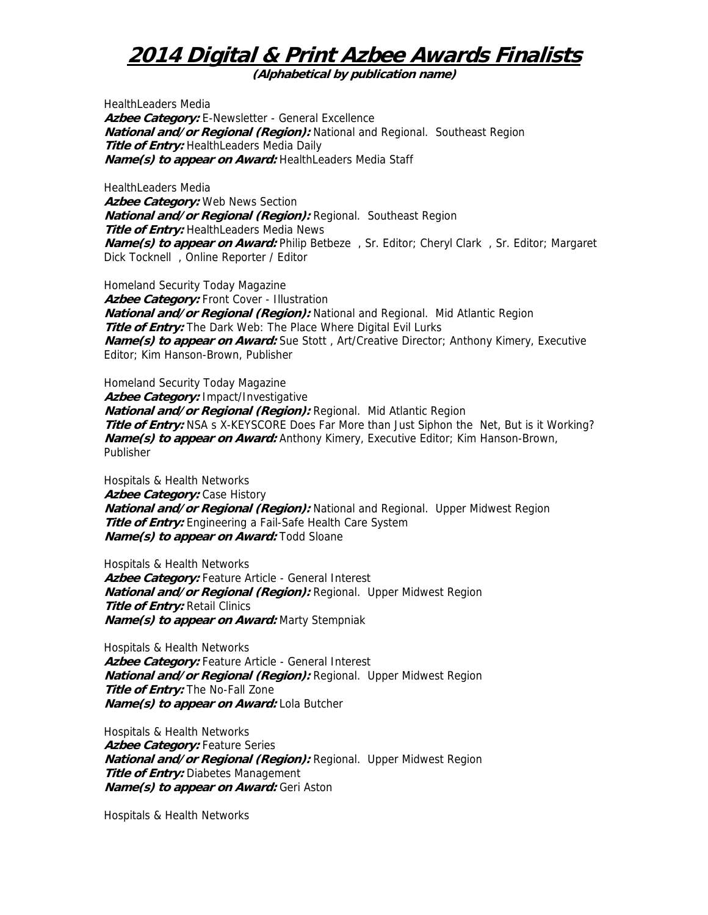**(Alphabetical by publication name)** 

HealthLeaders Media **Azbee Category:** E-Newsletter - General Excellence **National and/or Regional (Region):** National and Regional. Southeast Region **Title of Entry:** HealthLeaders Media Daily **Name(s) to appear on Award:** HealthLeaders Media Staff

HealthLeaders Media Azbee Category: Web News Section **National and/or Regional (Region):** Regional. Southeast Region **Title of Entry:** HealthLeaders Media News **Name(s) to appear on Award:** Philip Betbeze , Sr. Editor; Cheryl Clark , Sr. Editor; Margaret Dick Tocknell , Online Reporter / Editor

Homeland Security Today Magazine Azbee Category: Front Cover - Illustration **National and/or Regional (Region):** National and Regional. Mid Atlantic Region **Title of Entry:** The Dark Web: The Place Where Digital Evil Lurks **Name(s) to appear on Award:** Sue Stott , Art/Creative Director; Anthony Kimery, Executive Editor; Kim Hanson-Brown, Publisher

Homeland Security Today Magazine **Azbee Category:** Impact/Investigative **National and/or Regional (Region):** Regional. Mid Atlantic Region Title of Entry: NSA s X-KEYSCORE Does Far More than Just Siphon the Net, But is it Working? **Name(s) to appear on Award:** Anthony Kimery, Executive Editor; Kim Hanson-Brown, Publisher

Hospitals & Health Networks **Azbee Category:** Case History **National and/or Regional (Region):** National and Regional. Upper Midwest Region **Title of Entry:** Engineering a Fail-Safe Health Care System **Name(s) to appear on Award:** Todd Sloane

Hospitals & Health Networks **Azbee Category:** Feature Article - General Interest **National and/or Regional (Region):** Regional. Upper Midwest Region **Title of Entry:** Retail Clinics **Name(s) to appear on Award:** Marty Stempniak

Hospitals & Health Networks Azbee Category: Feature Article - General Interest **National and/or Regional (Region):** Regional. Upper Midwest Region **Title of Entry:** The No-Fall Zone **Name(s) to appear on Award:** Lola Butcher

Hospitals & Health Networks **Azbee Category:** Feature Series **National and/or Regional (Region):** Regional. Upper Midwest Region **Title of Entry:** Diabetes Management **Name(s) to appear on Award:** Geri Aston

Hospitals & Health Networks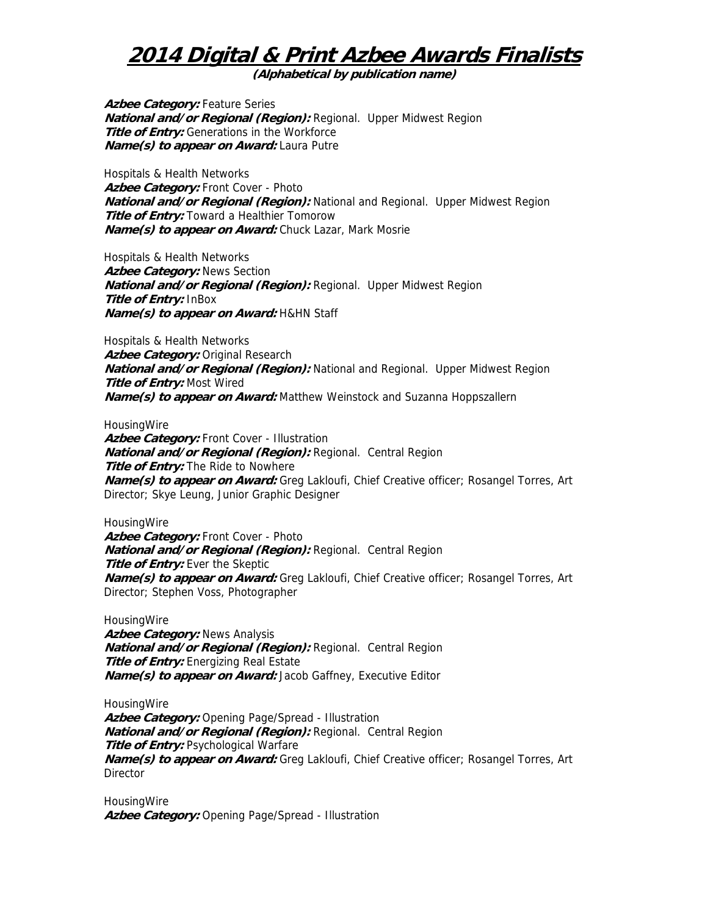**(Alphabetical by publication name)** 

Azbee Category: Feature Series **National and/or Regional (Region):** Regional. Upper Midwest Region **Title of Entry:** Generations in the Workforce **Name(s) to appear on Award:** Laura Putre

Hospitals & Health Networks **Azbee Category:** Front Cover - Photo **National and/or Regional (Region):** National and Regional. Upper Midwest Region **Title of Entry:** Toward a Healthier Tomorow **Name(s) to appear on Award:** Chuck Lazar, Mark Mosrie

Hospitals & Health Networks **Azbee Category:** News Section **National and/or Regional (Region):** Regional. Upper Midwest Region **Title of Entry:** InBox **Name(s) to appear on Award:** H&HN Staff

Hospitals & Health Networks Azbee Category: Original Research **National and/or Regional (Region):** National and Regional. Upper Midwest Region **Title of Entry:** Most Wired **Name(s) to appear on Award:** Matthew Weinstock and Suzanna Hoppszallern

**HousingWire** 

Azbee Category: Front Cover - Illustration **National and/or Regional (Region):** Regional. Central Region **Title of Entry:** The Ride to Nowhere **Name(s) to appear on Award:** Greg Lakloufi, Chief Creative officer; Rosangel Torres, Art Director; Skye Leung, Junior Graphic Designer

**HousingWire** Azbee Category: Front Cover - Photo **National and/or Regional (Region):** Regional. Central Region **Title of Entry:** Ever the Skeptic **Name(s) to appear on Award:** Greg Lakloufi, Chief Creative officer; Rosangel Torres, Art Director; Stephen Voss, Photographer

**HousingWire Azbee Category:** News Analysis **National and/or Regional (Region):** Regional. Central Region **Title of Entry:** Energizing Real Estate **Name(s) to appear on Award:** Jacob Gaffney, Executive Editor

**HousingWire Azbee Category:** Opening Page/Spread - Illustration **National and/or Regional (Region):** Regional. Central Region **Title of Entry: Psychological Warfare Name(s) to appear on Award:** Greg Lakloufi, Chief Creative officer; Rosangel Torres, Art **Director** 

**HousingWire Azbee Category:** Opening Page/Spread - Illustration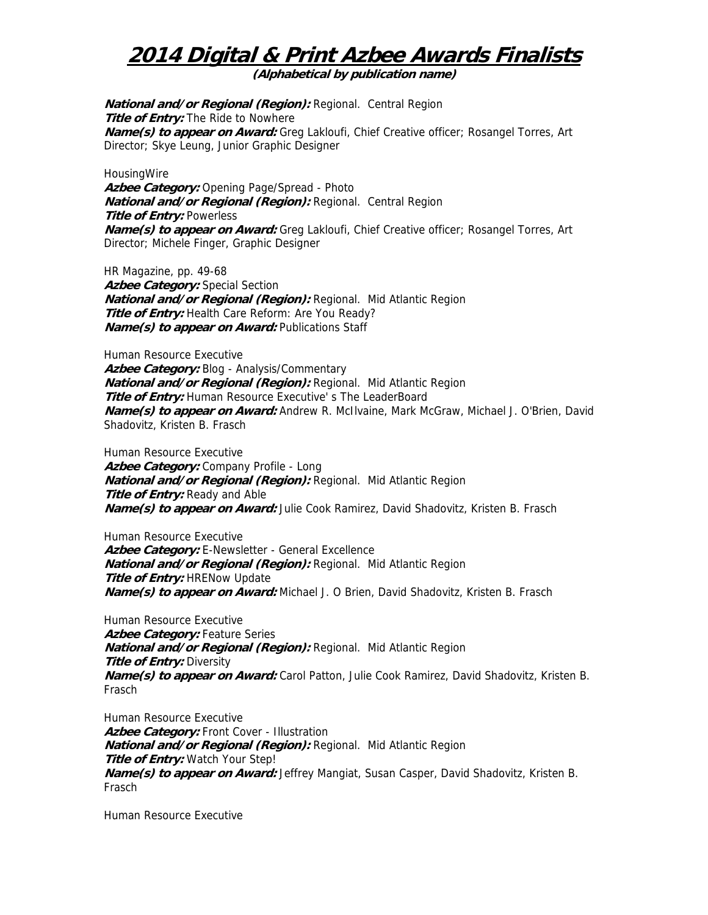**(Alphabetical by publication name)** 

**National and/or Regional (Region):** Regional. Central Region **Title of Entry:** The Ride to Nowhere **Name(s) to appear on Award:** Greg Lakloufi, Chief Creative officer; Rosangel Torres, Art Director; Skye Leung, Junior Graphic Designer

**HousingWire Azbee Category:** Opening Page/Spread - Photo **National and/or Regional (Region):** Regional. Central Region **Title of Entry:** Powerless **Name(s) to appear on Award:** Greg Lakloufi, Chief Creative officer; Rosangel Torres, Art Director; Michele Finger, Graphic Designer

HR Magazine, pp. 49-68 **Azbee Category:** Special Section **National and/or Regional (Region):** Regional. Mid Atlantic Region **Title of Entry:** Health Care Reform: Are You Ready? **Name(s) to appear on Award:** Publications Staff

Human Resource Executive Azbee Category: Blog - Analysis/Commentary **National and/or Regional (Region):** Regional. Mid Atlantic Region **Title of Entry:** Human Resource Executive' s The LeaderBoard **Name(s) to appear on Award:** Andrew R. McIlvaine, Mark McGraw, Michael J. O'Brien, David Shadovitz, Kristen B. Frasch

Human Resource Executive **Azbee Category:** Company Profile - Long **National and/or Regional (Region):** Regional. Mid Atlantic Region **Title of Entry: Ready and Able Name(s) to appear on Award:** Julie Cook Ramirez, David Shadovitz, Kristen B. Frasch

Human Resource Executive Azbee Category: E-Newsletter - General Excellence **National and/or Regional (Region):** Regional. Mid Atlantic Region **Title of Entry: HRENow Update Name(s) to appear on Award:** Michael J. O Brien, David Shadovitz, Kristen B. Frasch

Human Resource Executive Azbee Category: Feature Series **National and/or Regional (Region):** Regional. Mid Atlantic Region **Title of Entry: Diversity Name(s) to appear on Award:** Carol Patton, Julie Cook Ramirez, David Shadovitz, Kristen B. Frasch

Human Resource Executive Azbee Category: Front Cover - Illustration **National and/or Regional (Region):** Regional. Mid Atlantic Region **Title of Entry:** Watch Your Step! **Name(s) to appear on Award:** Jeffrey Mangiat, Susan Casper, David Shadovitz, Kristen B. Frasch

Human Resource Executive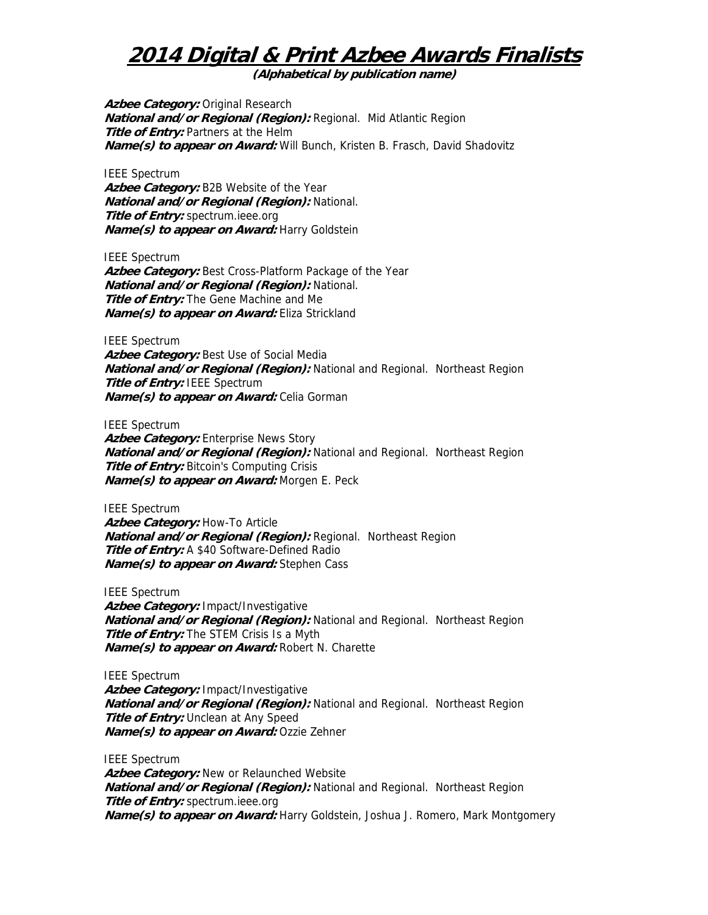**(Alphabetical by publication name)** 

Azbee Category: Original Research **National and/or Regional (Region):** Regional. Mid Atlantic Region **Title of Entry:** Partners at the Helm **Name(s) to appear on Award:** Will Bunch, Kristen B. Frasch, David Shadovitz

IEEE Spectrum **Azbee Category:** B2B Website of the Year **National and/or Regional (Region):** National. **Title of Entry:** spectrum.ieee.org **Name(s) to appear on Award:** Harry Goldstein

IEEE Spectrum **Azbee Category:** Best Cross-Platform Package of the Year **National and/or Regional (Region):** National. **Title of Entry:** The Gene Machine and Me **Name(s) to appear on Award:** Eliza Strickland

IEEE Spectrum Azbee Category: Best Use of Social Media **National and/or Regional (Region):** National and Regional. Northeast Region **Title of Entry:** IEEE Spectrum **Name(s) to appear on Award:** Celia Gorman

IEEE Spectrum Azbee Category: Enterprise News Story **National and/or Regional (Region):** National and Regional. Northeast Region **Title of Entry:** Bitcoin's Computing Crisis **Name(s) to appear on Award:** Morgen E. Peck

IEEE Spectrum Azbee Category: How-To Article **National and/or Regional (Region):** Regional. Northeast Region **Title of Entry:** A \$40 Software-Defined Radio **Name(s) to appear on Award:** Stephen Cass

IEEE Spectrum **Azbee Category:** Impact/Investigative **National and/or Regional (Region):** National and Regional. Northeast Region **Title of Entry:** The STEM Crisis Is a Myth **Name(s) to appear on Award:** Robert N. Charette

IEEE Spectrum **Azbee Category:** Impact/Investigative **National and/or Regional (Region):** National and Regional. Northeast Region **Title of Entry:** Unclean at Any Speed **Name(s) to appear on Award:** Ozzie Zehner

IEEE Spectrum Azbee Category: New or Relaunched Website **National and/or Regional (Region):** National and Regional. Northeast Region **Title of Entry:** spectrum.ieee.org **Name(s) to appear on Award:** Harry Goldstein, Joshua J. Romero, Mark Montgomery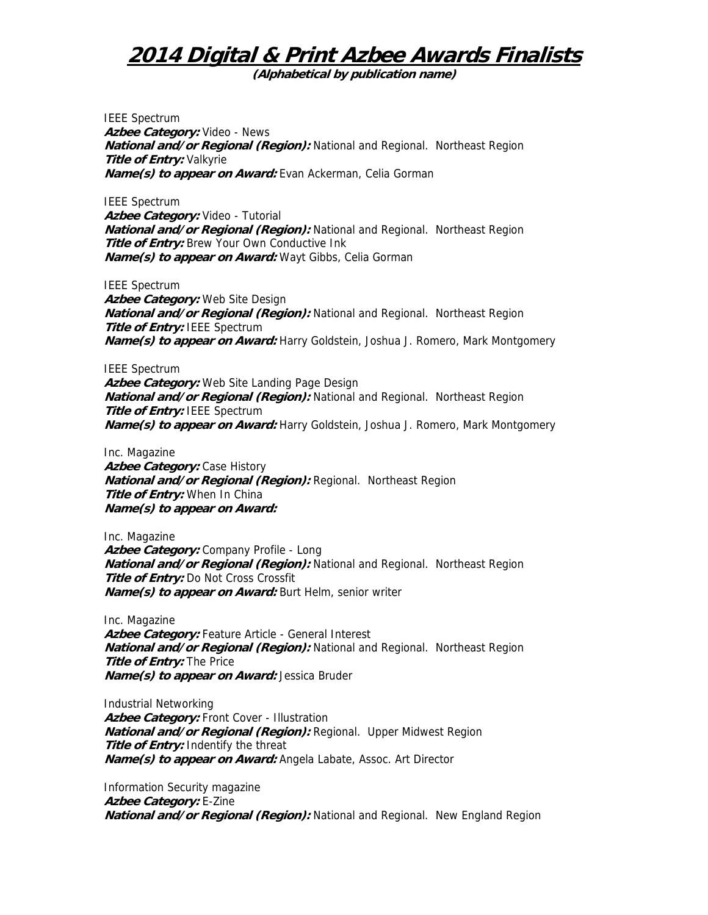**(Alphabetical by publication name)** 

IEEE Spectrum **Azbee Category:** Video - News **National and/or Regional (Region):** National and Regional. Northeast Region **Title of Entry:** Valkyrie **Name(s) to appear on Award:** Evan Ackerman, Celia Gorman

IEEE Spectrum **Azbee Category:** Video - Tutorial **National and/or Regional (Region):** National and Regional. Northeast Region **Title of Entry:** Brew Your Own Conductive Ink **Name(s) to appear on Award:** Wayt Gibbs, Celia Gorman

IEEE Spectrum **Azbee Category:** Web Site Design **National and/or Regional (Region):** National and Regional. Northeast Region **Title of Entry: IEEE Spectrum Name(s) to appear on Award:** Harry Goldstein, Joshua J. Romero, Mark Montgomery

IEEE Spectrum **Azbee Category:** Web Site Landing Page Design **National and/or Regional (Region):** National and Regional. Northeast Region **Title of Entry:** IEEE Spectrum **Name(s) to appear on Award:** Harry Goldstein, Joshua J. Romero, Mark Montgomery

Inc. Magazine **Azbee Category:** Case History **National and/or Regional (Region):** Regional. Northeast Region **Title of Entry:** When In China **Name(s) to appear on Award:** 

Inc. Magazine **Azbee Category:** Company Profile - Long **National and/or Regional (Region):** National and Regional. Northeast Region **Title of Entry:** Do Not Cross Crossfit **Name(s) to appear on Award:** Burt Helm, senior writer

Inc. Magazine **Azbee Category:** Feature Article - General Interest **National and/or Regional (Region):** National and Regional. Northeast Region **Title of Entry:** The Price **Name(s) to appear on Award:** Jessica Bruder

Industrial Networking Azbee Category: Front Cover - Illustration **National and/or Regional (Region):** Regional. Upper Midwest Region **Title of Entry:** Indentify the threat **Name(s) to appear on Award:** Angela Labate, Assoc. Art Director

Information Security magazine **Azbee Category:** E-Zine **National and/or Regional (Region):** National and Regional. New England Region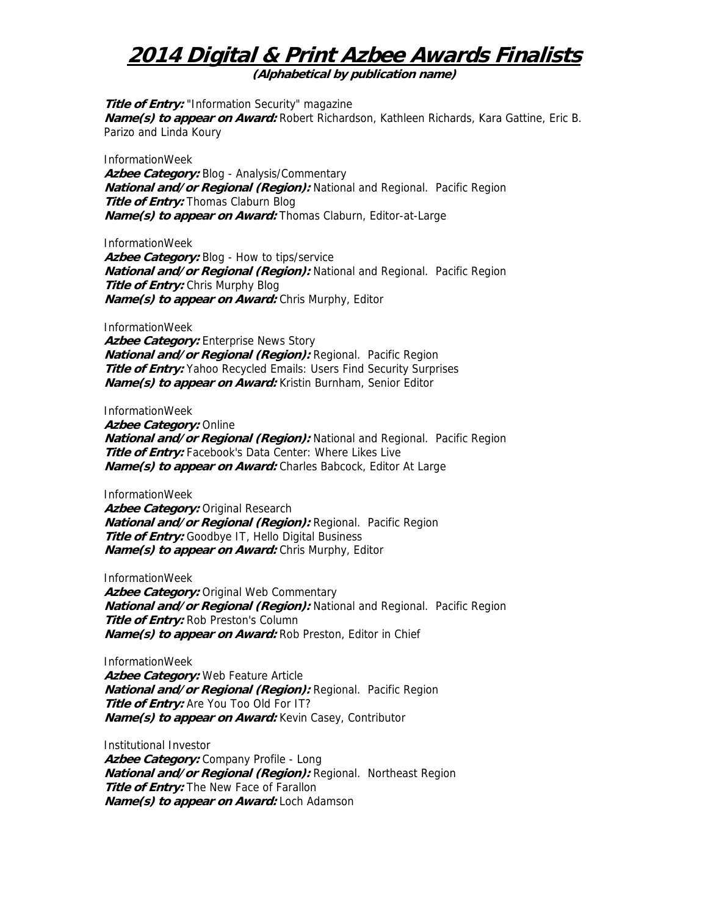**(Alphabetical by publication name)** 

**Title of Entry:** "Information Security" magazine **Name(s) to appear on Award:** Robert Richardson, Kathleen Richards, Kara Gattine, Eric B. Parizo and Linda Koury

InformationWeek **Azbee Category:** Blog - Analysis/Commentary **National and/or Regional (Region):** National and Regional. Pacific Region **Title of Entry:** Thomas Claburn Blog **Name(s) to appear on Award:** Thomas Claburn, Editor-at-Large

InformationWeek Azbee Category: Blog - How to tips/service **National and/or Regional (Region):** National and Regional. Pacific Region **Title of Entry:** Chris Murphy Blog **Name(s) to appear on Award:** Chris Murphy, Editor

InformationWeek

Azbee Category: Enterprise News Story **National and/or Regional (Region):** Regional. Pacific Region **Title of Entry:** Yahoo Recycled Emails: Users Find Security Surprises **Name(s) to appear on Award:** Kristin Burnham, Senior Editor

InformationWeek **Azbee Category:** Online **National and/or Regional (Region):** National and Regional. Pacific Region **Title of Entry:** Facebook's Data Center: Where Likes Live **Name(s) to appear on Award:** Charles Babcock, Editor At Large

InformationWeek

Azbee Category: Original Research **National and/or Regional (Region):** Regional. Pacific Region **Title of Entry:** Goodbye IT, Hello Digital Business **Name(s) to appear on Award:** Chris Murphy, Editor

InformationWeek

Azbee Category: Original Web Commentary **National and/or Regional (Region):** National and Regional. Pacific Region **Title of Entry:** Rob Preston's Column **Name(s) to appear on Award:** Rob Preston, Editor in Chief

InformationWeek **Azbee Category:** Web Feature Article **National and/or Regional (Region):** Regional. Pacific Region **Title of Entry:** Are You Too Old For IT?

**Name(s) to appear on Award:** Kevin Casey, Contributor

Institutional Investor

**Azbee Category:** Company Profile - Long **National and/or Regional (Region):** Regional. Northeast Region **Title of Entry:** The New Face of Farallon **Name(s) to appear on Award:** Loch Adamson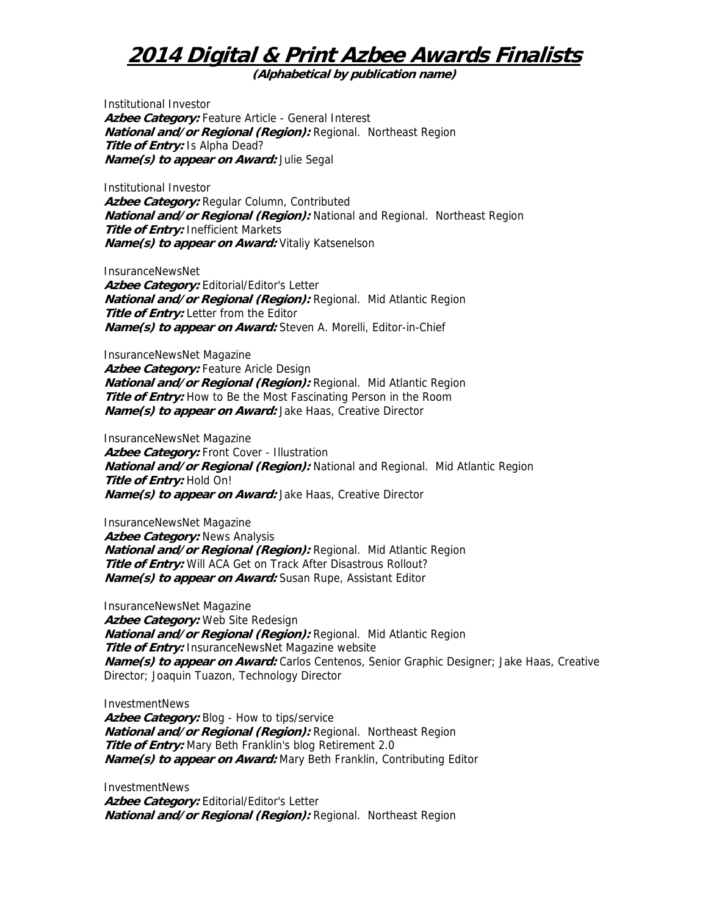**(Alphabetical by publication name)** 

Institutional Investor Azbee Category: Feature Article - General Interest **National and/or Regional (Region):** Regional. Northeast Region **Title of Entry:** Is Alpha Dead? **Name(s) to appear on Award:** Julie Segal

Institutional Investor **Azbee Category:** Regular Column, Contributed **National and/or Regional (Region):** National and Regional. Northeast Region **Title of Entry:** Inefficient Markets **Name(s) to appear on Award:** Vitaliy Katsenelson

InsuranceNewsNet

Azbee Category: Editorial/Editor's Letter **National and/or Regional (Region):** Regional. Mid Atlantic Region **Title of Entry:** Letter from the Editor **Name(s) to appear on Award:** Steven A. Morelli, Editor-in-Chief

InsuranceNewsNet Magazine Azbee Category: Feature Aricle Design **National and/or Regional (Region):** Regional. Mid Atlantic Region **Title of Entry:** How to Be the Most Fascinating Person in the Room **Name(s) to appear on Award:** Jake Haas, Creative Director

InsuranceNewsNet Magazine Azbee Category: Front Cover - Illustration **National and/or Regional (Region):** National and Regional. Mid Atlantic Region **Title of Entry:** Hold On! **Name(s) to appear on Award:** Jake Haas, Creative Director

InsuranceNewsNet Magazine **Azbee Category:** News Analysis **National and/or Regional (Region):** Regional. Mid Atlantic Region **Title of Entry:** Will ACA Get on Track After Disastrous Rollout? **Name(s) to appear on Award:** Susan Rupe, Assistant Editor

InsuranceNewsNet Magazine **Azbee Category:** Web Site Redesign **National and/or Regional (Region):** Regional. Mid Atlantic Region **Title of Entry:** InsuranceNewsNet Magazine website **Name(s) to appear on Award:** Carlos Centenos, Senior Graphic Designer; Jake Haas, Creative Director; Joaquin Tuazon, Technology Director

InvestmentNews Azbee Category: Blog - How to tips/service **National and/or Regional (Region):** Regional. Northeast Region **Title of Entry:** Mary Beth Franklin's blog Retirement 2.0 **Name(s) to appear on Award:** Mary Beth Franklin, Contributing Editor

InvestmentNews Azbee Category: Editorial/Editor's Letter **National and/or Regional (Region):** Regional. Northeast Region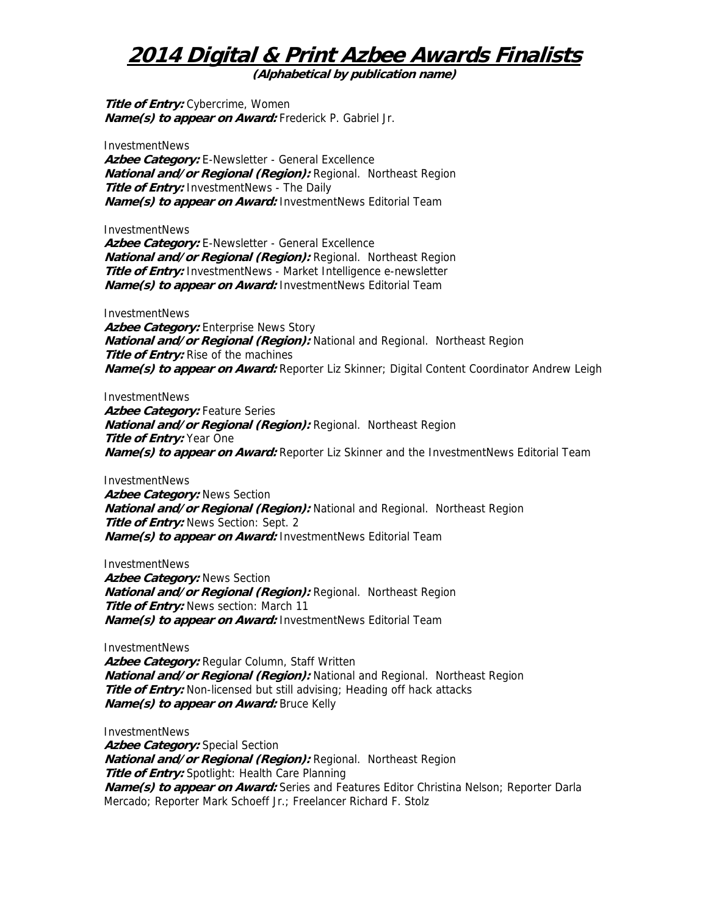**(Alphabetical by publication name)** 

**Title of Entry:** Cybercrime, Women **Name(s) to appear on Award:** Frederick P. Gabriel Jr.

InvestmentNews Azbee Category: E-Newsletter - General Excellence **National and/or Regional (Region):** Regional. Northeast Region **Title of Entry:** InvestmentNews - The Daily **Name(s) to appear on Award:** InvestmentNews Editorial Team

InvestmentNews

**Azbee Category:** E-Newsletter - General Excellence **National and/or Regional (Region):** Regional. Northeast Region **Title of Entry:** InvestmentNews - Market Intelligence e-newsletter **Name(s) to appear on Award:** InvestmentNews Editorial Team

**InvestmentNews** Azbee Category: Enterprise News Story **National and/or Regional (Region):** National and Regional. Northeast Region **Title of Entry:** Rise of the machines **Name(s) to appear on Award:** Reporter Liz Skinner; Digital Content Coordinator Andrew Leigh

InvestmentNews **Azbee Category:** Feature Series **National and/or Regional (Region):** Regional. Northeast Region **Title of Entry:** Year One **Name(s) to appear on Award:** Reporter Liz Skinner and the InvestmentNews Editorial Team

InvestmentNews **Azbee Category: News Section National and/or Regional (Region):** National and Regional. Northeast Region **Title of Entry:** News Section: Sept. 2 **Name(s) to appear on Award:** InvestmentNews Editorial Team

InvestmentNews **Azbee Category:** News Section **National and/or Regional (Region):** Regional. Northeast Region **Title of Entry:** News section: March 11 **Name(s) to appear on Award:** InvestmentNews Editorial Team

InvestmentNews

**Azbee Category:** Regular Column, Staff Written **National and/or Regional (Region):** National and Regional. Northeast Region **Title of Entry:** Non-licensed but still advising; Heading off hack attacks **Name(s) to appear on Award:** Bruce Kelly

InvestmentNews **Azbee Category:** Special Section **National and/or Regional (Region):** Regional. Northeast Region **Title of Entry:** Spotlight: Health Care Planning **Name(s) to appear on Award:** Series and Features Editor Christina Nelson; Reporter Darla Mercado; Reporter Mark Schoeff Jr.; Freelancer Richard F. Stolz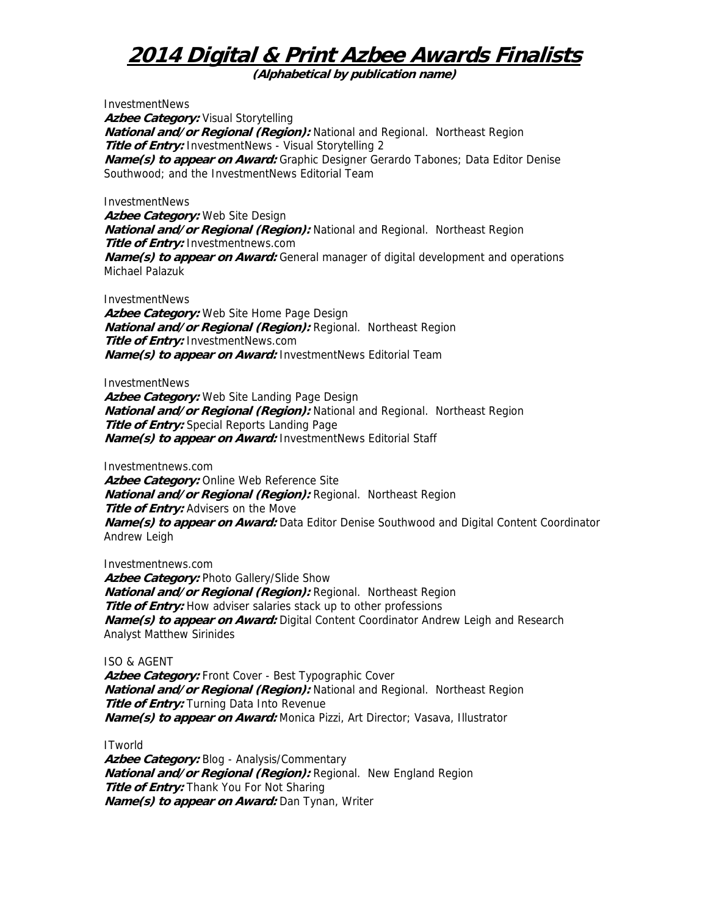**(Alphabetical by publication name)** 

InvestmentNews Azbee Category: Visual Storytelling **National and/or Regional (Region):** National and Regional. Northeast Region **Title of Entry:** InvestmentNews - Visual Storytelling 2 **Name(s) to appear on Award:** Graphic Designer Gerardo Tabones; Data Editor Denise Southwood; and the InvestmentNews Editorial Team

#### InvestmentNews

**Azbee Category:** Web Site Design **National and/or Regional (Region):** National and Regional. Northeast Region **Title of Entry:** Investmentnews.com **Name(s) to appear on Award:** General manager of digital development and operations Michael Palazuk

**InvestmentNews** 

**Azbee Category:** Web Site Home Page Design **National and/or Regional (Region):** Regional. Northeast Region **Title of Entry:** InvestmentNews.com **Name(s) to appear on Award:** InvestmentNews Editorial Team

InvestmentNews

**Azbee Category:** Web Site Landing Page Design **National and/or Regional (Region):** National and Regional. Northeast Region **Title of Entry:** Special Reports Landing Page **Name(s) to appear on Award:** InvestmentNews Editorial Staff

Investmentnews.com

**Azbee Category:** Online Web Reference Site **National and/or Regional (Region):** Regional. Northeast Region **Title of Entry:** Advisers on the Move **Name(s) to appear on Award:** Data Editor Denise Southwood and Digital Content Coordinator Andrew Leigh

Investmentnews.com Azbee Category: Photo Gallery/Slide Show **National and/or Regional (Region):** Regional. Northeast Region **Title of Entry:** How adviser salaries stack up to other professions **Name(s) to appear on Award:** Digital Content Coordinator Andrew Leigh and Research Analyst Matthew Sirinides

#### ISO & AGENT

Azbee Category: Front Cover - Best Typographic Cover **National and/or Regional (Region):** National and Regional. Northeast Region **Title of Entry:** Turning Data Into Revenue **Name(s) to appear on Award:** Monica Pizzi, Art Director; Vasava, Illustrator

**ITworld** 

Azbee Category: Blog - Analysis/Commentary **National and/or Regional (Region):** Regional. New England Region **Title of Entry:** Thank You For Not Sharing **Name(s) to appear on Award:** Dan Tynan, Writer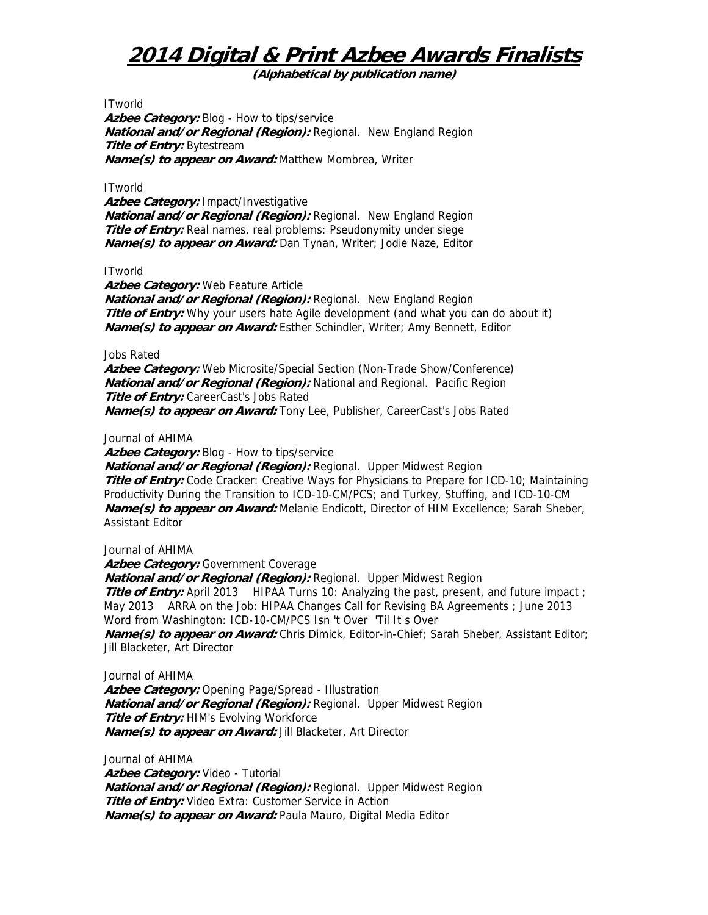**(Alphabetical by publication name)** 

**ITworld** 

Azbee Category: Blog - How to tips/service **National and/or Regional (Region):** Regional. New England Region **Title of Entry:** Bytestream **Name(s) to appear on Award:** Matthew Mombrea, Writer

#### **ITworld**

**Azbee Category:** Impact/Investigative **National and/or Regional (Region):** Regional. New England Region **Title of Entry:** Real names, real problems: Pseudonymity under siege **Name(s) to appear on Award:** Dan Tynan, Writer; Jodie Naze, Editor

#### **ITworld**

**Azbee Category:** Web Feature Article

**National and/or Regional (Region):** Regional. New England Region **Title of Entry:** Why your users hate Agile development (and what you can do about it) **Name(s) to appear on Award:** Esther Schindler, Writer; Amy Bennett, Editor

#### Jobs Rated

**Azbee Category:** Web Microsite/Special Section (Non-Trade Show/Conference) **National and/or Regional (Region):** National and Regional. Pacific Region **Title of Entry:** CareerCast's Jobs Rated **Name(s) to appear on Award:** Tony Lee, Publisher, CareerCast's Jobs Rated

#### Journal of AHIMA

Azbee Category: Blog - How to tips/service

**National and/or Regional (Region): Regional. Upper Midwest Region Title of Entry:** Code Cracker: Creative Ways for Physicians to Prepare for ICD-10; Maintaining Productivity During the Transition to ICD-10-CM/PCS; and Turkey, Stuffing, and ICD-10-CM **Name(s) to appear on Award:** Melanie Endicott, Director of HIM Excellence; Sarah Sheber, Assistant Editor

#### Journal of AHIMA

Azbee Category: Government Coverage **National and/or Regional (Region):** Regional. Upper Midwest Region **Title of Entry:** April 2013 HIPAA Turns 10: Analyzing the past, present, and future impact; May 2013 ARRA on the Job: HIPAA Changes Call for Revising BA Agreements ; June 2013 Word from Washington: ICD-10-CM/PCS Isn 't Over 'Til It s Over **Name(s) to appear on Award:** Chris Dimick, Editor-in-Chief; Sarah Sheber, Assistant Editor; Jill Blacketer, Art Director

Journal of AHIMA **Azbee Category:** Opening Page/Spread - Illustration **National and/or Regional (Region):** Regional. Upper Midwest Region **Title of Entry: HIM's Evolving Workforce Name(s) to appear on Award:** Jill Blacketer, Art Director

Journal of AHIMA **Azbee Category:** Video - Tutorial **National and/or Regional (Region):** Regional. Upper Midwest Region **Title of Entry:** Video Extra: Customer Service in Action **Name(s) to appear on Award:** Paula Mauro, Digital Media Editor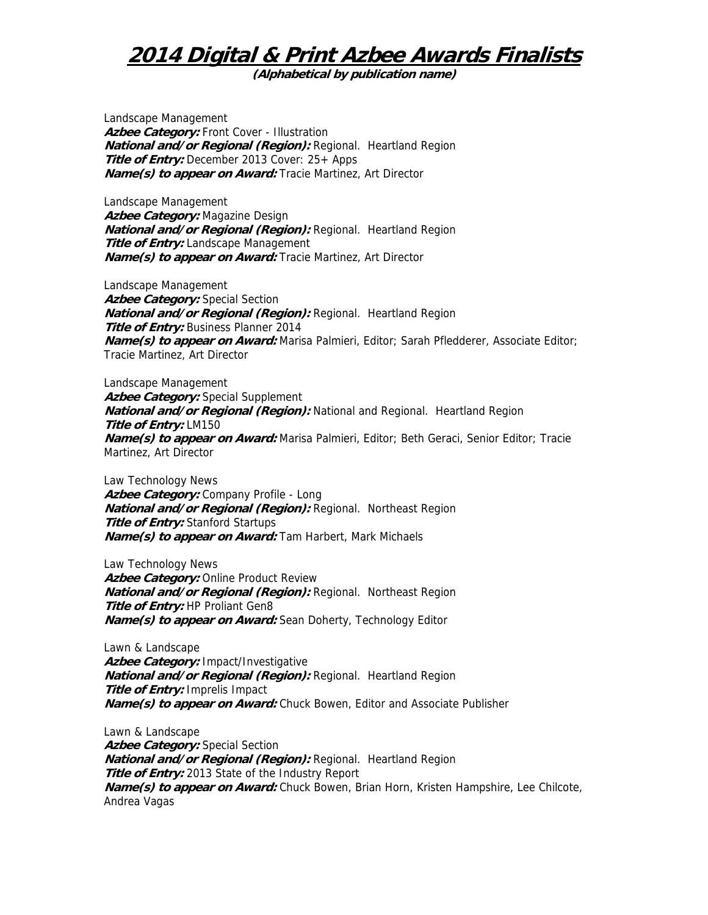**(Alphabetical by publication name)** 

Landscape Management Azbee Category: Front Cover - Illustration **National and/or Regional (Region):** Regional. Heartland Region **Title of Entry:** December 2013 Cover: 25+ Apps **Name(s) to appear on Award:** Tracie Martinez, Art Director

Landscape Management **Azbee Category:** Magazine Design **National and/or Regional (Region):** Regional. Heartland Region **Title of Entry:** Landscape Management **Name(s) to appear on Award:** Tracie Martinez, Art Director

Landscape Management Azbee Category: Special Section **National and/or Regional (Region):** Regional. Heartland Region **Title of Entry:** Business Planner 2014 **Name(s) to appear on Award:** Marisa Palmieri, Editor; Sarah Pfledderer, Associate Editor; Tracie Martinez, Art Director

Landscape Management Azbee Category: Special Supplement **National and/or Regional (Region):** National and Regional. Heartland Region **Title of Entry:** LM150 **Name(s) to appear on Award:** Marisa Palmieri, Editor; Beth Geraci, Senior Editor; Tracie Martinez, Art Director

Law Technology News **Azbee Category:** Company Profile - Long **National and/or Regional (Region):** Regional. Northeast Region **Title of Entry:** Stanford Startups **Name(s) to appear on Award:** Tam Harbert, Mark Michaels

Law Technology News **Azbee Category:** Online Product Review **National and/or Regional (Region):** Regional. Northeast Region **Title of Entry:** HP Proliant Gen8 **Name(s) to appear on Award:** Sean Doherty, Technology Editor

Lawn & Landscape **Azbee Category:** Impact/Investigative **National and/or Regional (Region):** Regional. Heartland Region **Title of Entry:** Imprelis Impact **Name(s) to appear on Award:** Chuck Bowen, Editor and Associate Publisher

Lawn & Landscape **Azbee Category:** Special Section **National and/or Regional (Region):** Regional. Heartland Region **Title of Entry:** 2013 State of the Industry Report **Name(s) to appear on Award:** Chuck Bowen, Brian Horn, Kristen Hampshire, Lee Chilcote, Andrea Vagas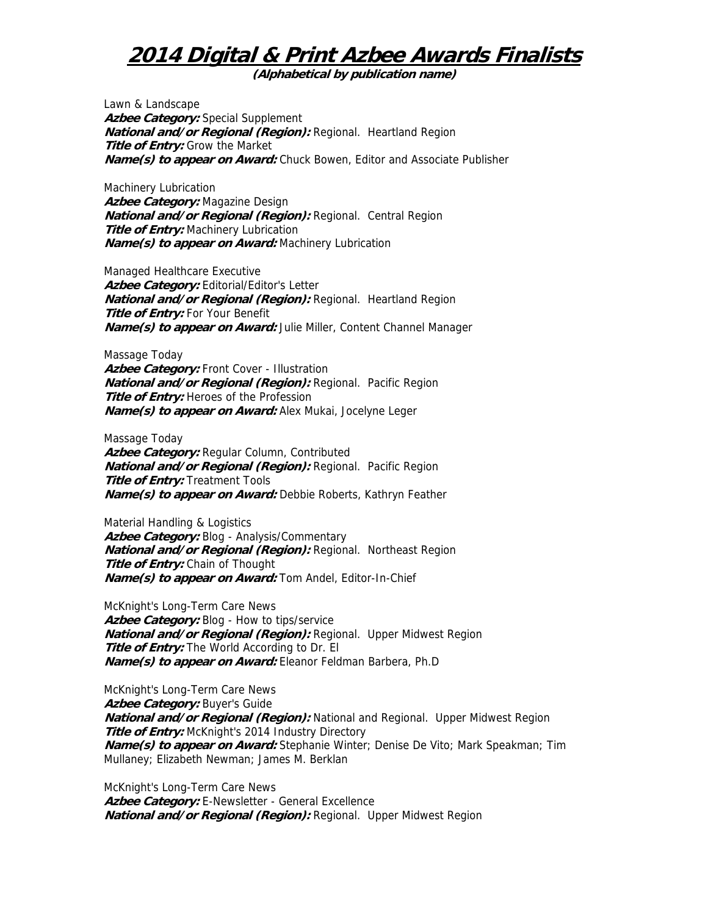**(Alphabetical by publication name)** 

Lawn & Landscape **Azbee Category:** Special Supplement **National and/or Regional (Region):** Regional. Heartland Region **Title of Entry:** Grow the Market **Name(s) to appear on Award:** Chuck Bowen, Editor and Associate Publisher

Machinery Lubrication **Azbee Category:** Magazine Design **National and/or Regional (Region):** Regional. Central Region **Title of Entry:** Machinery Lubrication **Name(s) to appear on Award:** Machinery Lubrication

Managed Healthcare Executive Azbee Category: Editorial/Editor's Letter **National and/or Regional (Region):** Regional. Heartland Region **Title of Entry: For Your Benefit Name(s) to appear on Award:** Julie Miller, Content Channel Manager

Massage Today Azbee Category: Front Cover - Illustration **National and/or Regional (Region):** Regional. Pacific Region **Title of Entry:** Heroes of the Profession **Name(s) to appear on Award:** Alex Mukai, Jocelyne Leger

Massage Today **Azbee Category:** Regular Column, Contributed **National and/or Regional (Region):** Regional. Pacific Region **Title of Entry: Treatment Tools Name(s) to appear on Award:** Debbie Roberts, Kathryn Feather

Material Handling & Logistics Azbee Category: Blog - Analysis/Commentary **National and/or Regional (Region):** Regional. Northeast Region **Title of Entry:** Chain of Thought **Name(s) to appear on Award:** Tom Andel, Editor-In-Chief

McKnight's Long-Term Care News Azbee Category: Blog - How to tips/service **National and/or Regional (Region):** Regional. Upper Midwest Region **Title of Entry:** The World According to Dr. El **Name(s) to appear on Award:** Eleanor Feldman Barbera, Ph.D

McKnight's Long-Term Care News Azbee Category: Buyer's Guide **National and/or Regional (Region):** National and Regional. Upper Midwest Region **Title of Entry:** McKnight's 2014 Industry Directory **Name(s) to appear on Award:** Stephanie Winter; Denise De Vito; Mark Speakman; Tim Mullaney; Elizabeth Newman; James M. Berklan

McKnight's Long-Term Care News Azbee Category: E-Newsletter - General Excellence **National and/or Regional (Region):** Regional. Upper Midwest Region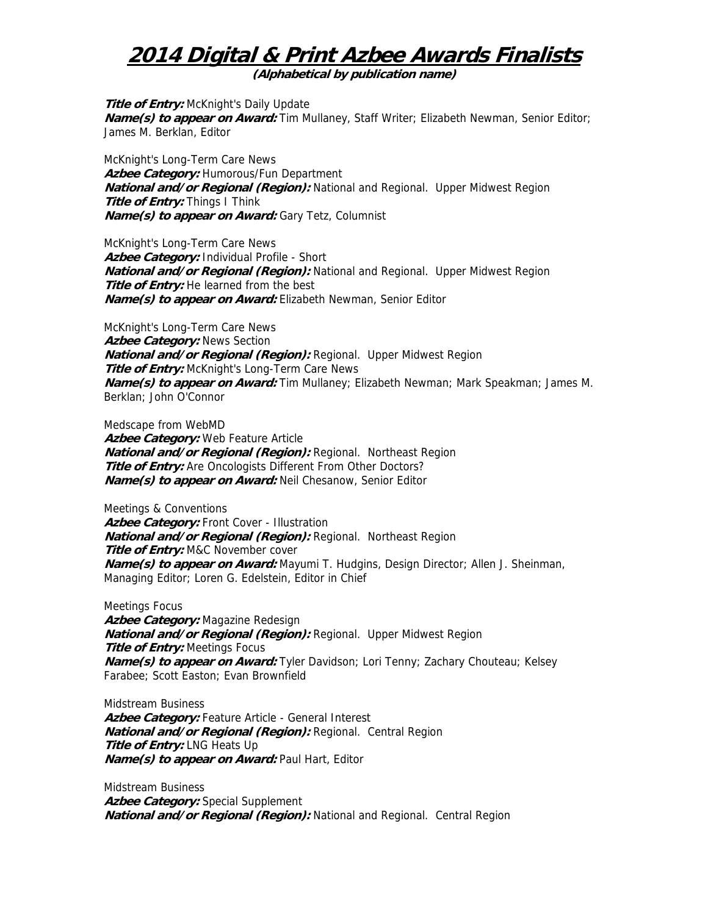**(Alphabetical by publication name)** 

**Title of Entry:** McKnight's Daily Update **Name(s) to appear on Award:** Tim Mullaney, Staff Writer; Elizabeth Newman, Senior Editor; James M. Berklan, Editor

McKnight's Long-Term Care News **Azbee Category:** Humorous/Fun Department **National and/or Regional (Region):** National and Regional. Upper Midwest Region **Title of Entry:** Things I Think **Name(s) to appear on Award:** Gary Tetz, Columnist

McKnight's Long-Term Care News **Azbee Category:** Individual Profile - Short **National and/or Regional (Region):** National and Regional. Upper Midwest Region **Title of Entry:** He learned from the best **Name(s) to appear on Award:** Elizabeth Newman, Senior Editor

McKnight's Long-Term Care News **Azbee Category:** News Section **National and/or Regional (Region):** Regional. Upper Midwest Region **Title of Entry:** McKnight's Long-Term Care News **Name(s) to appear on Award:** Tim Mullaney; Elizabeth Newman; Mark Speakman; James M. Berklan; John O'Connor

Medscape from WebMD **Azbee Category:** Web Feature Article **National and/or Regional (Region):** Regional. Northeast Region **Title of Entry:** Are Oncologists Different From Other Doctors? **Name(s) to appear on Award:** Neil Chesanow, Senior Editor

Meetings & Conventions Azbee Category: Front Cover - Illustration **National and/or Regional (Region):** Regional. Northeast Region **Title of Entry:** M&C November cover **Name(s) to appear on Award:** Mayumi T. Hudgins, Design Director; Allen J. Sheinman, Managing Editor; Loren G. Edelstein, Editor in Chief

Meetings Focus **Azbee Category:** Magazine Redesign **National and/or Regional (Region):** Regional. Upper Midwest Region **Title of Entry: Meetings Focus Name(s) to appear on Award:** Tyler Davidson; Lori Tenny; Zachary Chouteau; Kelsey Farabee; Scott Easton; Evan Brownfield

Midstream Business Azbee Category: Feature Article - General Interest **National and/or Regional (Region):** Regional. Central Region **Title of Entry:** LNG Heats Up **Name(s) to appear on Award:** Paul Hart, Editor

Midstream Business **Azbee Category:** Special Supplement **National and/or Regional (Region):** National and Regional. Central Region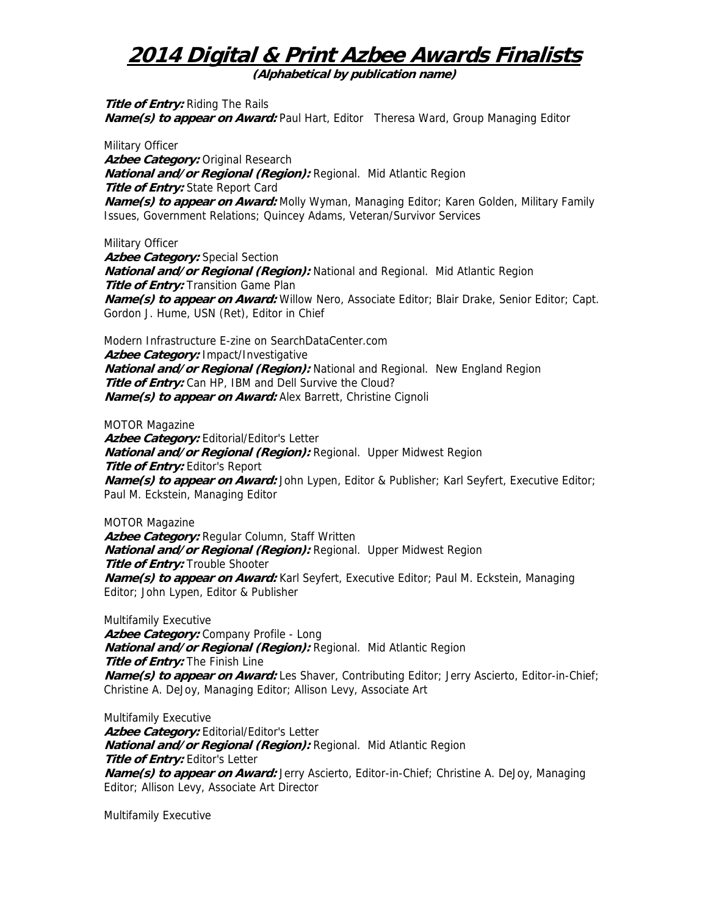**(Alphabetical by publication name)** 

**Title of Entry:** Riding The Rails **Name(s) to appear on Award:** Paul Hart, Editor Theresa Ward, Group Managing Editor

Military Officer **Azbee Category:** Original Research **National and/or Regional (Region):** Regional. Mid Atlantic Region **Title of Entry:** State Report Card **Name(s) to appear on Award:** Molly Wyman, Managing Editor; Karen Golden, Military Family Issues, Government Relations; Quincey Adams, Veteran/Survivor Services

Military Officer

**Azbee Category:** Special Section **National and/or Regional (Region):** National and Regional. Mid Atlantic Region **Title of Entry:** Transition Game Plan **Name(s) to appear on Award:** Willow Nero, Associate Editor; Blair Drake, Senior Editor; Capt. Gordon J. Hume, USN (Ret), Editor in Chief

Modern Infrastructure E-zine on SearchDataCenter.com **Azbee Category:** Impact/Investigative **National and/or Regional (Region):** National and Regional. New England Region Title of Entry: Can HP, IBM and Dell Survive the Cloud? **Name(s) to appear on Award:** Alex Barrett, Christine Cignoli

MOTOR Magazine Azbee Category: Editorial/Editor's Letter **National and/or Regional (Region):** Regional. Upper Midwest Region **Title of Entry:** Editor's Report **Name(s) to appear on Award:** John Lypen, Editor & Publisher; Karl Seyfert, Executive Editor; Paul M. Eckstein, Managing Editor

MOTOR Magazine **Azbee Category:** Regular Column, Staff Written **National and/or Regional (Region):** Regional. Upper Midwest Region **Title of Entry:** Trouble Shooter **Name(s) to appear on Award:** Karl Seyfert, Executive Editor; Paul M. Eckstein, Managing Editor; John Lypen, Editor & Publisher

Multifamily Executive **Azbee Category:** Company Profile - Long **National and/or Regional (Region):** Regional. Mid Atlantic Region **Title of Entry:** The Finish Line **Name(s) to appear on Award:** Les Shaver, Contributing Editor; Jerry Ascierto, Editor-in-Chief; Christine A. DeJoy, Managing Editor; Allison Levy, Associate Art

Multifamily Executive Azbee Category: Editorial/Editor's Letter **National and/or Regional (Region):** Regional. Mid Atlantic Region **Title of Entry:** Editor's Letter **Name(s) to appear on Award:** Jerry Ascierto, Editor-in-Chief; Christine A. DeJoy, Managing Editor; Allison Levy, Associate Art Director

Multifamily Executive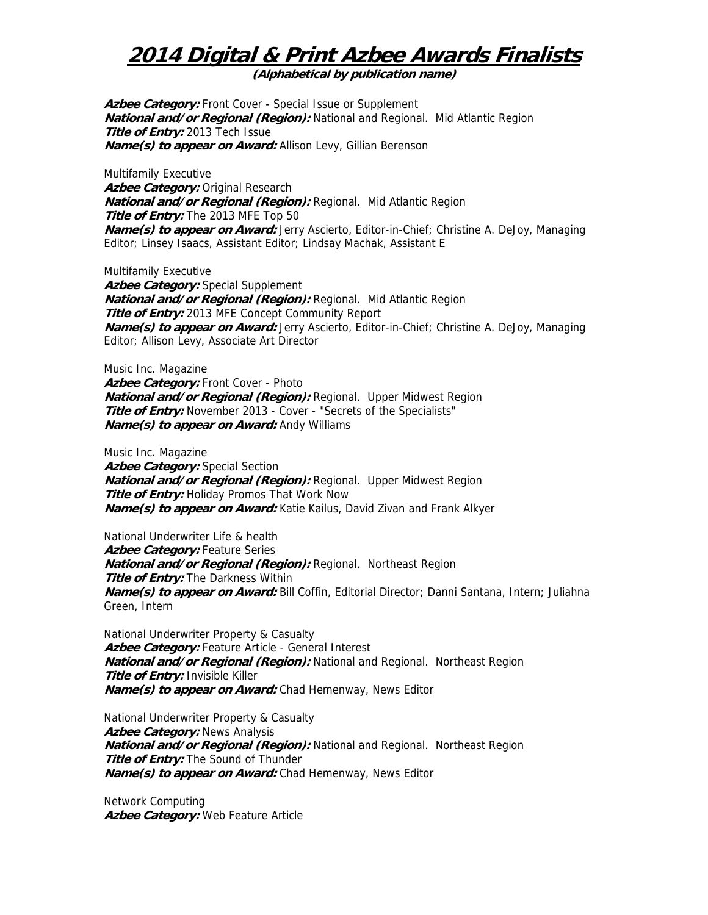**(Alphabetical by publication name)** 

Azbee Category: Front Cover - Special Issue or Supplement **National and/or Regional (Region):** National and Regional. Mid Atlantic Region **Title of Entry:** 2013 Tech Issue **Name(s) to appear on Award:** Allison Levy, Gillian Berenson

Multifamily Executive **Azbee Category:** Original Research **National and/or Regional (Region):** Regional. Mid Atlantic Region **Title of Entry:** The 2013 MFE Top 50 **Name(s) to appear on Award:** Jerry Ascierto, Editor-in-Chief; Christine A. DeJoy, Managing Editor; Linsey Isaacs, Assistant Editor; Lindsay Machak, Assistant E

Multifamily Executive

**Azbee Category:** Special Supplement **National and/or Regional (Region):** Regional. Mid Atlantic Region **Title of Entry:** 2013 MFE Concept Community Report **Name(s) to appear on Award:** Jerry Ascierto, Editor-in-Chief; Christine A. DeJoy, Managing Editor; Allison Levy, Associate Art Director

Music Inc. Magazine Azbee Category: Front Cover - Photo **National and/or Regional (Region):** Regional. Upper Midwest Region **Title of Entry:** November 2013 - Cover - "Secrets of the Specialists" **Name(s) to appear on Award:** Andy Williams

Music Inc. Magazine **Azbee Category:** Special Section **National and/or Regional (Region):** Regional. Upper Midwest Region **Title of Entry:** Holiday Promos That Work Now **Name(s) to appear on Award:** Katie Kailus, David Zivan and Frank Alkyer

National Underwriter Life & health **Azbee Category:** Feature Series **National and/or Regional (Region):** Regional. Northeast Region **Title of Entry:** The Darkness Within **Name(s) to appear on Award:** Bill Coffin, Editorial Director; Danni Santana, Intern; Juliahna Green, Intern

National Underwriter Property & Casualty Azbee Category: Feature Article - General Interest **National and/or Regional (Region):** National and Regional. Northeast Region **Title of Entry:** Invisible Killer **Name(s) to appear on Award:** Chad Hemenway, News Editor

National Underwriter Property & Casualty **Azbee Category:** News Analysis **National and/or Regional (Region):** National and Regional. Northeast Region **Title of Entry:** The Sound of Thunder **Name(s) to appear on Award:** Chad Hemenway, News Editor

Network Computing **Azbee Category:** Web Feature Article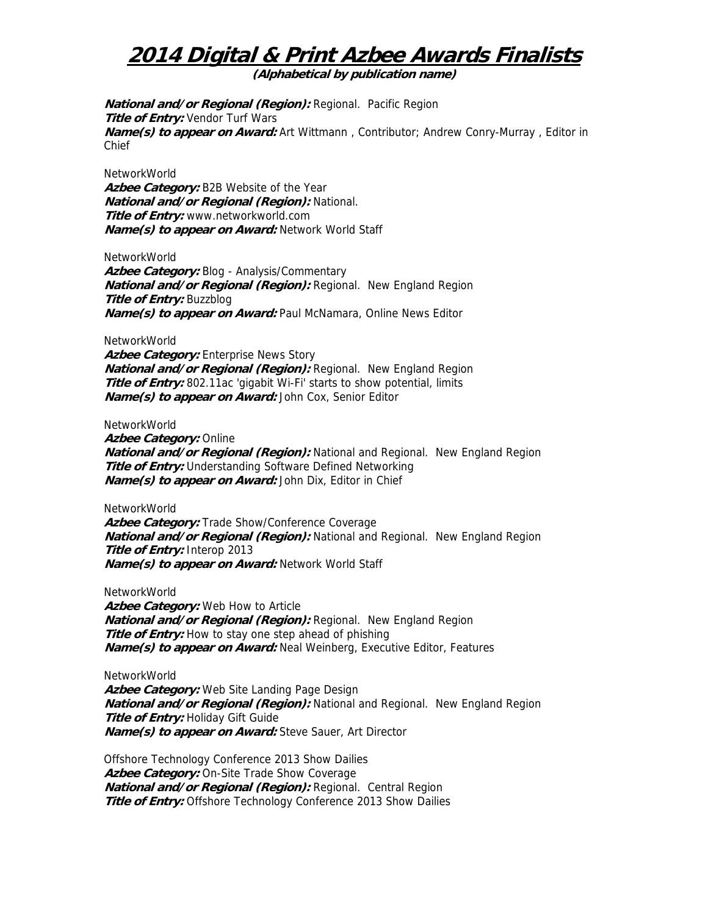**(Alphabetical by publication name)** 

**National and/or Regional (Region):** Regional. Pacific Region **Title of Entry:** Vendor Turf Wars **Name(s) to appear on Award:** Art Wittmann , Contributor; Andrew Conry-Murray , Editor in Chief

NetworkWorld **Azbee Category:** B2B Website of the Year **National and/or Regional (Region):** National. **Title of Entry:** www.networkworld.com **Name(s) to appear on Award:** Network World Staff

NetworkWorld Azbee Category: Blog - Analysis/Commentary **National and/or Regional (Region):** Regional. New England Region **Title of Entry:** Buzzblog **Name(s) to appear on Award:** Paul McNamara, Online News Editor

NetworkWorld

Azbee Category: Enterprise News Story **National and/or Regional (Region):** Regional. New England Region **Title of Entry:** 802.11ac 'gigabit Wi-Fi' starts to show potential, limits **Name(s) to appear on Award:** John Cox, Senior Editor

NetworkWorld

**Azbee Category:** Online **National and/or Regional (Region):** National and Regional. New England Region **Title of Entry:** Understanding Software Defined Networking **Name(s) to appear on Award:** John Dix, Editor in Chief

NetworkWorld

Azbee Category: Trade Show/Conference Coverage **National and/or Regional (Region):** National and Regional. New England Region **Title of Entry:** Interop 2013 **Name(s) to appear on Award:** Network World Staff

NetworkWorld

**Azbee Category:** Web How to Article **National and/or Regional (Region):** Regional. New England Region **Title of Entry:** How to stay one step ahead of phishing **Name(s) to appear on Award:** Neal Weinberg, Executive Editor, Features

NetworkWorld **Azbee Category:** Web Site Landing Page Design **National and/or Regional (Region):** National and Regional. New England Region **Title of Entry: Holiday Gift Guide Name(s) to appear on Award:** Steve Sauer, Art Director

Offshore Technology Conference 2013 Show Dailies Azbee Category: On-Site Trade Show Coverage **National and/or Regional (Region):** Regional. Central Region **Title of Entry:** Offshore Technology Conference 2013 Show Dailies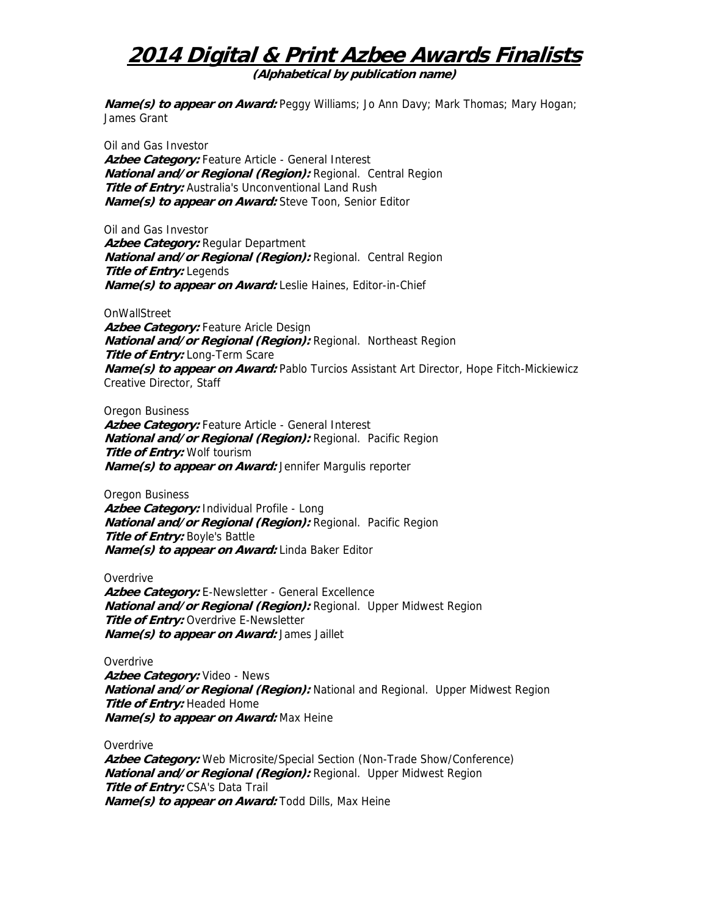**(Alphabetical by publication name)** 

**Name(s) to appear on Award:** Peggy Williams; Jo Ann Davy; Mark Thomas; Mary Hogan; James Grant

Oil and Gas Investor **Azbee Category:** Feature Article - General Interest **National and/or Regional (Region):** Regional. Central Region **Title of Entry:** Australia's Unconventional Land Rush **Name(s) to appear on Award:** Steve Toon, Senior Editor

Oil and Gas Investor **Azbee Category:** Regular Department **National and/or Regional (Region):** Regional. Central Region **Title of Entry:** Legends **Name(s) to appear on Award:** Leslie Haines, Editor-in-Chief

**OnWallStreet Azbee Category:** Feature Aricle Design **National and/or Regional (Region):** Regional. Northeast Region **Title of Entry: Long-Term Scare Name(s) to appear on Award:** Pablo Turcios Assistant Art Director, Hope Fitch-Mickiewicz Creative Director, Staff

Oregon Business Azbee Category: Feature Article - General Interest **National and/or Regional (Region):** Regional. Pacific Region **Title of Entry:** Wolf tourism **Name(s) to appear on Award:** Jennifer Margulis reporter

Oregon Business **Azbee Category:** Individual Profile - Long **National and/or Regional (Region):** Regional. Pacific Region **Title of Entry:** Boyle's Battle **Name(s) to appear on Award:** Linda Baker Editor

**Overdrive** Azbee Category: E-Newsletter - General Excellence **National and/or Regional (Region):** Regional. Upper Midwest Region **Title of Entry:** Overdrive E-Newsletter **Name(s) to appear on Award:** James Jaillet

**Overdrive Azbee Category:** Video - News **National and/or Regional (Region):** National and Regional. Upper Midwest Region **Title of Entry:** Headed Home **Name(s) to appear on Award:** Max Heine

**Overdrive Azbee Category:** Web Microsite/Special Section (Non-Trade Show/Conference) **National and/or Regional (Region):** Regional. Upper Midwest Region **Title of Entry:** CSA's Data Trail **Name(s) to appear on Award:** Todd Dills, Max Heine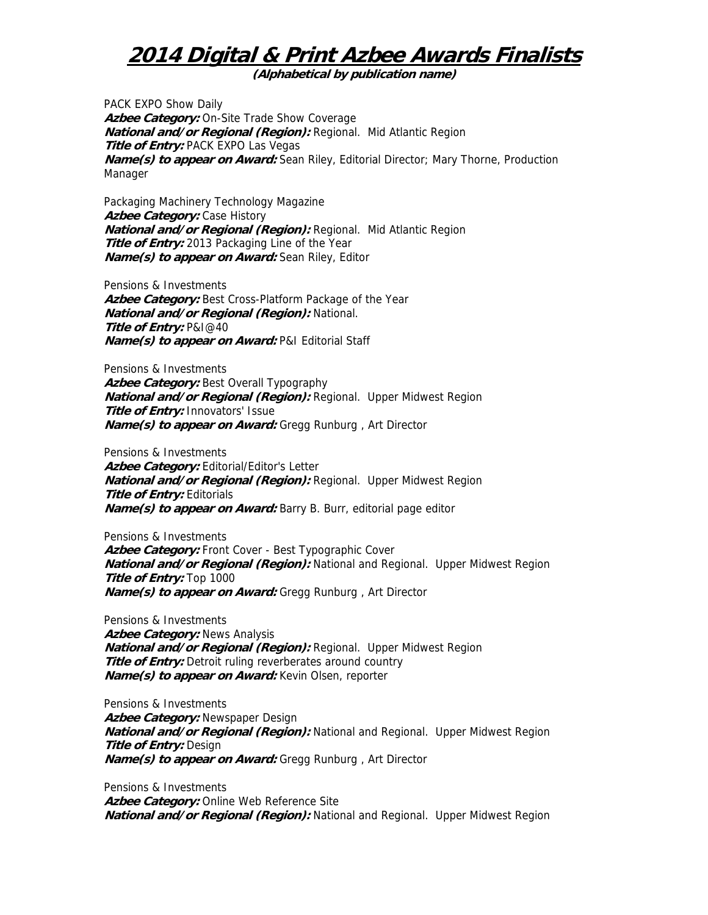**(Alphabetical by publication name)** 

PACK EXPO Show Daily Azbee Category: On-Site Trade Show Coverage **National and/or Regional (Region):** Regional. Mid Atlantic Region **Title of Entry: PACK EXPO Las Vegas Name(s) to appear on Award:** Sean Riley, Editorial Director; Mary Thorne, Production Manager

Packaging Machinery Technology Magazine **Azbee Category: Case History National and/or Regional (Region):** Regional. Mid Atlantic Region **Title of Entry:** 2013 Packaging Line of the Year **Name(s) to appear on Award:** Sean Riley, Editor

Pensions & Investments Azbee Category: Best Cross-Platform Package of the Year **National and/or Regional (Region):** National. **Title of Entry:** P&I@40 **Name(s) to appear on Award:** P&I Editorial Staff

Pensions & Investments Azbee Category: Best Overall Typography **National and/or Regional (Region):** Regional. Upper Midwest Region **Title of Entry:** Innovators' Issue **Name(s) to appear on Award:** Gregg Runburg , Art Director

Pensions & Investments Azbee Category: Editorial/Editor's Letter **National and/or Regional (Region):** Regional. Upper Midwest Region **Title of Entry: Editorials Name(s) to appear on Award:** Barry B. Burr, editorial page editor

Pensions & Investments **Azbee Category:** Front Cover - Best Typographic Cover **National and/or Regional (Region):** National and Regional. Upper Midwest Region **Title of Entry:** Top 1000 **Name(s) to appear on Award:** Gregg Runburg , Art Director

Pensions & Investments **Azbee Category:** News Analysis **National and/or Regional (Region):** Regional. Upper Midwest Region **Title of Entry:** Detroit ruling reverberates around country **Name(s) to appear on Award:** Kevin Olsen, reporter

Pensions & Investments **Azbee Category:** Newspaper Design **National and/or Regional (Region):** National and Regional. Upper Midwest Region **Title of Entry:** Design **Name(s) to appear on Award:** Gregg Runburg , Art Director

Pensions & Investments Azbee Category: Online Web Reference Site **National and/or Regional (Region):** National and Regional. Upper Midwest Region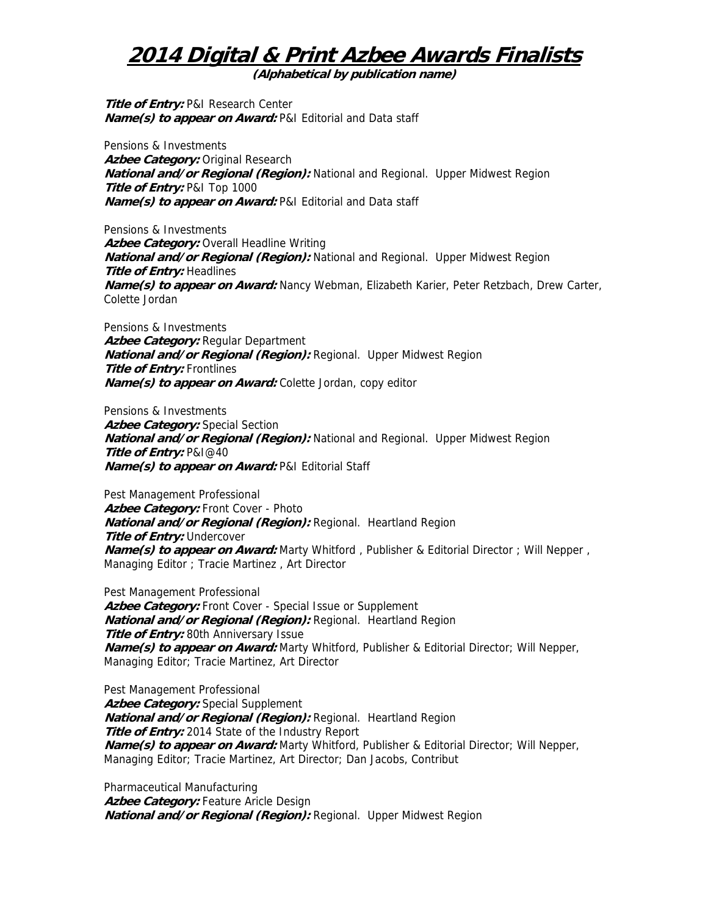**(Alphabetical by publication name)** 

**Title of Entry:** P&I Research Center **Name(s) to appear on Award:** P&I Editorial and Data staff

Pensions & Investments **Azbee Category:** Original Research **National and/or Regional (Region):** National and Regional. Upper Midwest Region **Title of Entry:** P&I Top 1000 **Name(s) to appear on Award:** P&I Editorial and Data staff

Pensions & Investments **Azbee Category:** Overall Headline Writing **National and/or Regional (Region):** National and Regional. Upper Midwest Region **Title of Entry:** Headlines **Name(s) to appear on Award:** Nancy Webman, Elizabeth Karier, Peter Retzbach, Drew Carter, Colette Jordan

Pensions & Investments **Azbee Category:** Regular Department **National and/or Regional (Region):** Regional. Upper Midwest Region **Title of Entry:** Frontlines **Name(s) to appear on Award:** Colette Jordan, copy editor

Pensions & Investments **Azbee Category:** Special Section **National and/or Regional (Region):** National and Regional. Upper Midwest Region **Title of Entry:** P&I@40 **Name(s) to appear on Award:** P&I Editorial Staff

Pest Management Professional Azbee Category: Front Cover - Photo **National and/or Regional (Region):** Regional. Heartland Region **Title of Entry:** Undercover **Name(s) to appear on Award:** Marty Whitford, Publisher & Editorial Director; Will Nepper, Managing Editor ; Tracie Martinez , Art Director

Pest Management Professional Azbee Category: Front Cover - Special Issue or Supplement **National and/or Regional (Region):** Regional. Heartland Region **Title of Entry:** 80th Anniversary Issue **Name(s) to appear on Award:** Marty Whitford, Publisher & Editorial Director; Will Nepper, Managing Editor; Tracie Martinez, Art Director

Pest Management Professional **Azbee Category:** Special Supplement **National and/or Regional (Region):** Regional. Heartland Region **Title of Entry:** 2014 State of the Industry Report **Name(s) to appear on Award:** Marty Whitford, Publisher & Editorial Director; Will Nepper, Managing Editor; Tracie Martinez, Art Director; Dan Jacobs, Contribut

Pharmaceutical Manufacturing Azbee Category: Feature Aricle Design **National and/or Regional (Region):** Regional. Upper Midwest Region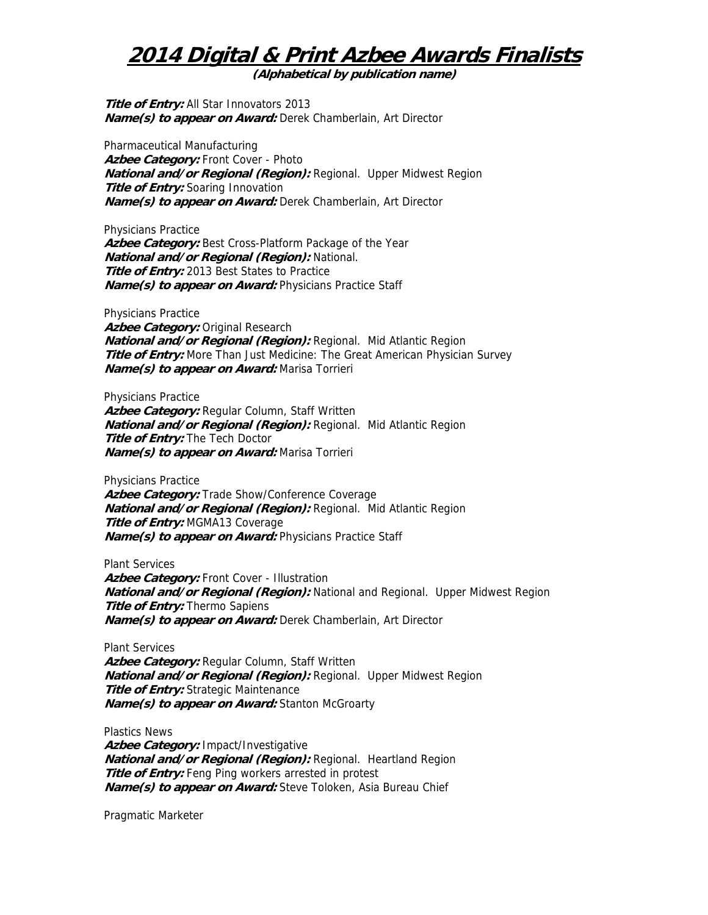**(Alphabetical by publication name)** 

**Title of Entry:** All Star Innovators 2013 **Name(s) to appear on Award:** Derek Chamberlain, Art Director

Pharmaceutical Manufacturing Azbee Category: Front Cover - Photo **National and/or Regional (Region):** Regional. Upper Midwest Region **Title of Entry:** Soaring Innovation **Name(s) to appear on Award:** Derek Chamberlain, Art Director

Physicians Practice Azbee Category: Best Cross-Platform Package of the Year **National and/or Regional (Region):** National. **Title of Entry:** 2013 Best States to Practice **Name(s) to appear on Award:** Physicians Practice Staff

Physicians Practice **Azbee Category:** Original Research **National and/or Regional (Region):** Regional. Mid Atlantic Region **Title of Entry:** More Than Just Medicine: The Great American Physician Survey **Name(s) to appear on Award:** Marisa Torrieri

Physicians Practice **Azbee Category:** Regular Column, Staff Written **National and/or Regional (Region):** Regional. Mid Atlantic Region **Title of Entry:** The Tech Doctor **Name(s) to appear on Award:** Marisa Torrieri

Physicians Practice Azbee Category: Trade Show/Conference Coverage **National and/or Regional (Region):** Regional. Mid Atlantic Region **Title of Entry:** MGMA13 Coverage **Name(s) to appear on Award:** Physicians Practice Staff

Plant Services Azbee Category: Front Cover - Illustration **National and/or Regional (Region):** National and Regional. Upper Midwest Region **Title of Entry:** Thermo Sapiens **Name(s) to appear on Award:** Derek Chamberlain, Art Director

Plant Services

**Azbee Category:** Regular Column, Staff Written **National and/or Regional (Region):** Regional. Upper Midwest Region **Title of Entry:** Strategic Maintenance **Name(s) to appear on Award:** Stanton McGroarty

Plastics News **Azbee Category:** Impact/Investigative **National and/or Regional (Region):** Regional. Heartland Region **Title of Entry:** Feng Ping workers arrested in protest **Name(s) to appear on Award:** Steve Toloken, Asia Bureau Chief

Pragmatic Marketer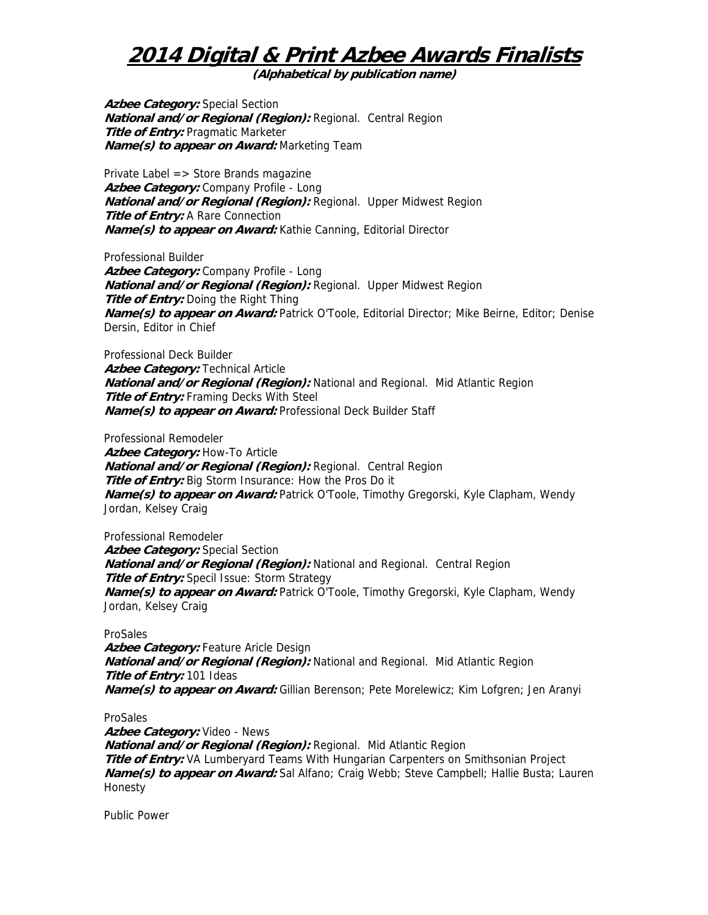**(Alphabetical by publication name)** 

**Azbee Category:** Special Section **National and/or Regional (Region):** Regional. Central Region **Title of Entry:** Pragmatic Marketer **Name(s) to appear on Award:** Marketing Team

Private Label => Store Brands magazine **Azbee Category:** Company Profile - Long **National and/or Regional (Region):** Regional. Upper Midwest Region **Title of Entry:** A Rare Connection **Name(s) to appear on Award:** Kathie Canning, Editorial Director

Professional Builder **Azbee Category:** Company Profile - Long **National and/or Regional (Region):** Regional. Upper Midwest Region **Title of Entry:** Doing the Right Thing **Name(s) to appear on Award:** Patrick O'Toole, Editorial Director; Mike Beirne, Editor; Denise Dersin, Editor in Chief

Professional Deck Builder **Azbee Category: Technical Article National and/or Regional (Region):** National and Regional. Mid Atlantic Region **Title of Entry:** Framing Decks With Steel **Name(s) to appear on Award:** Professional Deck Builder Staff

Professional Remodeler

**Azbee Category:** How-To Article **National and/or Regional (Region):** Regional. Central Region **Title of Entry:** Big Storm Insurance: How the Pros Do it **Name(s) to appear on Award:** Patrick O'Toole, Timothy Gregorski, Kyle Clapham, Wendy Jordan, Kelsey Craig

Professional Remodeler **Azbee Category:** Special Section **National and/or Regional (Region):** National and Regional. Central Region **Title of Entry:** Specil Issue: Storm Strategy **Name(s) to appear on Award:** Patrick O'Toole, Timothy Gregorski, Kyle Clapham, Wendy Jordan, Kelsey Craig

#### ProSales

Azbee Category: Feature Aricle Design **National and/or Regional (Region):** National and Regional. Mid Atlantic Region **Title of Entry:** 101 Ideas **Name(s) to appear on Award:** Gillian Berenson; Pete Morelewicz; Kim Lofgren; Jen Aranyi

#### ProSales

**Azbee Category:** Video - News **National and/or Regional (Region):** Regional. Mid Atlantic Region **Title of Entry:** VA Lumberyard Teams With Hungarian Carpenters on Smithsonian Project **Name(s) to appear on Award:** Sal Alfano; Craig Webb; Steve Campbell; Hallie Busta; Lauren Honesty

Public Power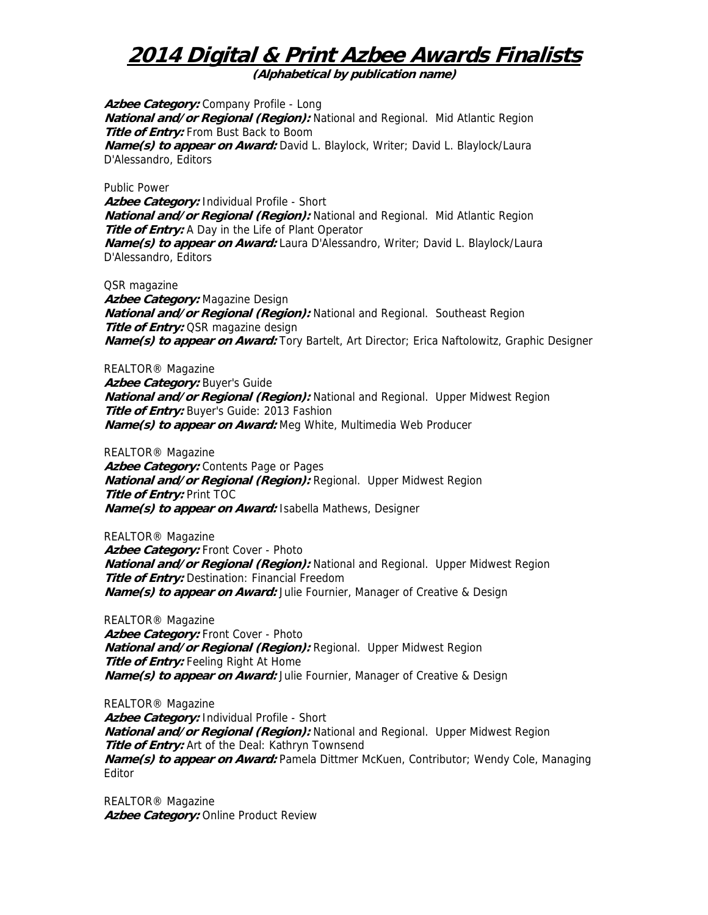**(Alphabetical by publication name)** 

**Azbee Category:** Company Profile - Long **National and/or Regional (Region):** National and Regional. Mid Atlantic Region **Title of Entry:** From Bust Back to Boom **Name(s) to appear on Award:** David L. Blaylock, Writer; David L. Blaylock/Laura D'Alessandro, Editors

Public Power

**Azbee Category:** Individual Profile - Short **National and/or Regional (Region):** National and Regional. Mid Atlantic Region **Title of Entry:** A Day in the Life of Plant Operator **Name(s) to appear on Award:** Laura D'Alessandro, Writer; David L. Blaylock/Laura D'Alessandro, Editors

QSR magazine

**Azbee Category:** Magazine Design **National and/or Regional (Region):** National and Regional. Southeast Region **Title of Entry: OSR magazine design Name(s) to appear on Award:** Tory Bartelt, Art Director; Erica Naftolowitz, Graphic Designer

REALTOR® Magazine Azbee Category: Buyer's Guide **National and/or Regional (Region):** National and Regional. Upper Midwest Region **Title of Entry:** Buyer's Guide: 2013 Fashion **Name(s) to appear on Award:** Meg White, Multimedia Web Producer

REALTOR® Magazine Azbee Category: Contents Page or Pages **National and/or Regional (Region):** Regional. Upper Midwest Region **Title of Entry:** Print TOC **Name(s) to appear on Award:** Isabella Mathews, Designer

REALTOR® Magazine Azbee Category: Front Cover - Photo **National and/or Regional (Region):** National and Regional. Upper Midwest Region **Title of Entry:** Destination: Financial Freedom **Name(s) to appear on Award:** Julie Fournier, Manager of Creative & Design

REALTOR® Magazine Azbee Category: Front Cover - Photo **National and/or Regional (Region):** Regional. Upper Midwest Region **Title of Entry:** Feeling Right At Home **Name(s) to appear on Award:** Julie Fournier, Manager of Creative & Design

REALTOR® Magazine **Azbee Category:** Individual Profile - Short **National and/or Regional (Region):** National and Regional. Upper Midwest Region **Title of Entry:** Art of the Deal: Kathryn Townsend **Name(s) to appear on Award:** Pamela Dittmer McKuen, Contributor; Wendy Cole, Managing Editor

REALTOR® Magazine Azbee Category: Online Product Review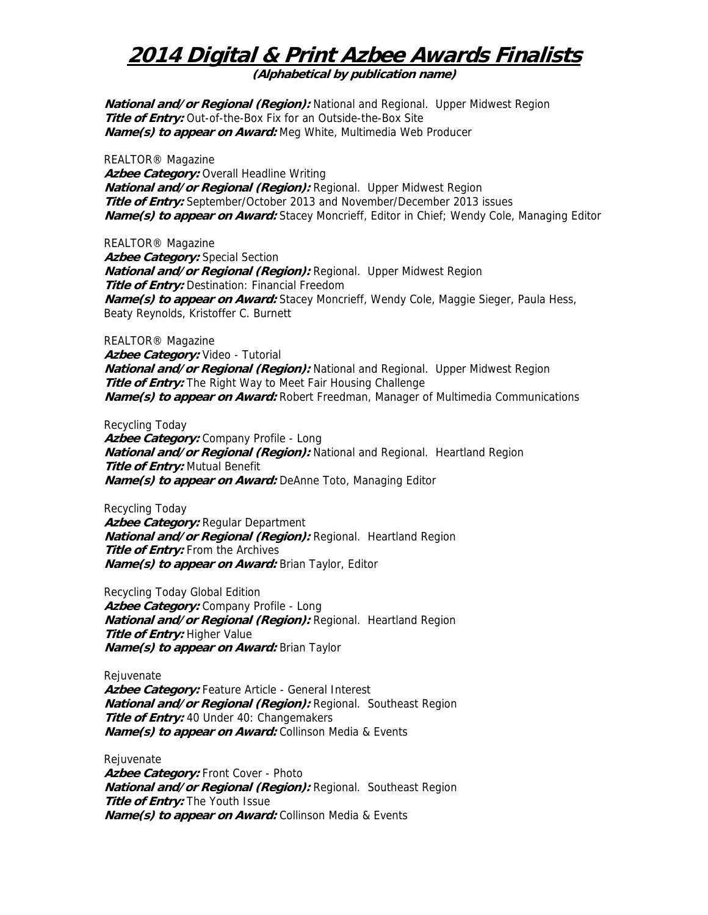**(Alphabetical by publication name)** 

**National and/or Regional (Region):** National and Regional. Upper Midwest Region **Title of Entry:** Out-of-the-Box Fix for an Outside-the-Box Site **Name(s) to appear on Award:** Meg White, Multimedia Web Producer

REALTOR® Magazine **Azbee Category:** Overall Headline Writing **National and/or Regional (Region):** Regional. Upper Midwest Region **Title of Entry:** September/October 2013 and November/December 2013 issues **Name(s) to appear on Award:** Stacey Moncrieff, Editor in Chief; Wendy Cole, Managing Editor

REALTOR® Magazine **Azbee Category:** Special Section **National and/or Regional (Region):** Regional. Upper Midwest Region **Title of Entry:** Destination: Financial Freedom **Name(s) to appear on Award:** Stacey Moncrieff, Wendy Cole, Maggie Sieger, Paula Hess, Beaty Reynolds, Kristoffer C. Burnett

REALTOR® Magazine **Azbee Category:** Video - Tutorial **National and/or Regional (Region):** National and Regional. Upper Midwest Region **Title of Entry:** The Right Way to Meet Fair Housing Challenge **Name(s) to appear on Award:** Robert Freedman, Manager of Multimedia Communications

Recycling Today **Azbee Category:** Company Profile - Long **National and/or Regional (Region):** National and Regional. Heartland Region **Title of Entry:** Mutual Benefit **Name(s) to appear on Award:** DeAnne Toto, Managing Editor

Recycling Today **Azbee Category:** Regular Department **National and/or Regional (Region):** Regional. Heartland Region **Title of Entry:** From the Archives **Name(s) to appear on Award:** Brian Taylor, Editor

Recycling Today Global Edition **Azbee Category:** Company Profile - Long **National and/or Regional (Region):** Regional. Heartland Region **Title of Entry:** Higher Value **Name(s) to appear on Award:** Brian Taylor

Rejuvenate **Azbee Category:** Feature Article - General Interest **National and/or Regional (Region):** Regional. Southeast Region **Title of Entry:** 40 Under 40: Changemakers **Name(s) to appear on Award:** Collinson Media & Events

**Rejuvenate** Azbee Category: Front Cover - Photo **National and/or Regional (Region):** Regional. Southeast Region **Title of Entry:** The Youth Issue **Name(s) to appear on Award:** Collinson Media & Events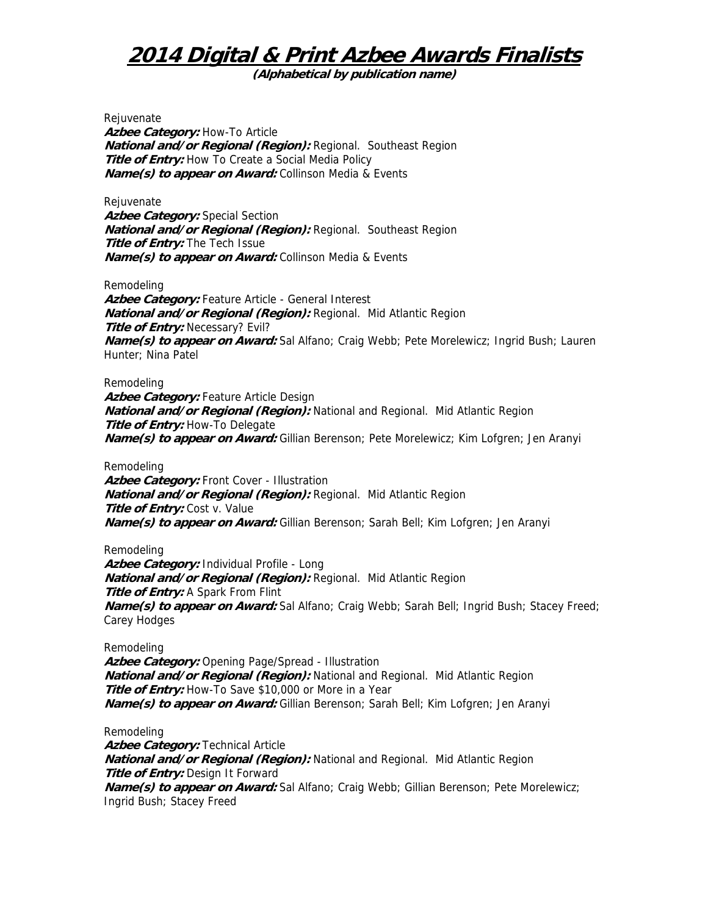**(Alphabetical by publication name)** 

Rejuvenate Azbee Category: How-To Article **National and/or Regional (Region):** Regional. Southeast Region **Title of Entry:** How To Create a Social Media Policy **Name(s) to appear on Award:** Collinson Media & Events

Rejuvenate Azbee Category: Special Section **National and/or Regional (Region):** Regional. Southeast Region **Title of Entry:** The Tech Issue **Name(s) to appear on Award:** Collinson Media & Events

Remodeling

Azbee Category: Feature Article - General Interest **National and/or Regional (Region):** Regional. Mid Atlantic Region **Title of Entry: Necessary? Evil? Name(s) to appear on Award:** Sal Alfano; Craig Webb; Pete Morelewicz; Ingrid Bush; Lauren Hunter; Nina Patel

Remodeling

**Azbee Category:** Feature Article Design **National and/or Regional (Region):** National and Regional. Mid Atlantic Region **Title of Entry:** How-To Delegate **Name(s) to appear on Award:** Gillian Berenson; Pete Morelewicz; Kim Lofgren; Jen Aranyi

Remodeling **Azbee Category:** Front Cover - Illustration **National and/or Regional (Region):** Regional. Mid Atlantic Region **Title of Entry:** Cost v. Value **Name(s) to appear on Award:** Gillian Berenson; Sarah Bell; Kim Lofgren; Jen Aranyi

Remodeling

**Azbee Category:** Individual Profile - Long **National and/or Regional (Region):** Regional. Mid Atlantic Region **Title of Entry:** A Spark From Flint **Name(s) to appear on Award:** Sal Alfano; Craig Webb; Sarah Bell; Ingrid Bush; Stacey Freed; Carey Hodges

Remodeling

**Azbee Category:** Opening Page/Spread - Illustration **National and/or Regional (Region):** National and Regional. Mid Atlantic Region **Title of Entry:** How-To Save \$10,000 or More in a Year **Name(s) to appear on Award:** Gillian Berenson; Sarah Bell; Kim Lofgren; Jen Aranyi

Remodeling

**Azbee Category: Technical Article National and/or Regional (Region):** National and Regional. Mid Atlantic Region **Title of Entry:** Design It Forward **Name(s) to appear on Award:** Sal Alfano; Craig Webb; Gillian Berenson; Pete Morelewicz; Ingrid Bush; Stacey Freed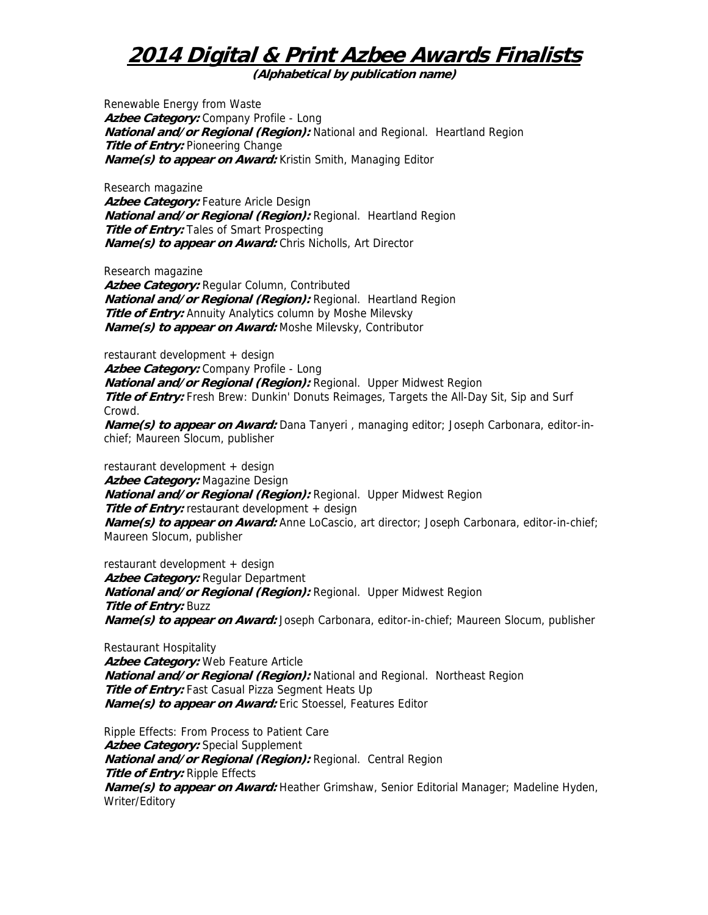**(Alphabetical by publication name)** 

Renewable Energy from Waste **Azbee Category:** Company Profile - Long **National and/or Regional (Region):** National and Regional. Heartland Region **Title of Entry: Pioneering Change Name(s) to appear on Award:** Kristin Smith, Managing Editor

Research magazine Azbee Category: Feature Aricle Design **National and/or Regional (Region):** Regional. Heartland Region **Title of Entry:** Tales of Smart Prospecting **Name(s) to appear on Award:** Chris Nicholls, Art Director

Research magazine

**Azbee Category:** Regular Column, Contributed **National and/or Regional (Region):** Regional. Heartland Region **Title of Entry:** Annuity Analytics column by Moshe Milevsky **Name(s) to appear on Award:** Moshe Milevsky, Contributor

restaurant development + design Azbee Category: Company Profile - Long **National and/or Regional (Region):** Regional. Upper Midwest Region **Title of Entry:** Fresh Brew: Dunkin' Donuts Reimages, Targets the All-Day Sit, Sip and Surf Crowd. **Name(s) to appear on Award:** Dana Tanyeri , managing editor; Joseph Carbonara, editor-inchief; Maureen Slocum, publisher

restaurant development + design **Azbee Category:** Magazine Design **National and/or Regional (Region):** Regional. Upper Midwest Region **Title of Entry:** restaurant development + design **Name(s) to appear on Award:** Anne LoCascio, art director; Joseph Carbonara, editor-in-chief; Maureen Slocum, publisher

restaurant development + design Azbee Category: Regular Department **National and/or Regional (Region):** Regional. Upper Midwest Region **Title of Entry:** Buzz **Name(s) to appear on Award:** Joseph Carbonara, editor-in-chief; Maureen Slocum, publisher

Restaurant Hospitality Azbee Category: Web Feature Article **National and/or Regional (Region):** National and Regional. Northeast Region **Title of Entry:** Fast Casual Pizza Segment Heats Up **Name(s) to appear on Award:** Eric Stoessel, Features Editor

Ripple Effects: From Process to Patient Care **Azbee Category:** Special Supplement **National and/or Regional (Region):** Regional. Central Region **Title of Entry:** Ripple Effects **Name(s) to appear on Award:** Heather Grimshaw, Senior Editorial Manager; Madeline Hyden, Writer/Editory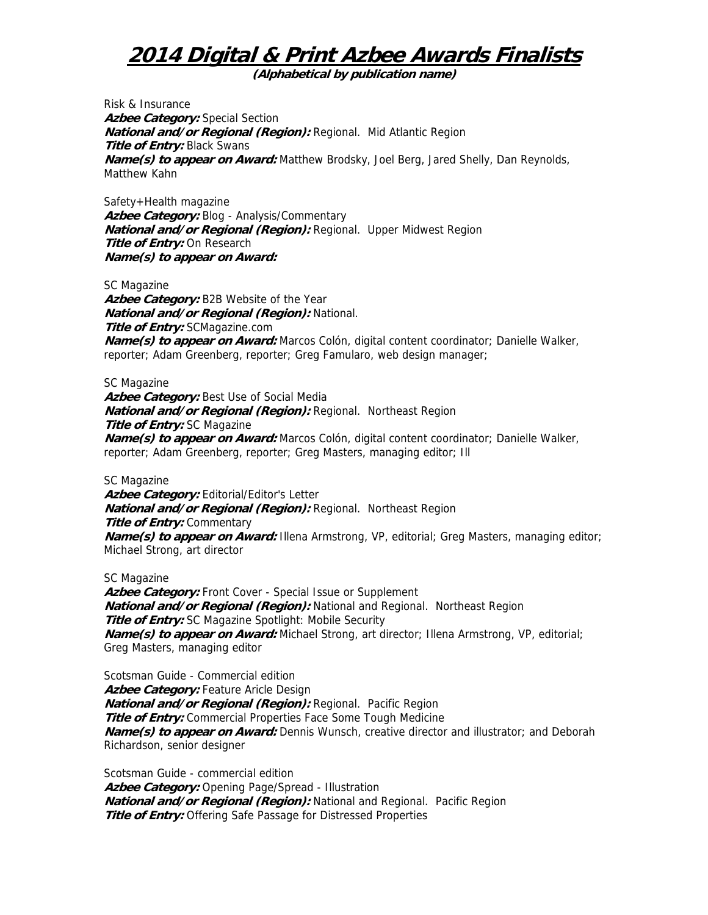**(Alphabetical by publication name)** 

Risk & Insurance **Azbee Category:** Special Section **National and/or Regional (Region):** Regional. Mid Atlantic Region **Title of Entry: Black Swans Name(s) to appear on Award:** Matthew Brodsky, Joel Berg, Jared Shelly, Dan Reynolds, Matthew Kahn

Safety+Health magazine Azbee Category: Blog - Analysis/Commentary **National and/or Regional (Region):** Regional. Upper Midwest Region **Title of Entry:** On Research **Name(s) to appear on Award:** 

SC Magazine **Azbee Category:** B2B Website of the Year **National and/or Regional (Region):** National. **Title of Entry:** SCMagazine.com **Name(s) to appear on Award:** Marcos Colón, digital content coordinator; Danielle Walker, reporter; Adam Greenberg, reporter; Greg Famularo, web design manager;

SC Magazine Azbee Category: Best Use of Social Media **National and/or Regional (Region):** Regional. Northeast Region **Title of Entry:** SC Magazine **Name(s) to appear on Award:** Marcos Colón, digital content coordinator; Danielle Walker, reporter; Adam Greenberg, reporter; Greg Masters, managing editor; Ill

SC Magazine Azbee Category: Editorial/Editor's Letter **National and/or Regional (Region):** Regional. Northeast Region **Title of Entry: Commentary** *Name(s) to appear on Award:* Illena Armstrong, VP, editorial; Greg Masters, managing editor; Michael Strong, art director

SC Magazine

Azbee Category: Front Cover - Special Issue or Supplement **National and/or Regional (Region):** National and Regional. Northeast Region **Title of Entry:** SC Magazine Spotlight: Mobile Security **Name(s) to appear on Award:** Michael Strong, art director; Illena Armstrong, VP, editorial; Greg Masters, managing editor

Scotsman Guide - Commercial edition Azbee Category: Feature Aricle Design **National and/or Regional (Region):** Regional. Pacific Region **Title of Entry:** Commercial Properties Face Some Tough Medicine **Name(s) to appear on Award:** Dennis Wunsch, creative director and illustrator; and Deborah Richardson, senior designer

Scotsman Guide - commercial edition **Azbee Category:** Opening Page/Spread - Illustration **National and/or Regional (Region):** National and Regional. Pacific Region **Title of Entry:** Offering Safe Passage for Distressed Properties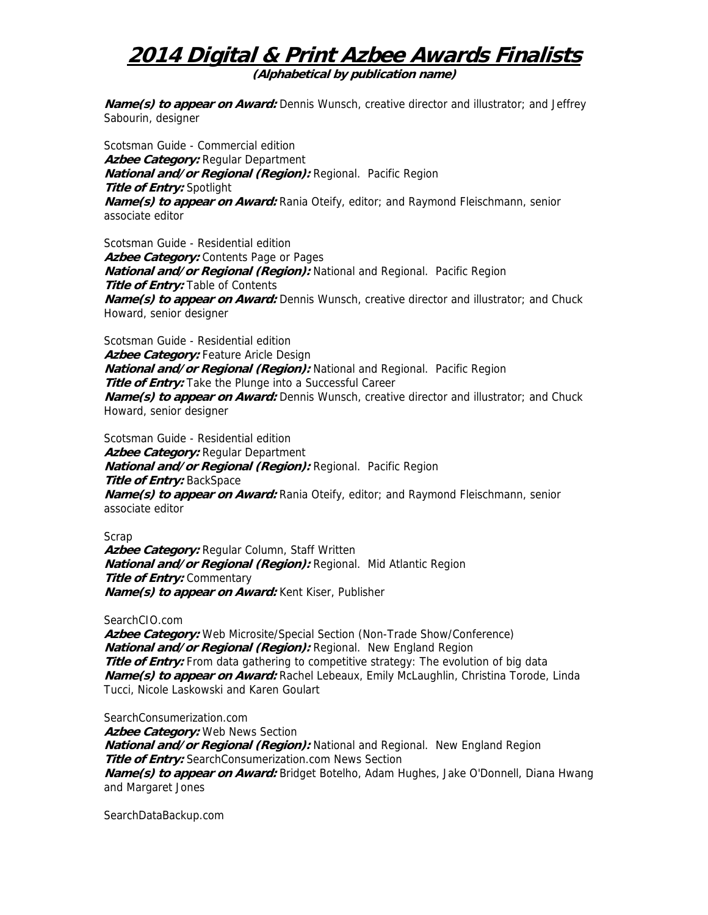**(Alphabetical by publication name)** 

**Name(s) to appear on Award:** Dennis Wunsch, creative director and illustrator; and Jeffrey Sabourin, designer

Scotsman Guide - Commercial edition **Azbee Category:** Regular Department **National and/or Regional (Region):** Regional. Pacific Region **Title of Entry:** Spotlight **Name(s) to appear on Award:** Rania Oteify, editor; and Raymond Fleischmann, senior associate editor

Scotsman Guide - Residential edition Azbee Category: Contents Page or Pages **National and/or Regional (Region):** National and Regional. Pacific Region **Title of Entry: Table of Contents Name(s) to appear on Award:** Dennis Wunsch, creative director and illustrator; and Chuck Howard, senior designer

Scotsman Guide - Residential edition Azbee Category: Feature Aricle Design **National and/or Regional (Region):** National and Regional. Pacific Region **Title of Entry:** Take the Plunge into a Successful Career **Name(s) to appear on Award:** Dennis Wunsch, creative director and illustrator; and Chuck Howard, senior designer

Scotsman Guide - Residential edition **Azbee Category:** Regular Department **National and/or Regional (Region):** Regional. Pacific Region **Title of Entry:** BackSpace **Name(s) to appear on Award:** Rania Oteify, editor; and Raymond Fleischmann, senior associate editor

Scrap

**Azbee Category:** Regular Column, Staff Written **National and/or Regional (Region):** Regional. Mid Atlantic Region **Title of Entry: Commentary Name(s) to appear on Award:** Kent Kiser, Publisher

SearchCIO.com

**Azbee Category:** Web Microsite/Special Section (Non-Trade Show/Conference) **National and/or Regional (Region):** Regional. New England Region **Title of Entry:** From data gathering to competitive strategy: The evolution of big data **Name(s) to appear on Award:** Rachel Lebeaux, Emily McLaughlin, Christina Torode, Linda Tucci, Nicole Laskowski and Karen Goulart

SearchConsumerization.com **Azbee Category:** Web News Section **National and/or Regional (Region):** National and Regional. New England Region **Title of Entry:** SearchConsumerization.com News Section **Name(s) to appear on Award:** Bridget Botelho, Adam Hughes, Jake O'Donnell, Diana Hwang and Margaret Jones

SearchDataBackup.com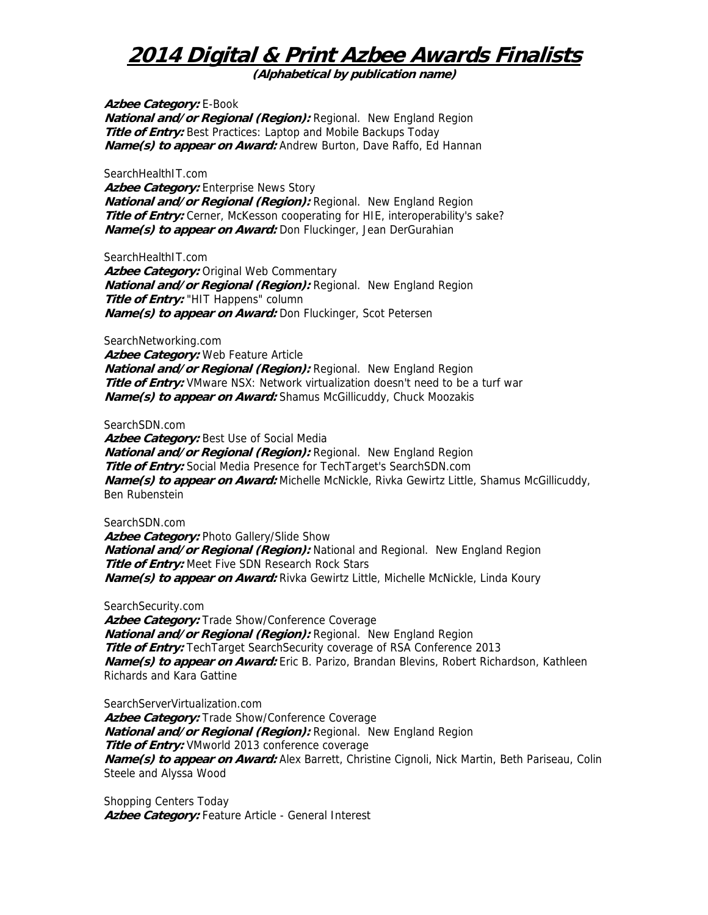**(Alphabetical by publication name)** 

**Azbee Category:** E-Book **National and/or Regional (Region):** Regional. New England Region **Title of Entry:** Best Practices: Laptop and Mobile Backups Today **Name(s) to appear on Award:** Andrew Burton, Dave Raffo, Ed Hannan

SearchHealthIT.com

**Azbee Category:** Enterprise News Story **National and/or Regional (Region):** Regional. New England Region **Title of Entry:** Cerner, McKesson cooperating for HIE, interoperability's sake? **Name(s) to appear on Award:** Don Fluckinger, Jean DerGurahian

SearchHealthIT.com

**Azbee Category:** Original Web Commentary **National and/or Regional (Region):** Regional. New England Region **Title of Entry:** "HIT Happens" column **Name(s) to appear on Award:** Don Fluckinger, Scot Petersen

SearchNetworking.com

**Azbee Category:** Web Feature Article **National and/or Regional (Region):** Regional. New England Region **Title of Entry:** VMware NSX: Network virtualization doesn't need to be a turf war **Name(s) to appear on Award:** Shamus McGillicuddy, Chuck Moozakis

SearchSDN.com

**Azbee Category:** Best Use of Social Media **National and/or Regional (Region):** Regional. New England Region **Title of Entry:** Social Media Presence for TechTarget's SearchSDN.com **Name(s) to appear on Award:** Michelle McNickle, Rivka Gewirtz Little, Shamus McGillicuddy, Ben Rubenstein

SearchSDN.com

Azbee Category: Photo Gallery/Slide Show **National and/or Regional (Region):** National and Regional. New England Region **Title of Entry:** Meet Five SDN Research Rock Stars **Name(s) to appear on Award:** Rivka Gewirtz Little, Michelle McNickle, Linda Koury

SearchSecurity.com

**Azbee Category:** Trade Show/Conference Coverage **National and/or Regional (Region):** Regional. New England Region **Title of Entry:** TechTarget SearchSecurity coverage of RSA Conference 2013 **Name(s) to appear on Award:** Eric B. Parizo, Brandan Blevins, Robert Richardson, Kathleen Richards and Kara Gattine

SearchServerVirtualization.com

Azbee Category: Trade Show/Conference Coverage **National and/or Regional (Region):** Regional. New England Region **Title of Entry:** VMworld 2013 conference coverage **Name(s) to appear on Award:** Alex Barrett, Christine Cignoli, Nick Martin, Beth Pariseau, Colin Steele and Alyssa Wood

Shopping Centers Today Azbee Category: Feature Article - General Interest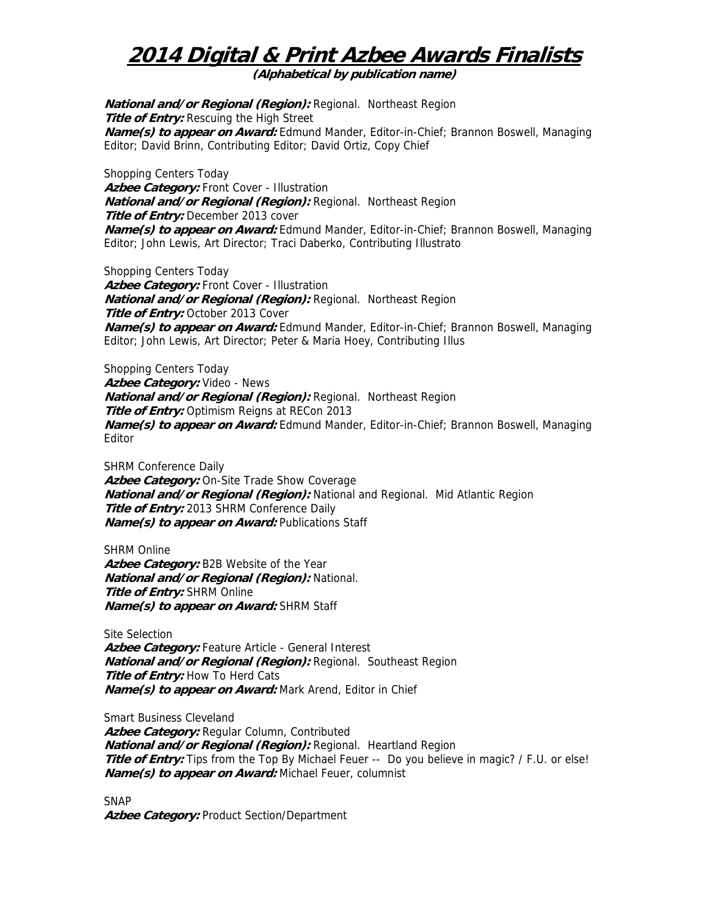**(Alphabetical by publication name)** 

**National and/or Regional (Region):** Regional. Northeast Region **Title of Entry:** Rescuing the High Street **Name(s) to appear on Award:** Edmund Mander, Editor-in-Chief; Brannon Boswell, Managing Editor; David Brinn, Contributing Editor; David Ortiz, Copy Chief

Shopping Centers Today **Azbee Category:** Front Cover - Illustration **National and/or Regional (Region):** Regional. Northeast Region **Title of Entry:** December 2013 cover **Name(s) to appear on Award:** Edmund Mander, Editor-in-Chief; Brannon Boswell, Managing Editor; John Lewis, Art Director; Traci Daberko, Contributing Illustrato

Shopping Centers Today Azbee Category: Front Cover - Illustration **National and/or Regional (Region):** Regional. Northeast Region **Title of Entry: October 2013 Cover Name(s) to appear on Award:** Edmund Mander, Editor-in-Chief; Brannon Boswell, Managing Editor; John Lewis, Art Director; Peter & Maria Hoey, Contributing Illus

Shopping Centers Today **Azbee Category:** Video - News **National and/or Regional (Region):** Regional. Northeast Region **Title of Entry:** Optimism Reigns at RECon 2013 **Name(s) to appear on Award:** Edmund Mander, Editor-in-Chief; Brannon Boswell, Managing Editor

SHRM Conference Daily **Azbee Category:** On-Site Trade Show Coverage **National and/or Regional (Region):** National and Regional. Mid Atlantic Region **Title of Entry:** 2013 SHRM Conference Daily **Name(s) to appear on Award: Publications Staff** 

SHRM Online **Azbee Category:** B2B Website of the Year **National and/or Regional (Region):** National. **Title of Entry:** SHRM Online **Name(s) to appear on Award:** SHRM Staff

Site Selection Azbee Category: Feature Article - General Interest **National and/or Regional (Region):** Regional. Southeast Region **Title of Entry:** How To Herd Cats **Name(s) to appear on Award:** Mark Arend, Editor in Chief

Smart Business Cleveland **Azbee Category:** Regular Column, Contributed **National and/or Regional (Region):** Regional. Heartland Region **Title of Entry:** Tips from the Top By Michael Feuer -- Do you believe in magic? / F.U. or else! **Name(s) to appear on Award:** Michael Feuer, columnist

SNAP **Azbee Category:** Product Section/Department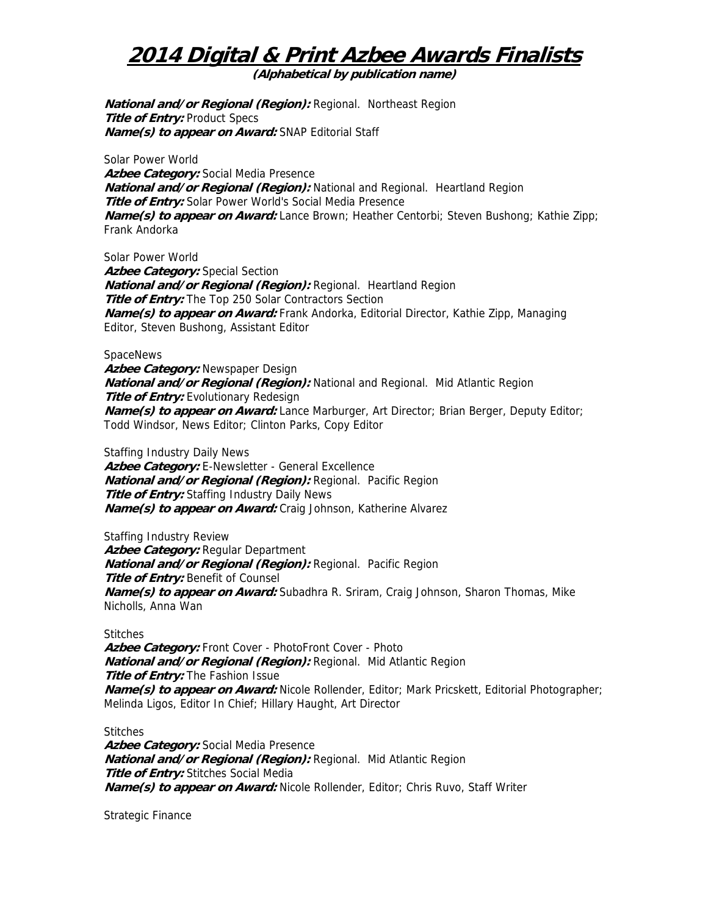**(Alphabetical by publication name)** 

**National and/or Regional (Region):** Regional. Northeast Region **Title of Entry:** Product Specs **Name(s) to appear on Award:** SNAP Editorial Staff

Solar Power World **Azbee Category:** Social Media Presence **National and/or Regional (Region):** National and Regional. Heartland Region **Title of Entry:** Solar Power World's Social Media Presence **Name(s) to appear on Award:** Lance Brown; Heather Centorbi; Steven Bushong; Kathie Zipp; Frank Andorka

Solar Power World Azbee Category: Special Section **National and/or Regional (Region):** Regional. Heartland Region **Title of Entry:** The Top 250 Solar Contractors Section **Name(s) to appear on Award:** Frank Andorka, Editorial Director, Kathie Zipp, Managing Editor, Steven Bushong, Assistant Editor

#### **SpaceNews**

**Azbee Category:** Newspaper Design **National and/or Regional (Region):** National and Regional. Mid Atlantic Region **Title of Entry:** Evolutionary Redesign **Name(s) to appear on Award:** Lance Marburger, Art Director; Brian Berger, Deputy Editor; Todd Windsor, News Editor; Clinton Parks, Copy Editor

Staffing Industry Daily News **Azbee Category:** E-Newsletter - General Excellence **National and/or Regional (Region):** Regional. Pacific Region **Title of Entry:** Staffing Industry Daily News **Name(s) to appear on Award:** Craig Johnson, Katherine Alvarez

Staffing Industry Review **Azbee Category:** Regular Department **National and/or Regional (Region):** Regional. Pacific Region **Title of Entry: Benefit of Counsel Name(s) to appear on Award:** Subadhra R. Sriram, Craig Johnson, Sharon Thomas, Mike Nicholls, Anna Wan

#### **Stitches**

**Azbee Category:** Front Cover - PhotoFront Cover - Photo **National and/or Regional (Region):** Regional. Mid Atlantic Region **Title of Entry:** The Fashion Issue **Name(s) to appear on Award:** Nicole Rollender, Editor; Mark Pricskett, Editorial Photographer; Melinda Ligos, Editor In Chief; Hillary Haught, Art Director

Stitches

**Azbee Category:** Social Media Presence **National and/or Regional (Region):** Regional. Mid Atlantic Region **Title of Entry:** Stitches Social Media **Name(s) to appear on Award:** Nicole Rollender, Editor; Chris Ruvo, Staff Writer

Strategic Finance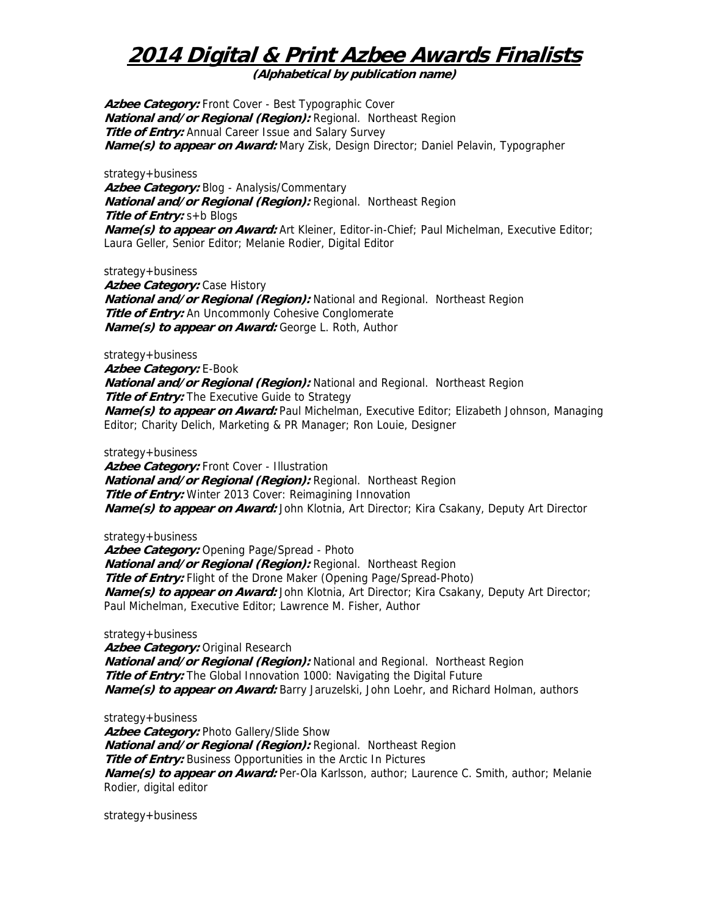**(Alphabetical by publication name)** 

**Azbee Category:** Front Cover - Best Typographic Cover **National and/or Regional (Region):** Regional. Northeast Region **Title of Entry:** Annual Career Issue and Salary Survey **Name(s) to appear on Award:** Mary Zisk, Design Director; Daniel Pelavin, Typographer

strategy+business **Azbee Category:** Blog - Analysis/Commentary **National and/or Regional (Region):** Regional. Northeast Region **Title of Entry:** s+b Blogs **Name(s) to appear on Award:** Art Kleiner, Editor-in-Chief; Paul Michelman, Executive Editor; Laura Geller, Senior Editor; Melanie Rodier, Digital Editor

strategy+business

**Azbee Category: Case History National and/or Regional (Region):** National and Regional. Northeast Region **Title of Entry:** An Uncommonly Cohesive Conglomerate **Name(s) to appear on Award:** George L. Roth, Author

strategy+business **Azbee Category:** E-Book **National and/or Regional (Region):** National and Regional. Northeast Region **Title of Entry:** The Executive Guide to Strategy **Name(s) to appear on Award:** Paul Michelman, Executive Editor; Elizabeth Johnson, Managing Editor; Charity Delich, Marketing & PR Manager; Ron Louie, Designer

strategy+business

**Azbee Category:** Front Cover - Illustration **National and/or Regional (Region):** Regional. Northeast Region **Title of Entry:** Winter 2013 Cover: Reimagining Innovation **Name(s) to appear on Award:** John Klotnia, Art Director; Kira Csakany, Deputy Art Director

strategy+business

Azbee Category: Opening Page/Spread - Photo **National and/or Regional (Region):** Regional. Northeast Region **Title of Entry:** Flight of the Drone Maker (Opening Page/Spread-Photo) **Name(s) to appear on Award:** John Klotnia, Art Director; Kira Csakany, Deputy Art Director; Paul Michelman, Executive Editor; Lawrence M. Fisher, Author

strategy+business

**Azbee Category:** Original Research **National and/or Regional (Region):** National and Regional. Northeast Region **Title of Entry:** The Global Innovation 1000: Navigating the Digital Future **Name(s) to appear on Award:** Barry Jaruzelski, John Loehr, and Richard Holman, authors

strategy+business Azbee Category: Photo Gallery/Slide Show **National and/or Regional (Region):** Regional. Northeast Region **Title of Entry:** Business Opportunities in the Arctic In Pictures **Name(s) to appear on Award:** Per-Ola Karlsson, author; Laurence C. Smith, author; Melanie Rodier, digital editor

strategy+business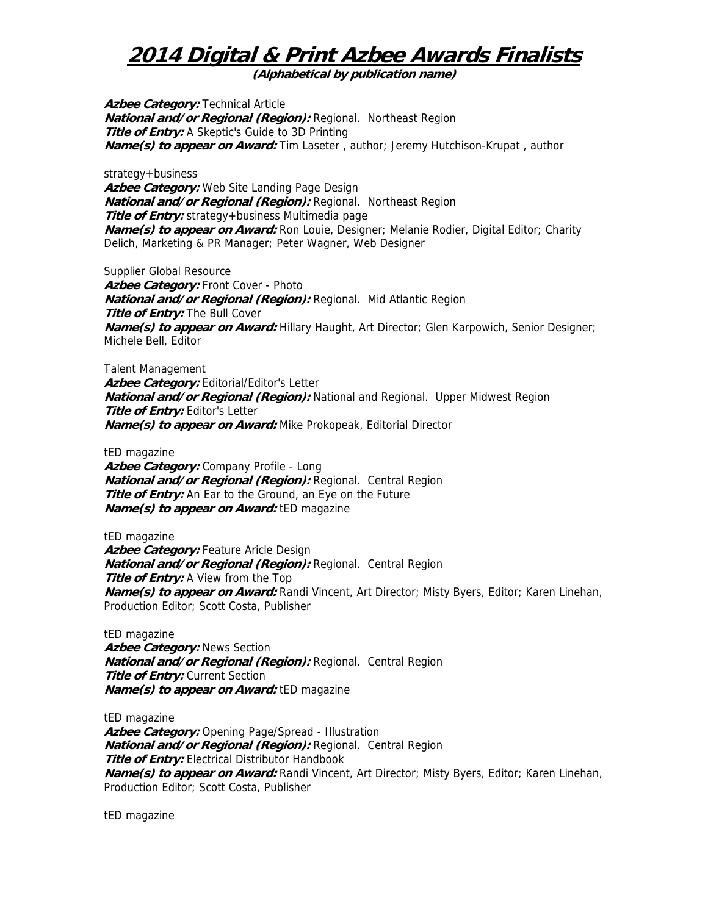**(Alphabetical by publication name)** 

**Azbee Category: Technical Article National and/or Regional (Region):** Regional. Northeast Region **Title of Entry:** A Skeptic's Guide to 3D Printing **Name(s) to appear on Award:** Tim Laseter , author; Jeremy Hutchison-Krupat , author

strategy+business

**Azbee Category:** Web Site Landing Page Design **National and/or Regional (Region):** Regional. Northeast Region **Title of Entry:** strategy+business Multimedia page **Name(s) to appear on Award:** Ron Louie, Designer; Melanie Rodier, Digital Editor; Charity Delich, Marketing & PR Manager; Peter Wagner, Web Designer

Supplier Global Resource Azbee Category: Front Cover - Photo **National and/or Regional (Region):** Regional. Mid Atlantic Region **Title of Entry: The Bull Cover Name(s) to appear on Award:** Hillary Haught, Art Director; Glen Karpowich, Senior Designer; Michele Bell, Editor

Talent Management Azbee Category: Editorial/Editor's Letter **National and/or Regional (Region):** National and Regional. Upper Midwest Region **Title of Entry:** Editor's Letter **Name(s) to appear on Award:** Mike Prokopeak, Editorial Director

tED magazine

**Azbee Category:** Company Profile - Long **National and/or Regional (Region):** Regional. Central Region **Title of Entry:** An Ear to the Ground, an Eye on the Future **Name(s) to appear on Award:** tED magazine

tED magazine Azbee Category: Feature Aricle Design **National and/or Regional (Region):** Regional. Central Region **Title of Entry:** A View from the Top **Name(s) to appear on Award:** Randi Vincent, Art Director; Misty Byers, Editor; Karen Linehan, Production Editor; Scott Costa, Publisher

tED magazine **Azbee Category:** News Section **National and/or Regional (Region):** Regional. Central Region **Title of Entry:** Current Section **Name(s) to appear on Award:** tED magazine

tED magazine **Azbee Category:** Opening Page/Spread - Illustration **National and/or Regional (Region):** Regional. Central Region **Title of Entry:** Electrical Distributor Handbook **Name(s) to appear on Award:** Randi Vincent, Art Director; Misty Byers, Editor; Karen Linehan, Production Editor; Scott Costa, Publisher

tED magazine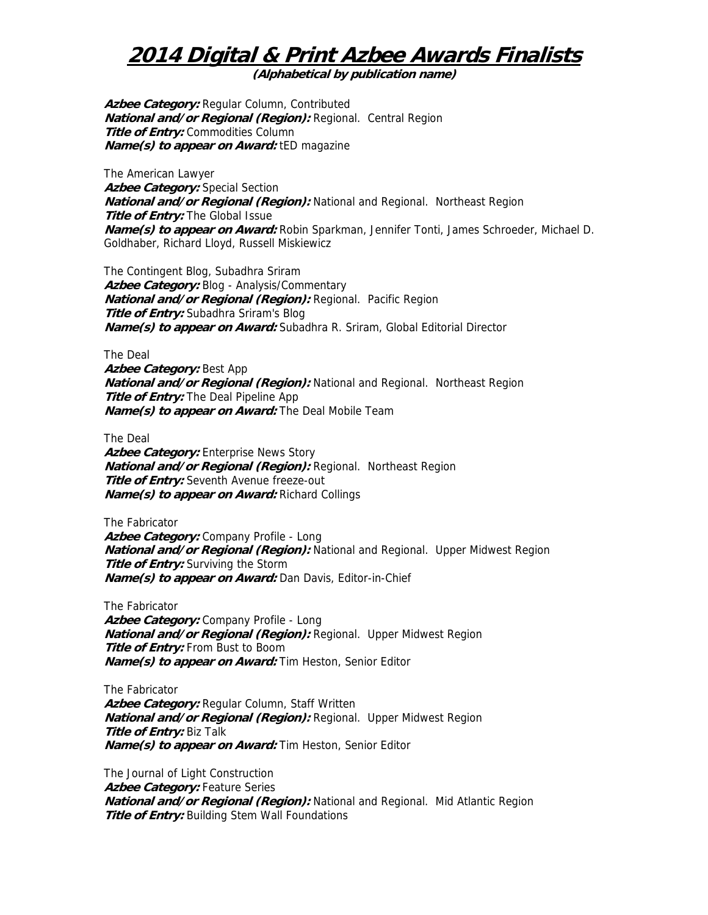**(Alphabetical by publication name)** 

**Azbee Category:** Regular Column, Contributed **National and/or Regional (Region):** Regional. Central Region **Title of Entry:** Commodities Column **Name(s) to appear on Award:** tED magazine

The American Lawyer **Azbee Category:** Special Section **National and/or Regional (Region):** National and Regional. Northeast Region **Title of Entry:** The Global Issue **Name(s) to appear on Award:** Robin Sparkman, Jennifer Tonti, James Schroeder, Michael D. Goldhaber, Richard Lloyd, Russell Miskiewicz

The Contingent Blog, Subadhra Sriram **Azbee Category:** Blog - Analysis/Commentary **National and/or Regional (Region):** Regional. Pacific Region **Title of Entry:** Subadhra Sriram's Blog **Name(s) to appear on Award:** Subadhra R. Sriram, Global Editorial Director

The Deal

**Azbee Category:** Best App **National and/or Regional (Region):** National and Regional. Northeast Region **Title of Entry:** The Deal Pipeline App **Name(s) to appear on Award:** The Deal Mobile Team

The Deal

Azbee Category: Enterprise News Story **National and/or Regional (Region):** Regional. Northeast Region **Title of Entry:** Seventh Avenue freeze-out **Name(s) to appear on Award:** Richard Collings

The Fabricator **Azbee Category:** Company Profile - Long **National and/or Regional (Region):** National and Regional. Upper Midwest Region **Title of Entry:** Surviving the Storm **Name(s) to appear on Award:** Dan Davis, Editor-in-Chief

The Fabricator **Azbee Category:** Company Profile - Long **National and/or Regional (Region):** Regional. Upper Midwest Region **Title of Entry:** From Bust to Boom **Name(s) to appear on Award:** Tim Heston, Senior Editor

The Fabricator Azbee Category: Regular Column, Staff Written **National and/or Regional (Region):** Regional. Upper Midwest Region **Title of Entry:** Biz Talk **Name(s) to appear on Award:** Tim Heston, Senior Editor

The Journal of Light Construction Azbee Category: Feature Series **National and/or Regional (Region):** National and Regional. Mid Atlantic Region **Title of Entry:** Building Stem Wall Foundations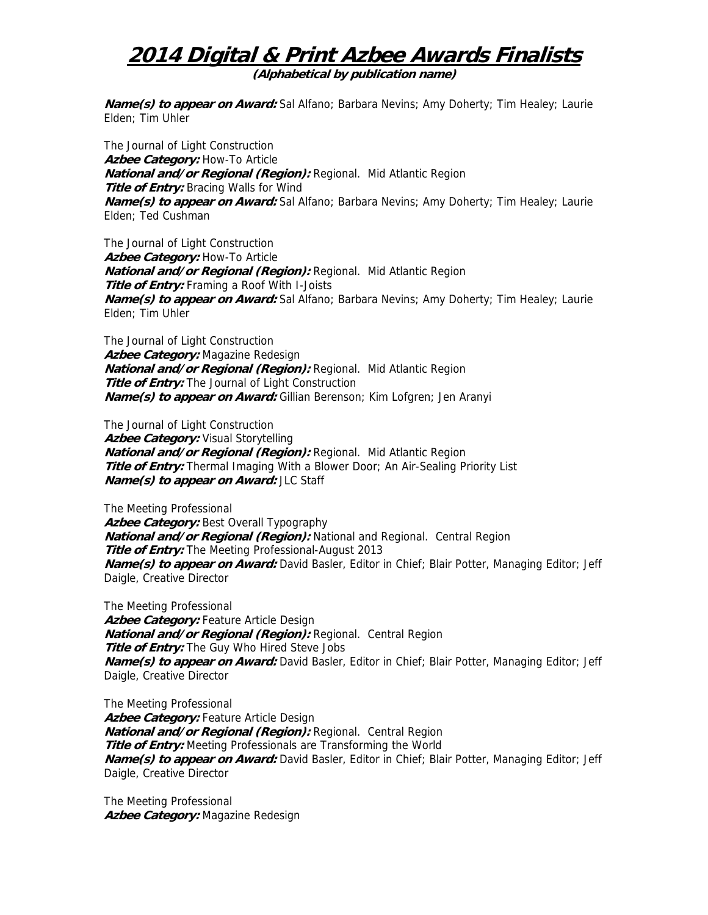**(Alphabetical by publication name)** 

**Name(s) to appear on Award:** Sal Alfano; Barbara Nevins; Amy Doherty; Tim Healey; Laurie Elden; Tim Uhler

The Journal of Light Construction **Azbee Category:** How-To Article **National and/or Regional (Region):** Regional. Mid Atlantic Region **Title of Entry:** Bracing Walls for Wind **Name(s) to appear on Award:** Sal Alfano; Barbara Nevins; Amy Doherty; Tim Healey; Laurie Elden; Ted Cushman

The Journal of Light Construction **Azbee Category:** How-To Article **National and/or Regional (Region):** Regional. Mid Atlantic Region **Title of Entry:** Framing a Roof With I-Joists **Name(s) to appear on Award:** Sal Alfano; Barbara Nevins; Amy Doherty; Tim Healey; Laurie Elden; Tim Uhler

The Journal of Light Construction **Azbee Category:** Magazine Redesign **National and/or Regional (Region):** Regional. Mid Atlantic Region **Title of Entry:** The Journal of Light Construction **Name(s) to appear on Award:** Gillian Berenson; Kim Lofgren; Jen Aranyi

The Journal of Light Construction Azbee Category: Visual Storytelling **National and/or Regional (Region):** Regional. Mid Atlantic Region **Title of Entry:** Thermal Imaging With a Blower Door; An Air-Sealing Priority List **Name(s) to appear on Award:** JLC Staff

The Meeting Professional Azbee Category: Best Overall Typography **National and/or Regional (Region):** National and Regional. Central Region **Title of Entry:** The Meeting Professional-August 2013 **Name(s) to appear on Award:** David Basler, Editor in Chief; Blair Potter, Managing Editor; Jeff Daigle, Creative Director

The Meeting Professional **Azbee Category:** Feature Article Design **National and/or Regional (Region):** Regional. Central Region **Title of Entry:** The Guy Who Hired Steve Jobs **Name(s) to appear on Award:** David Basler, Editor in Chief; Blair Potter, Managing Editor; Jeff Daigle, Creative Director

The Meeting Professional **Azbee Category:** Feature Article Design **National and/or Regional (Region):** Regional. Central Region **Title of Entry:** Meeting Professionals are Transforming the World **Name(s) to appear on Award:** David Basler, Editor in Chief; Blair Potter, Managing Editor; Jeff Daigle, Creative Director

The Meeting Professional **Azbee Category:** Magazine Redesign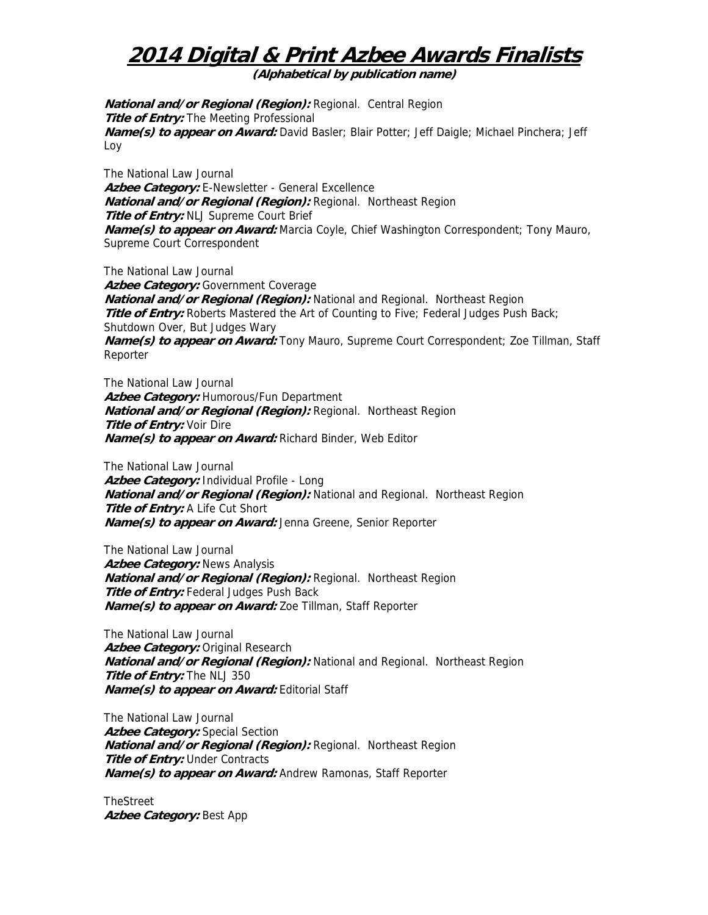**(Alphabetical by publication name)** 

**National and/or Regional (Region):** Regional. Central Region **Title of Entry:** The Meeting Professional **Name(s) to appear on Award:** David Basler; Blair Potter; Jeff Daigle; Michael Pinchera; Jeff Loy

The National Law Journal **Azbee Category:** E-Newsletter - General Excellence **National and/or Regional (Region):** Regional. Northeast Region **Title of Entry:** NLJ Supreme Court Brief **Name(s) to appear on Award:** Marcia Coyle, Chief Washington Correspondent; Tony Mauro, Supreme Court Correspondent

The National Law Journal Azbee Category: Government Coverage **National and/or Regional (Region):** National and Regional. Northeast Region **Title of Entry:** Roberts Mastered the Art of Counting to Five; Federal Judges Push Back; Shutdown Over, But Judges Wary **Name(s) to appear on Award:** Tony Mauro, Supreme Court Correspondent; Zoe Tillman, Staff Reporter

The National Law Journal **Azbee Category:** Humorous/Fun Department **National and/or Regional (Region):** Regional. Northeast Region **Title of Entry:** Voir Dire **Name(s) to appear on Award:** Richard Binder, Web Editor

The National Law Journal **Azbee Category:** Individual Profile - Long **National and/or Regional (Region):** National and Regional. Northeast Region **Title of Entry:** A Life Cut Short **Name(s) to appear on Award:** Jenna Greene, Senior Reporter

The National Law Journal **Azbee Category:** News Analysis **National and/or Regional (Region):** Regional. Northeast Region **Title of Entry:** Federal Judges Push Back **Name(s) to appear on Award:** Zoe Tillman, Staff Reporter

The National Law Journal Azbee Category: Original Research **National and/or Regional (Region):** National and Regional. Northeast Region **Title of Entry:** The NLJ 350 **Name(s) to appear on Award:** Editorial Staff

The National Law Journal **Azbee Category:** Special Section **National and/or Regional (Region):** Regional. Northeast Region **Title of Entry: Under Contracts Name(s) to appear on Award:** Andrew Ramonas, Staff Reporter

TheStreet **Azbee Category:** Best App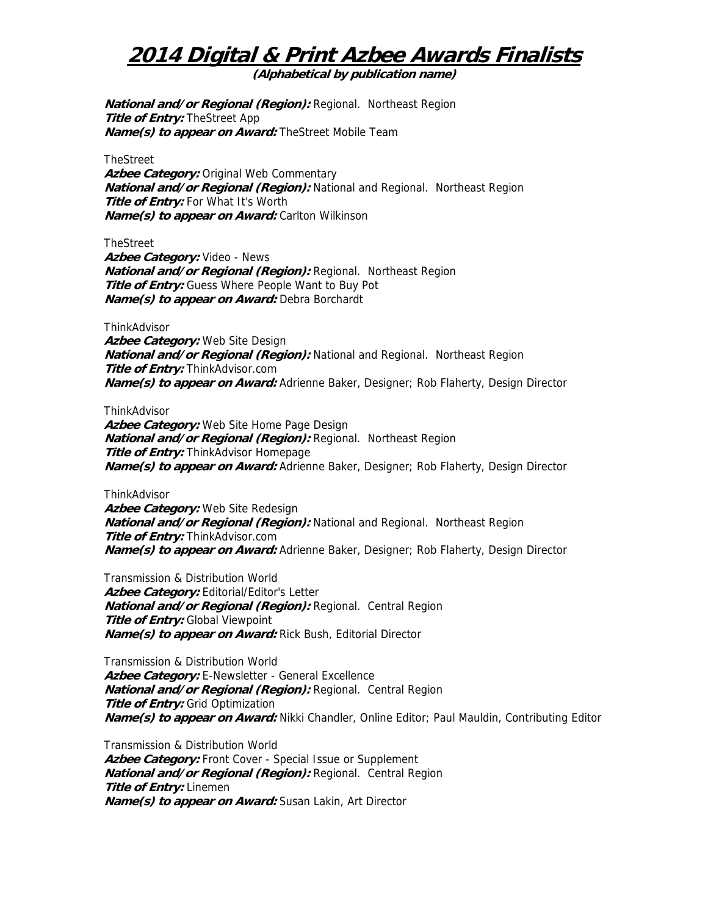**(Alphabetical by publication name)** 

**National and/or Regional (Region):** Regional. Northeast Region **Title of Entry:** TheStreet App **Name(s) to appear on Award:** TheStreet Mobile Team

**TheStreet** 

Azbee Category: Original Web Commentary **National and/or Regional (Region):** National and Regional. Northeast Region **Title of Entry:** For What It's Worth **Name(s) to appear on Award:** Carlton Wilkinson

TheStreet

**Azbee Category:** Video - News **National and/or Regional (Region):** Regional. Northeast Region **Title of Entry:** Guess Where People Want to Buy Pot **Name(s) to appear on Award:** Debra Borchardt

**ThinkAdvisor** 

**Azbee Category:** Web Site Design **National and/or Regional (Region):** National and Regional. Northeast Region **Title of Entry:** ThinkAdvisor.com **Name(s) to appear on Award:** Adrienne Baker, Designer; Rob Flaherty, Design Director

**ThinkAdvisor** 

**Azbee Category:** Web Site Home Page Design **National and/or Regional (Region):** Regional. Northeast Region **Title of Entry:** ThinkAdvisor Homepage **Name(s) to appear on Award:** Adrienne Baker, Designer; Rob Flaherty, Design Director

**ThinkAdvisor** 

**Azbee Category:** Web Site Redesign **National and/or Regional (Region):** National and Regional. Northeast Region **Title of Entry:** ThinkAdvisor.com **Name(s) to appear on Award:** Adrienne Baker, Designer; Rob Flaherty, Design Director

Transmission & Distribution World Azbee Category: Editorial/Editor's Letter **National and/or Regional (Region):** Regional. Central Region **Title of Entry: Global Viewpoint Name(s) to appear on Award:** Rick Bush, Editorial Director

Transmission & Distribution World Azbee Category: E-Newsletter - General Excellence **National and/or Regional (Region):** Regional. Central Region **Title of Entry:** Grid Optimization **Name(s) to appear on Award:** Nikki Chandler, Online Editor; Paul Mauldin, Contributing Editor

Transmission & Distribution World Azbee Category: Front Cover - Special Issue or Supplement **National and/or Regional (Region):** Regional. Central Region **Title of Entry:** Linemen **Name(s) to appear on Award:** Susan Lakin, Art Director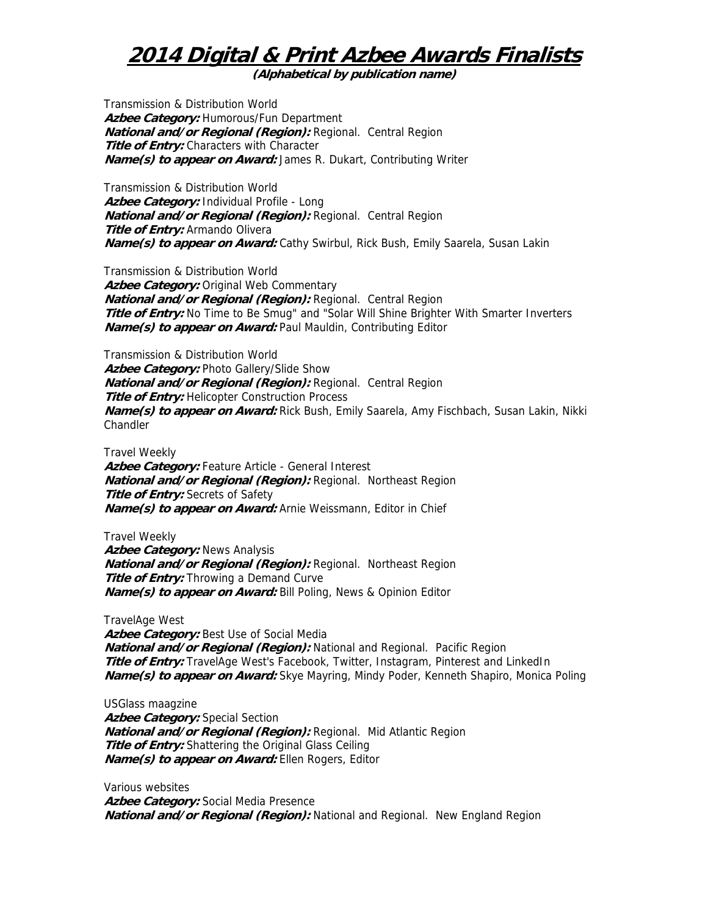**(Alphabetical by publication name)** 

Transmission & Distribution World **Azbee Category:** Humorous/Fun Department **National and/or Regional (Region):** Regional. Central Region **Title of Entry:** Characters with Character **Name(s) to appear on Award:** James R. Dukart, Contributing Writer

Transmission & Distribution World **Azbee Category:** Individual Profile - Long **National and/or Regional (Region):** Regional. Central Region **Title of Entry:** Armando Olivera **Name(s) to appear on Award:** Cathy Swirbul, Rick Bush, Emily Saarela, Susan Lakin

Transmission & Distribution World **Azbee Category:** Original Web Commentary **National and/or Regional (Region):** Regional. Central Region **Title of Entry:** No Time to Be Smug" and "Solar Will Shine Brighter With Smarter Inverters **Name(s) to appear on Award:** Paul Mauldin, Contributing Editor

Transmission & Distribution World Azbee Category: Photo Gallery/Slide Show **National and/or Regional (Region):** Regional. Central Region **Title of Entry:** Helicopter Construction Process **Name(s) to appear on Award:** Rick Bush, Emily Saarela, Amy Fischbach, Susan Lakin, Nikki Chandler

Travel Weekly **Azbee Category:** Feature Article - General Interest **National and/or Regional (Region):** Regional. Northeast Region **Title of Entry:** Secrets of Safety **Name(s) to appear on Award:** Arnie Weissmann, Editor in Chief

Travel Weekly

**Azbee Category:** News Analysis **National and/or Regional (Region):** Regional. Northeast Region **Title of Entry:** Throwing a Demand Curve **Name(s) to appear on Award:** Bill Poling, News & Opinion Editor

TravelAge West

**Azbee Category:** Best Use of Social Media **National and/or Regional (Region):** National and Regional. Pacific Region **Title of Entry:** TravelAge West's Facebook, Twitter, Instagram, Pinterest and LinkedIn **Name(s) to appear on Award:** Skye Mayring, Mindy Poder, Kenneth Shapiro, Monica Poling

USGlass maagzine Azbee Category: Special Section **National and/or Regional (Region):** Regional. Mid Atlantic Region **Title of Entry:** Shattering the Original Glass Ceiling **Name(s) to appear on Award:** Ellen Rogers, Editor

Various websites **Azbee Category:** Social Media Presence **National and/or Regional (Region):** National and Regional. New England Region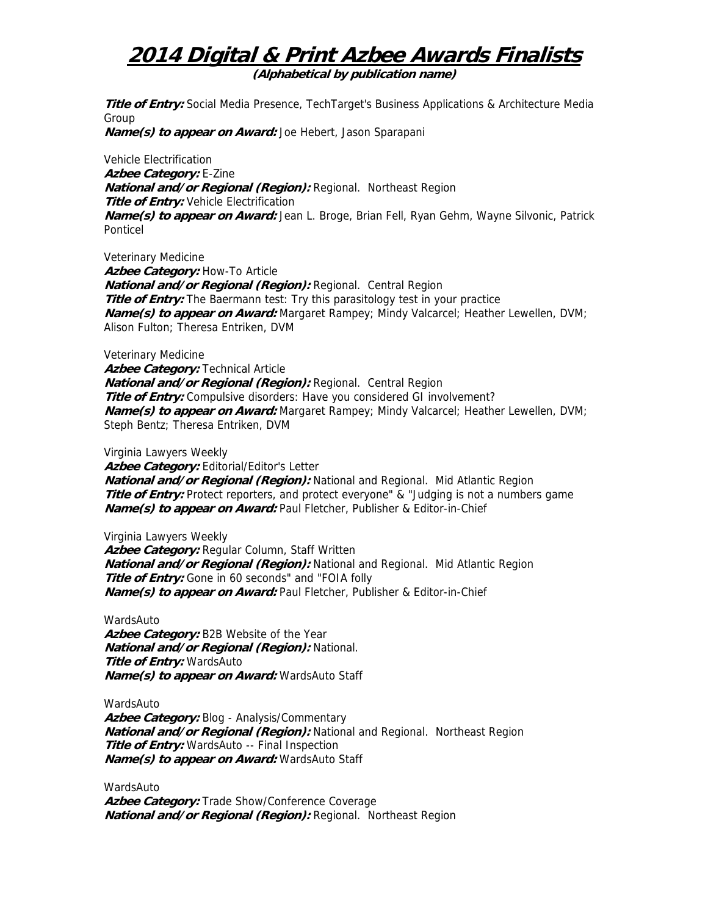**(Alphabetical by publication name)** 

**Title of Entry:** Social Media Presence, TechTarget's Business Applications & Architecture Media Group

**Name(s) to appear on Award:** Joe Hebert, Jason Sparapani

Vehicle Electrification **Azbee Category:** E-Zine **National and/or Regional (Region):** Regional. Northeast Region **Title of Entry:** Vehicle Electrification **Name(s) to appear on Award:** Jean L. Broge, Brian Fell, Ryan Gehm, Wayne Silvonic, Patrick Ponticel

Veterinary Medicine **Azbee Category:** How-To Article **National and/or Regional (Region):** Regional. Central Region **Title of Entry:** The Baermann test: Try this parasitology test in your practice **Name(s) to appear on Award:** Margaret Rampey; Mindy Valcarcel; Heather Lewellen, DVM; Alison Fulton; Theresa Entriken, DVM

Veterinary Medicine

**Azbee Category:** Technical Article **National and/or Regional (Region):** Regional. Central Region **Title of Entry:** Compulsive disorders: Have you considered GI involvement? **Name(s) to appear on Award:** Margaret Rampey; Mindy Valcarcel; Heather Lewellen, DVM; Steph Bentz; Theresa Entriken, DVM

Virginia Lawyers Weekly

**Azbee Category:** Editorial/Editor's Letter **National and/or Regional (Region):** National and Regional. Mid Atlantic Region **Title of Entry:** Protect reporters, and protect everyone" & "Judging is not a numbers game **Name(s) to appear on Award:** Paul Fletcher, Publisher & Editor-in-Chief

Virginia Lawyers Weekly Azbee Category: Regular Column, Staff Written **National and/or Regional (Region):** National and Regional. Mid Atlantic Region **Title of Entry:** Gone in 60 seconds" and "FOIA folly **Name(s) to appear on Award:** Paul Fletcher, Publisher & Editor-in-Chief

WardsAuto **Azbee Category:** B2B Website of the Year **National and/or Regional (Region):** National. **Title of Entry:** WardsAuto **Name(s) to appear on Award:** WardsAuto Staff

WardsAuto **Azbee Category:** Blog - Analysis/Commentary **National and/or Regional (Region):** National and Regional. Northeast Region **Title of Entry:** WardsAuto -- Final Inspection **Name(s) to appear on Award:** WardsAuto Staff

WardsAuto Azbee Category: Trade Show/Conference Coverage **National and/or Regional (Region):** Regional. Northeast Region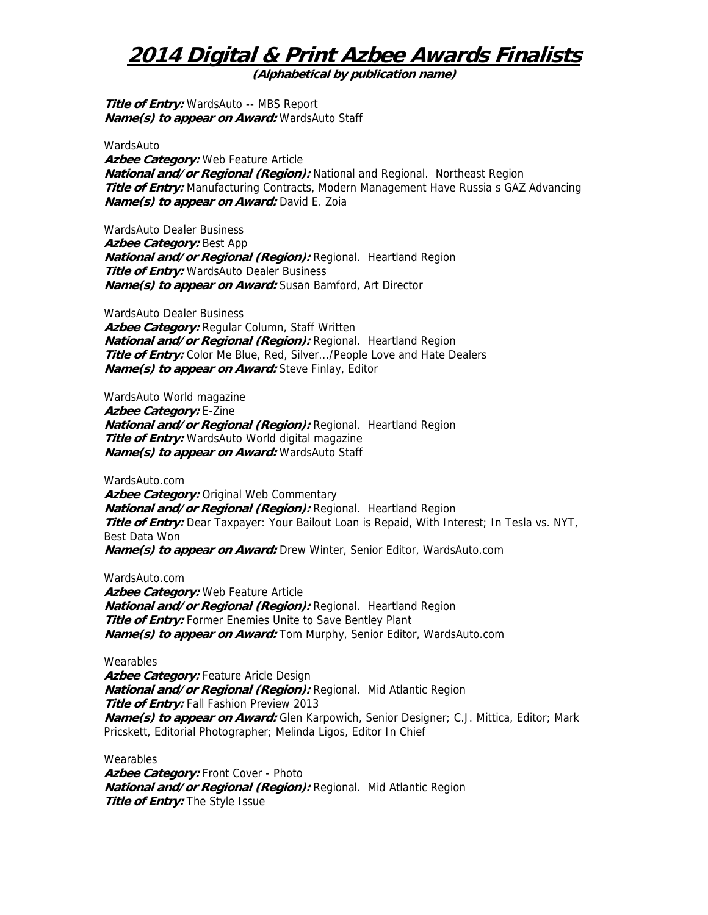**(Alphabetical by publication name)** 

**Title of Entry:** WardsAuto -- MBS Report **Name(s) to appear on Award:** WardsAuto Staff

WardsAuto

**Azbee Category:** Web Feature Article **National and/or Regional (Region):** National and Regional. Northeast Region **Title of Entry:** Manufacturing Contracts, Modern Management Have Russia s GAZ Advancing **Name(s) to appear on Award:** David E. Zoia

WardsAuto Dealer Business **Azbee Category:** Best App **National and/or Regional (Region):** Regional. Heartland Region **Title of Entry:** WardsAuto Dealer Business **Name(s) to appear on Award:** Susan Bamford, Art Director

WardsAuto Dealer Business **Azbee Category:** Regular Column, Staff Written **National and/or Regional (Region):** Regional. Heartland Region **Title of Entry:** Color Me Blue, Red, Silver.../People Love and Hate Dealers **Name(s) to appear on Award:** Steve Finlay, Editor

WardsAuto World magazine **Azbee Category:** E-Zine **National and/or Regional (Region):** Regional. Heartland Region **Title of Entry:** WardsAuto World digital magazine **Name(s) to appear on Award:** WardsAuto Staff

WardsAuto.com **Azbee Category:** Original Web Commentary **National and/or Regional (Region):** Regional. Heartland Region **Title of Entry:** Dear Taxpayer: Your Bailout Loan is Repaid, With Interest; In Tesla vs. NYT, Best Data Won **Name(s) to appear on Award:** Drew Winter, Senior Editor, WardsAuto.com

WardsAuto.com **Azbee Category:** Web Feature Article **National and/or Regional (Region):** Regional. Heartland Region **Title of Entry:** Former Enemies Unite to Save Bentley Plant **Name(s) to appear on Award:** Tom Murphy, Senior Editor, WardsAuto.com

Wearables Azbee Category: Feature Aricle Design **National and/or Regional (Region):** Regional. Mid Atlantic Region **Title of Entry:** Fall Fashion Preview 2013 **Name(s) to appear on Award:** Glen Karpowich, Senior Designer; C.J. Mittica, Editor; Mark Pricskett, Editorial Photographer; Melinda Ligos, Editor In Chief

**Wearables** Azbee Category: Front Cover - Photo **National and/or Regional (Region):** Regional. Mid Atlantic Region **Title of Entry:** The Style Issue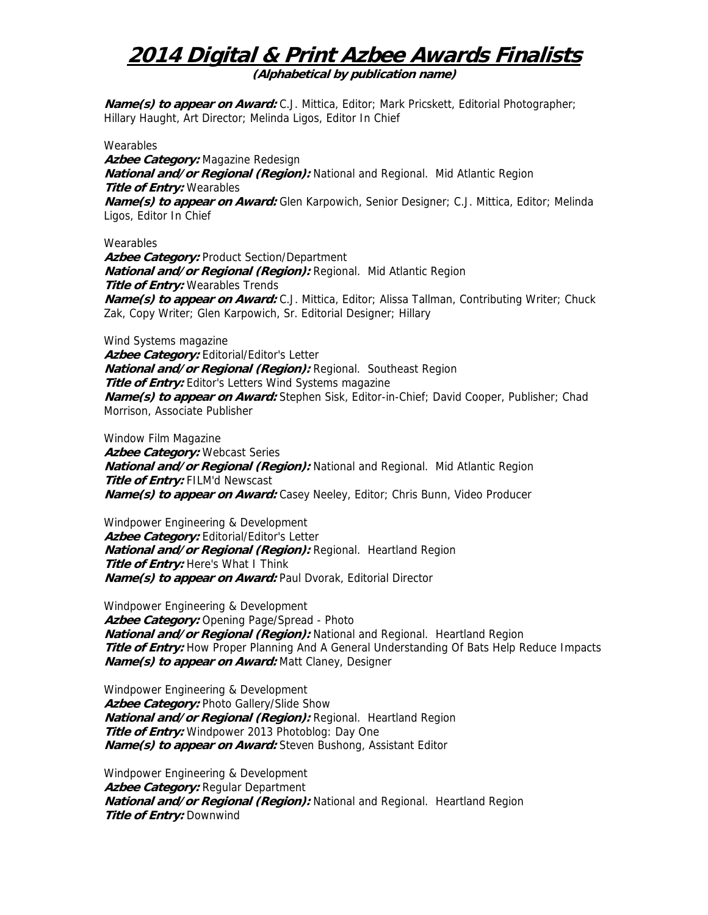**(Alphabetical by publication name)** 

**Name(s) to appear on Award:** C.J. Mittica, Editor; Mark Pricskett, Editorial Photographer; Hillary Haught, Art Director; Melinda Ligos, Editor In Chief

#### **Wearables**

**Azbee Category:** Magazine Redesign **National and/or Regional (Region):** National and Regional. Mid Atlantic Region **Title of Entry:** Wearables **Name(s) to appear on Award:** Glen Karpowich, Senior Designer; C.J. Mittica, Editor; Melinda Ligos, Editor In Chief

### **Wearables**

**Azbee Category:** Product Section/Department **National and/or Regional (Region):** Regional. Mid Atlantic Region **Title of Entry:** Wearables Trends **Name(s) to appear on Award:** C.J. Mittica, Editor; Alissa Tallman, Contributing Writer; Chuck Zak, Copy Writer; Glen Karpowich, Sr. Editorial Designer; Hillary

Wind Systems magazine Azbee Category: Editorial/Editor's Letter **National and/or Regional (Region):** Regional. Southeast Region **Title of Entry:** Editor's Letters Wind Systems magazine **Name(s) to appear on Award:** Stephen Sisk, Editor-in-Chief; David Cooper, Publisher; Chad Morrison, Associate Publisher

Window Film Magazine

**Azbee Category:** Webcast Series **National and/or Regional (Region):** National and Regional. Mid Atlantic Region **Title of Entry:** FILM'd Newscast **Name(s) to appear on Award:** Casey Neeley, Editor; Chris Bunn, Video Producer

Windpower Engineering & Development **Azbee Category:** Editorial/Editor's Letter **National and/or Regional (Region):** Regional. Heartland Region **Title of Entry:** Here's What I Think **Name(s) to appear on Award:** Paul Dvorak, Editorial Director

Windpower Engineering & Development **Azbee Category:** Opening Page/Spread - Photo **National and/or Regional (Region):** National and Regional. Heartland Region **Title of Entry:** How Proper Planning And A General Understanding Of Bats Help Reduce Impacts **Name(s) to appear on Award:** Matt Claney, Designer

Windpower Engineering & Development Azbee Category: Photo Gallery/Slide Show **National and/or Regional (Region):** Regional. Heartland Region **Title of Entry:** Windpower 2013 Photoblog: Day One **Name(s) to appear on Award:** Steven Bushong, Assistant Editor

Windpower Engineering & Development Azbee Category: Regular Department **National and/or Regional (Region):** National and Regional. Heartland Region **Title of Entry:** Downwind